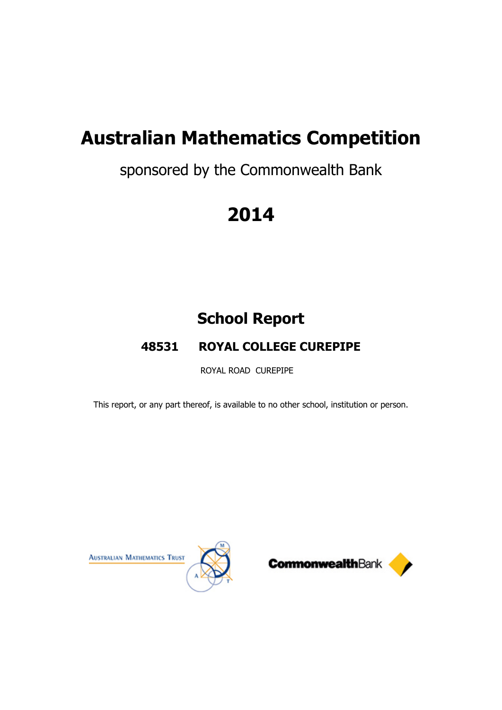# sponsored by the Commonwealth Bank

# **2014**

# **School Report**

# **48531 ROYAL COLLEGE CUREPIPE**

ROYAL ROAD CUREPIPE

This report, or any part thereof, is available to no other school, institution or person.



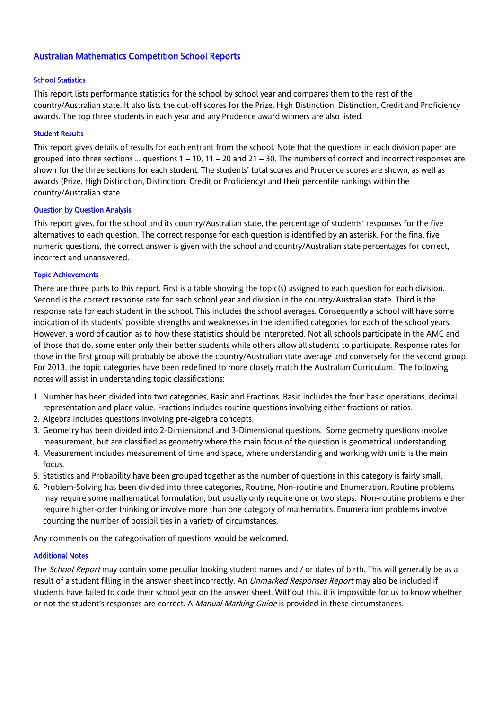## Australian Mathematics Competition School Reports

## School Statistics

This report lists performance statistics for the school by school year and compares them to the rest of the country/Australian state. It also lists the cut-off scores for the Prize, High Distinction, Distinction, Credit and Proficiency awards. The top three students in each year and any Prudence award winners are also listed.

### Student Results

This report gives details of results for each entrant from the school. Note that the questions in each division paper are grouped into three sections  $\dots$  questions  $1 - 10$ ,  $11 - 20$  and  $21 - 30$ . The numbers of correct and incorrect responses are shown for the three sections for each student. The students' total scores and Prudence scores are shown, as well as awards (Prize, High Distinction, Distinction, Credit or Proficiency) and their percentile rankings within the country/Australian state.

## Question by Question Analysis

This report gives, for the school and its country/Australian state, the percentage of students' responses for the five alternatives to each question. The correct response for each question is identified by an asterisk. For the final five numeric questions, the correct answer is given with the school and country/Australian state percentages for correct, incorrect and unanswered.

## Topic Achievements

There are three parts to this report. First is a table showing the topic(s) assigned to each question for each division. Second is the correct response rate for each school year and division in the country/Australian state. Third is the response rate for each student in the school. This includes the school averages. Consequently a school will have some indication of its students' possible strengths and weaknesses in the identified categories for each of the school years. However, a word of caution as to how these statistics should be interpreted. Not all schools participate in the AMC and of those that do, some enter only their better students while others allow all students to participate. Response rates for those in the first group will probably be above the country/Australian state average and conversely for the second group. For 2013, the topic categories have been redefined to more closely match the Australian Curriculum. The following notes will assist in understanding topic classifications:

- 1. Number has been divided into two categories, Basic and Fractions. Basic includes the four basic operations, decimal representation and place value. Fractions includes routine questions involving either fractions or ratios.
- 2. Algebra includes questions involving pre-algebra concepts.
- 3. Geometry has been divided into 2-Dimiensional and 3-Dimensional questions. Some geometry questions involve measurement, but are classified as geometry where the main focus of the question is geometrical understanding.
- 4. Measurement includes measurement of time and space, where understanding and working with units is the main focus.
- 5. Statistics and Probability have been grouped together as the number of questions in this category is fairly small.
- 6. Problem-Solving has been divided into three categories, Routine, Non-routine and Enumeration. Routine problems may require some mathematical formulation, but usually only require one or two steps. Non-routine problems either require higher-order thinking or involve more than one category of mathematics. Enumeration problems involve counting the number of possibilities in a variety of circumstances.

Any comments on the categorisation of questions would be welcomed.

### Additional Notes

The *School Report* may contain some peculiar looking student names and / or dates of birth. This will generally be as a result of a student filling in the answer sheet incorrectly. An *Unmarked Responses Report* may also be included if students have failed to code their school year on the answer sheet. Without this, it is impossible for us to know whether or not the student's responses are correct. A *Manual Marking Guide* is provided in these circumstances.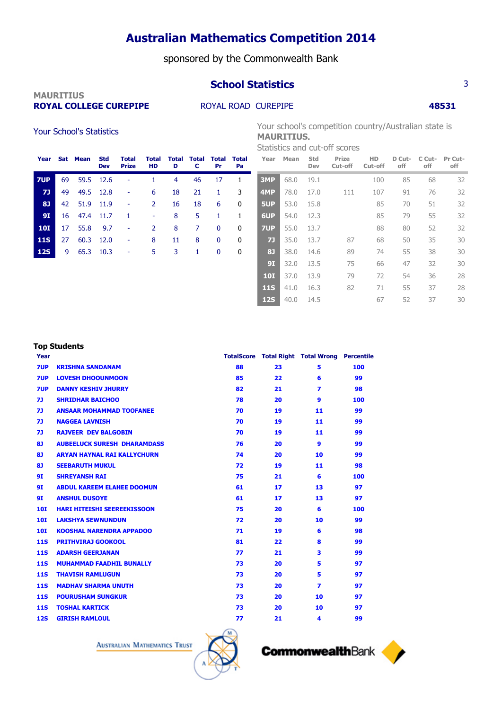## sponsored by the Commonwealth Bank

# **MAURITIUS**

## **ROYAL COLLEGE CUREPIPE ROYAL ROAD CUREPIPE <b>48531**

Your School's Statistics Tour school's competition country/Australian state is **MAURITIUS**.

**School Statistics** 3

Statistics and cut-off scores

| Year       |    | Sat Mean  | <b>Std</b><br><b>Dev</b> | <b>Total</b><br><b>Prize</b> | Total<br><b>HD</b> | D  | <b>Total Total Total</b><br>C | Pr | Total<br>Pa |
|------------|----|-----------|--------------------------|------------------------------|--------------------|----|-------------------------------|----|-------------|
| 7UP        | 69 | 59.5      | 12.6                     |                              |                    | 4  | 46                            | 17 | 1           |
| 71         | 49 | 49.5 12.8 |                          |                              | 6                  | 18 | 21                            | 1  | 3           |
| 81         | 42 | 51.9      | 11.9                     |                              | 2                  | 16 | 18                            | 6  | 0           |
| <b>9I</b>  | 16 | 47.4      | -11.7                    | 1                            | ۰                  | 8  | 5                             | 1  | 1           |
| <b>10I</b> | 17 | 55.8      | 9.7                      | ۰                            | 2                  | 8  | 7                             | 0  | 0           |
| <b>11S</b> | 27 | 60.3      | 12.0                     |                              | 8                  | 11 | 8                             | 0  | 0           |
| <b>12S</b> | 9  | 65.3      | 10.3                     |                              | 5.                 | 3  | 1.                            | 0  | 0           |
|            |    |           |                          |                              |                    |    |                               |    |             |

| Year       | Mean | Std<br>Dev | Prize<br>Cut-off | HD<br>Cut-off | D Cut-<br>off | C Cut-<br>off | Pr Cut-<br>off |
|------------|------|------------|------------------|---------------|---------------|---------------|----------------|
| 3MP        | 68.0 | 19.1       |                  | 100           | 85            | 68            | 32             |
| 4MP        | 78.0 | 17.0       | 111              | 107           | 91            | 76            | 32             |
| 5UP        | 53.0 | 15.8       |                  | 85            | 70            | 51            | 32             |
| 6UP        | 54.0 | 12.3       |                  | 85            | 79            | 55            | 32             |
| 7UP        | 55.0 | 13.7       |                  | 88            | 80            | 52            | 32             |
| 7]         | 35.0 | 13.7       | 87               | 68            | 50            | 35            | 30             |
| 81         | 38.0 | 14.6       | 89               | 74            | 55            | 38            | 30             |
| 91         | 32.0 | 13.5       | 75               | 66            | 47            | 32            | 30             |
| <b>10I</b> | 37.0 | 13.9       | 79               | 72            | 54            | 36            | 28             |
| <b>11S</b> | 41.0 | 16.3       | 82               | 71            | 55            | 37            | 28             |
| <b>12S</b> | 40.0 | 14.5       |                  | 67            | 52            | 37            | 30             |

## **Top Students**

| Year       |                                    |    |    | <b>TotalScore Total Right Total Wrong Percentile</b> |     |
|------------|------------------------------------|----|----|------------------------------------------------------|-----|
| 7UP        | <b>KRISHNA SANDANAM</b>            | 88 | 23 | 5                                                    | 100 |
| 7UP        | <b>LOVESH DHOOUNMOON</b>           | 85 | 22 | 6                                                    | 99  |
| 7UP        | <b>DANNY KESHIV JHURRY</b>         | 82 | 21 | 7                                                    | 98  |
| 71         | <b>SHRIDHAR BAICHOO</b>            | 78 | 20 | 9                                                    | 100 |
| 73         | <b>ANSAAR MOHAMMAD TOOFANEE</b>    | 70 | 19 | 11                                                   | 99  |
| 73         | <b>NAGGEA LAVNISH</b>              | 70 | 19 | 11                                                   | 99  |
| 73         | <b>RAJVEER DEV BALGOBIN</b>        | 70 | 19 | 11                                                   | 99  |
| 81         | <b>AUBEELUCK SURESH DHARAMDASS</b> | 76 | 20 | 9                                                    | 99  |
| 81         | <b>ARYAN HAYNAL RAI KALLYCHURN</b> | 74 | 20 | 10                                                   | 99  |
| 81         | <b>SEEBARUTH MUKUL</b>             | 72 | 19 | 11                                                   | 98  |
| 9I         | <b>SHREYANSH RAI</b>               | 75 | 21 | 6                                                    | 100 |
| 9I         | <b>ABDUL KAREEM ELAHEE DOOMUN</b>  | 61 | 17 | 13                                                   | 97  |
| 9I         | <b>ANSHUL DUSOYE</b>               | 61 | 17 | 13                                                   | 97  |
| <b>10I</b> | <b>HARI HITEISHI SEEREEKISSOON</b> | 75 | 20 | 6                                                    | 100 |
| <b>10I</b> | <b>LAKSHYA SEWNUNDUN</b>           | 72 | 20 | 10                                                   | 99  |
| <b>10I</b> | <b>KOOSHAL NARENDRA APPADOO</b>    | 71 | 19 | 6                                                    | 98  |
| <b>11S</b> | <b>PRITHVIRAJ GOOKOOL</b>          | 81 | 22 | 8                                                    | 99  |
| <b>11S</b> | <b>ADARSH GEERJANAN</b>            | 77 | 21 | 3                                                    | 99  |
| <b>11S</b> | <b>MUHAMMAD FAADHIL BUNALLY</b>    | 73 | 20 | 5.                                                   | 97  |
| <b>11S</b> | <b>THAVISH RAMLUGUN</b>            | 73 | 20 | 5                                                    | 97  |
| <b>11S</b> | <b>MADHAV SHARMA UNUTH</b>         | 73 | 20 | $\overline{\mathbf{z}}$                              | 97  |
| <b>11S</b> | <b>POURUSHAM SUNGKUR</b>           | 73 | 20 | 10                                                   | 97  |
| <b>11S</b> | <b>TOSHAL KARTICK</b>              | 73 | 20 | 10                                                   | 97  |
| <b>12S</b> | <b>GIRISH RAMLOUL</b>              | 77 | 21 | 4                                                    | 99  |



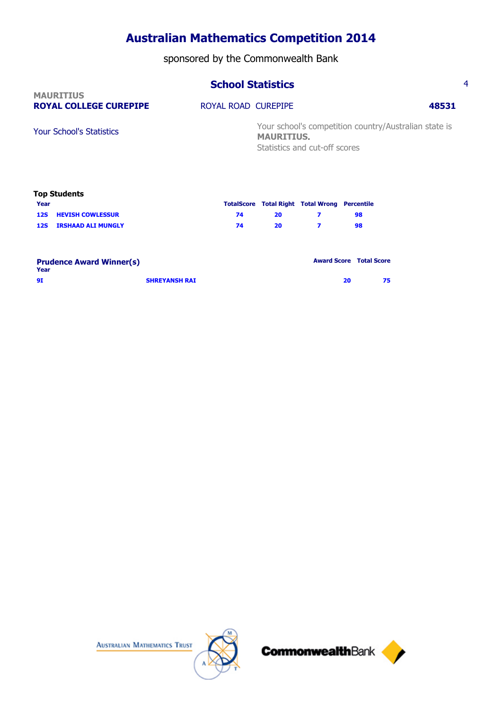sponsored by the Commonwealth Bank

## **School Statistics** 4

| <b>MAURITIUS</b><br><b>ROYAL COLLEGE CUREPIPE</b> | ROYAL ROAD CUREPIPE |                                                                            | 48531 |
|---------------------------------------------------|---------------------|----------------------------------------------------------------------------|-------|
| <b>Your School's Statistics</b>                   |                     | Your school's competition country/Australian state is<br><b>MAURITIUS.</b> |       |
|                                                   |                     | Statistics and cut-off scores                                              |       |

|      | <b>Top Students</b>         |    |    |                                                      |    |
|------|-----------------------------|----|----|------------------------------------------------------|----|
| Year |                             |    |    | <b>TotalScore Total Right Total Wrong Percentile</b> |    |
|      | <b>12S HEVISH COWLESSUR</b> | 74 | 20 |                                                      | 98 |
| 12S  | <b>IRSHAAD ALI MUNGLY</b>   | 74 | 20 |                                                      | 98 |
|      |                             |    |    |                                                      |    |
|      |                             |    |    |                                                      |    |

| <b>Prudence Award Winner(s)</b><br>Year |                      | <b>Award Score Total Score</b> |    |
|-----------------------------------------|----------------------|--------------------------------|----|
| 91                                      | <b>SHREYANSH RAI</b> | 20                             | 75 |







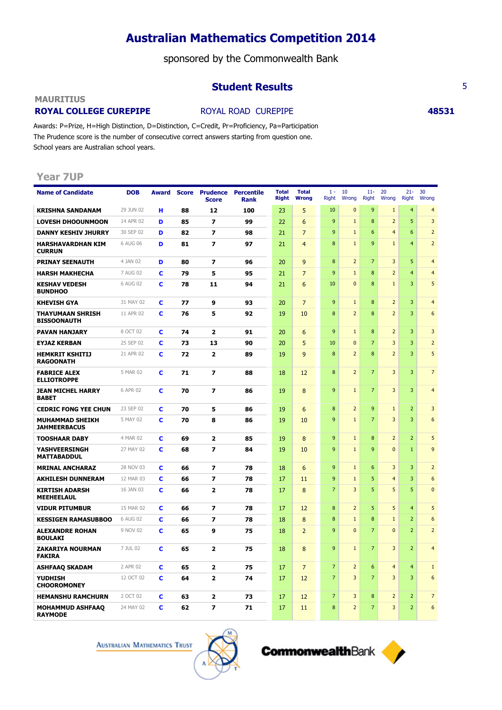sponsored by the Commonwealth Bank

## **Student Results** 5

### **MAURITIUS**

## **ROYAL COLLEGE CUREPIPE ROYAL ROAD CUREPIPE <b>48531**

Awards: P=Prize, H=High Distinction, D=Distinction, C=Credit, Pr=Proficiency, Pa=Participation The Prudence score is the number of consecutive correct answers starting from question one. School years are Australian school years.

## **Year 7UP**

| <b>Name of Candidate</b>                      | <b>DOB</b> | Award |    | <b>Score Prudence</b><br><b>Score</b> | <b>Percentile</b><br><b>Rank</b> | <b>Total</b><br><b>Right</b> | <b>Total</b><br><b>Wrong</b> | $1 -$<br><b>Right</b> | 10<br>Wrong    | $11 -$<br>Right  | 20<br>Wrong             | $21 -$<br><b>Right</b> | 30<br>Wrong      |
|-----------------------------------------------|------------|-------|----|---------------------------------------|----------------------------------|------------------------------|------------------------------|-----------------------|----------------|------------------|-------------------------|------------------------|------------------|
| <b>KRISHNA SANDANAM</b>                       | 29 JUN 02  | н     | 88 | 12                                    | 100                              | 23                           | 5                            | 10                    | $\mathbf{0}$   | 9                | $\mathbf{1}$            | $\overline{4}$         | $\overline{4}$   |
| <b>LOVESH DHOOUNMOON</b>                      | 14 APR 02  | D     | 85 | $\overline{z}$                        | 99                               | 22                           | 6                            | 9                     | $\mathbf{1}$   | 8                | $\overline{2}$          | 5                      | 3                |
| <b>DANNY KESHIV JHURRY</b>                    | 30 SEP 02  | D     | 82 | $\overline{\mathbf{z}}$               | 98                               | 21                           | $\overline{7}$               | 9                     | $\mathbf{1}$   | 6                | $\overline{\mathbf{4}}$ | 6                      | $\overline{2}$   |
| <b>HARSHAVARDHAN KIM</b><br><b>CURRUN</b>     | 6 AUG 06   | D     | 81 | $\overline{\mathbf{z}}$               | 97                               | 21                           | $\overline{4}$               | 8                     | $\mathbf{1}$   | 9                | $\mathbf{1}$            | $\overline{4}$         | $\overline{2}$   |
| <b>PRINAY SEENAUTH</b>                        | 4 JAN 02   | D     | 80 | $\overline{\mathbf{z}}$               | 96                               | 20                           | 9                            | 8                     | $\overline{2}$ | $\overline{7}$   | 3                       | 5                      | $\overline{4}$   |
| <b>HARSH MAKHECHA</b>                         | 7 AUG 02   | c     | 79 | 5                                     | 95                               | 21                           | $\overline{7}$               | 9                     | $\mathbf{1}$   | $\boldsymbol{8}$ | $\overline{2}$          | $\overline{4}$         | $\overline{4}$   |
| <b>KESHAV VEDESH</b><br><b>BUNDHOO</b>        | 6 AUG 02   | C     | 78 | 11                                    | 94                               | 21                           | 6                            | 10                    | $\mathbf{0}$   | $\boldsymbol{8}$ | $1\,$                   | 3                      | 5                |
| <b>KHEVISH GYA</b>                            | 31 MAY 02  | C     | 77 | 9                                     | 93                               | 20                           | $\overline{7}$               | 9                     | $\mathbf{1}$   | $\boldsymbol{8}$ | $\overline{2}$          | 3                      | $\overline{4}$   |
| <b>THAYUMAAN SHRISH</b><br><b>BISSOONAUTH</b> | 11 APR 02  | C     | 76 | 5                                     | 92                               | 19                           | 10                           | 8                     | $\overline{2}$ | $\boldsymbol{8}$ | $\overline{2}$          | 3                      | 6                |
| <b>PAVAN HANJARY</b>                          | 8 OCT 02   | c     | 74 | $\overline{2}$                        | 91                               | 20                           | 6                            | 9                     | $\mathbf{1}$   | 8                | $\overline{2}$          | 3                      | 3                |
| <b>EYJAZ KERBAN</b>                           | 25 SEP 02  | C     | 73 | 13                                    | 90                               | 20                           | 5                            | 10                    | $\mathbf{0}$   | $\overline{7}$   | 3                       | 3                      | $\overline{2}$   |
| <b>HEMKRIT KSHITIJ</b><br><b>RAGOONATH</b>    | 21 APR 02  | C     | 72 | $\overline{\mathbf{2}}$               | 89                               | 19                           | 9                            | 8                     | $\overline{2}$ | 8                | $\overline{2}$          | $\overline{3}$         | 5                |
| <b>FABRICE ALEX</b><br><b>ELLIOTROPPE</b>     | 5 MAR 02   | C     | 71 | $\overline{\mathbf{z}}$               | 88                               | 18                           | 12                           | 8                     | $\overline{2}$ | $\overline{7}$   | 3                       | 3                      | $\overline{7}$   |
| <b>JEAN MICHEL HARRY</b><br><b>BABET</b>      | 6 APR 02   | C     | 70 | $\overline{\mathbf{z}}$               | 86                               | 19                           | 8                            | 9                     | $\mathbf{1}$   | $\overline{7}$   | 3                       | 3                      | $\overline{4}$   |
| <b>CEDRIC FONG YEE CHUN</b>                   | 23 SEP 02  | C     | 70 | 5                                     | 86                               | 19                           | 6                            | 8                     | $\overline{2}$ | $\overline{9}$   | $1\,$                   | $\overline{2}$         | 3                |
| <b>MUHAMMAD SHEIKH</b><br><b>JAHMEERBACUS</b> | 5 MAY 02   | C     | 70 | 8                                     | 86                               | 19                           | 10                           | 9                     | $\mathbf{1}$   | $\overline{7}$   | 3                       | 3                      | 6                |
| <b>TOOSHAAR DABY</b>                          | 4 MAR 02   | c     | 69 | $\mathbf{2}$                          | 85                               | 19                           | 8                            | 9                     | $\mathbf{1}$   | 8                | $\overline{2}$          | $\overline{2}$         | 5                |
| <b>YASHVEERSINGH</b><br><b>MATTABADDUL</b>    | 27 MAY 02  | C     | 68 | $\overline{z}$                        | 84                               | 19                           | 10                           | 9                     | $1\,$          | 9                | $\mathbf{0}$            | $1\,$                  | $\overline{9}$   |
| <b>MRINAL ANCHARAZ</b>                        | 28 NOV 03  | C     | 66 | $\overline{z}$                        | 78                               | 18                           | 6                            | 9                     | $\mathbf{1}$   | $6\phantom{1}6$  | 3                       | 3                      | $\overline{2}$   |
| <b>AKHILESH DUNNERAM</b>                      | 12 MAR 03  | C     | 66 | $\overline{z}$                        | 78                               | 17                           | 11                           | 9                     | $\mathbf{1}$   | 5                | $\overline{4}$          | 3                      | $\boldsymbol{6}$ |
| <b>KIRTISH ADARSH</b><br><b>MEEHEELAUL</b>    | 16 JAN 03  | c     | 66 | 2                                     | 78                               | 17                           | 8                            | $\overline{7}$        | 3              | 5                | 5                       | 5                      | $\mathbf{0}$     |
| <b>VIDUR PITUMBUR</b>                         | 15 MAR 02  | c     | 66 | $\overline{z}$                        | 78                               | 17                           | 12                           | $\boldsymbol{8}$      | $\overline{2}$ | 5                | 5                       | $\overline{4}$         | 5                |
| <b>KESSIGEN RAMASUBBOO</b>                    | 6 AUG 02   | C     | 66 | $\overline{ }$                        | 78                               | 18                           | 8                            | 8                     | $\mathbf{1}$   | 8                | $\mathbf{1}$            | $\overline{2}$         | 6                |
| <b>ALEXANDRE ROHAN</b><br><b>BOULAKI</b>      | 9 NOV 02   | C     | 65 | 9                                     | 75                               | 18                           | $\overline{2}$               | 9                     | $\mathbf{0}$   | $\overline{7}$   | $\mathbf{0}$            | $\overline{2}$         | $\overline{2}$   |
| <b>ZAKARIYA NOURMAN</b><br><b>FAKIRA</b>      | 7 JUL 02   | c     | 65 | $\mathbf{z}$                          | 75                               | 18                           | 8                            | 9                     | $\mathbf{1}$   | $\overline{7}$   | $\overline{3}$          | $\overline{2}$         | $\overline{4}$   |
| <b>ASHFAAQ SKADAM</b>                         | 2 APR 02   | c     | 65 | $\overline{\mathbf{2}}$               | 75                               | 17                           | $\overline{7}$               | $\overline{7}$        | $\overline{2}$ | 6                | $\overline{4}$          | $\overline{4}$         | $\mathbf{1}$     |
| <b>YUDHISH</b><br><b>CHOOROMONEY</b>          | 12 OCT 02  | c     | 64 | $\overline{2}$                        | 74                               | 17                           | 12                           | $\overline{7}$        | 3              | $\overline{7}$   | 3                       | 3                      | 6                |
| <b>HEMANSHU RAMCHURN</b>                      | 2 OCT 02   | c     | 63 | 2                                     | 73                               | 17                           | 12                           | $\overline{7}$        | 3              | 8                | $\overline{2}$          | $\overline{2}$         | $\overline{7}$   |
| <b>MOHAMMUD ASHFAAQ</b><br><b>RAYMODE</b>     | 24 MAY 02  | c     | 62 | 7                                     | 71                               | 17                           | 11                           | 8                     | $\overline{2}$ | 7                | 3                       | $\overline{2}$         | 6                |

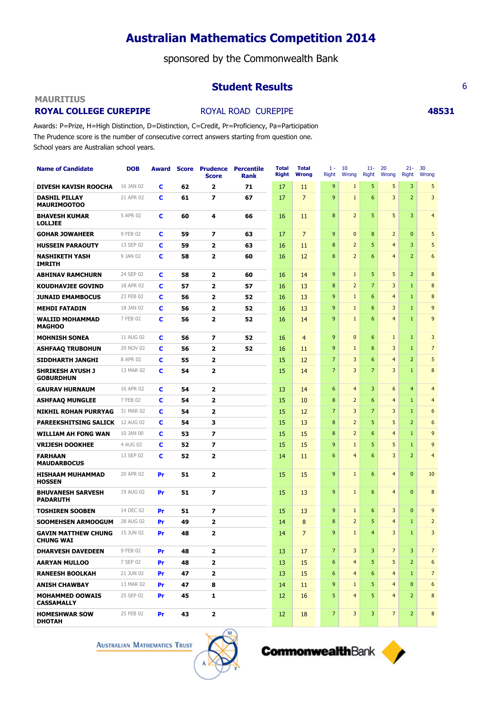sponsored by the Commonwealth Bank

## **Student Results** 6

### **MAURITIUS**

## **ROYAL COLLEGE CUREPIPE ROYAL ROAD CUREPIPE <b>48531**

Awards: P=Prize, H=High Distinction, D=Distinction, C=Credit, Pr=Proficiency, Pa=Participation The Prudence score is the number of consecutive correct answers starting from question one. School years are Australian school years.

| <b>Name of Candidate</b>                       | <b>DOB</b> | Award     |    | <b>Score Prudence</b><br><b>Score</b> | <b>Percentile</b><br><b>Rank</b> | <b>Total</b><br><b>Right</b> | <b>Total</b><br><b>Wrong</b> | $1 -$<br>Right | 10<br>Wrong    | $11 -$<br><b>Right</b> | 20<br>Wrong             | $21 -$<br><b>Right</b> | 30<br>Wrong      |
|------------------------------------------------|------------|-----------|----|---------------------------------------|----------------------------------|------------------------------|------------------------------|----------------|----------------|------------------------|-------------------------|------------------------|------------------|
| <b>DIVESH KAVISH ROOCHA</b>                    | 16 JAN 02  | c         | 62 | $\mathbf{z}$                          | 71                               | 17                           | 11                           | 9              | $\mathbf{1}$   | 5                      | 5                       | 3                      | 5                |
| <b>DASHIL PILLAY</b><br><b>MAURIMOOTOO</b>     | 21 APR 02  | c         | 61 | $\overline{z}$                        | 67                               | 17                           | $\overline{7}$               | 9              | $\mathbf{1}$   | 6                      | 3                       | $\overline{2}$         | $\overline{3}$   |
| <b>BHAVESH KUMAR</b><br><b>LOLLJEE</b>         | 5 APR 02   | c         | 60 | 4                                     | 66                               | 16                           | 11                           | 8              | $\overline{2}$ | 5                      | 5                       | 3                      | $\overline{4}$   |
| <b>GOHAR JOWAHEER</b>                          | 9 FEB 02   | c         | 59 | 7                                     | 63                               | 17                           | $\overline{7}$               | 9              | 0              | 8                      | $\overline{2}$          | $\mathbf{0}$           | 5                |
| <b>HUSSEIN PARAOUTY</b>                        | 13 SEP 02  | C         | 59 | $\overline{2}$                        | 63                               | 16                           | 11                           | 8              | $\overline{2}$ | 5                      | $\overline{\mathbf{4}}$ | 3                      | 5                |
| <b>NASHIKETH YASH</b><br><b>IMRITH</b>         | 9 JAN 02   | C         | 58 | 2                                     | 60                               | 16                           | 12                           | 8              | $\overline{2}$ | 6                      | $\overline{\mathbf{4}}$ | $\overline{2}$         | $6\phantom{1}6$  |
| <b>ABHINAV RAMCHURN</b>                        | 24 SEP 02  | c         | 58 | 2                                     | 60                               | 16                           | 14                           | 9              | $\mathbf{1}$   | 5                      | 5                       | $\overline{2}$         | 8                |
| <b>KOUDHAVJEE GOVIND</b>                       | 18 APR 02  | C         | 57 | $\overline{2}$                        | 57                               | 16                           | 13                           | 8              | $\overline{2}$ | $\overline{7}$         | 3                       | $\mathbf{1}$           | 8                |
| <b>JUNAID EMAMBOCUS</b>                        | 23 FEB 02  | c         | 56 | $\mathbf{z}$                          | 52                               | 16                           | 13                           | 9              | $\mathbf{1}$   | 6                      | $\overline{4}$          | $\mathbf{1}$           | 8                |
| <b>MEHDI FATADIN</b>                           | 18 JAN 02  | c         | 56 | $\overline{2}$                        | 52                               | 16                           | 13                           | 9              | $\mathbf{1}$   | 6                      | 3                       | $\mathbf{1}$           | 9                |
| <b>WALIID MOHAMMAD</b><br><b>MAGHOO</b>        | 7 FEB 02   | c         | 56 | $\overline{2}$                        | 52                               | 16                           | 14                           | 9              | $\mathbf{1}$   | 6                      | $\overline{4}$          | $\mathbf{1}$           | 9                |
| <b>MOHNISH SONEA</b>                           | 11 AUG 02  | c         | 56 | $\overline{\mathbf{z}}$               | 52                               | 16                           | $\overline{4}$               | 9              | $\pmb{0}$      | 6                      | $\mathbf{1}$            | $\mathbf{1}$           | 3                |
| <b>ASHFAAQ TRUBOHUN</b>                        | 29 NOV 02  | c         | 56 | $\overline{2}$                        | 52                               | 16                           | 11                           | 9              | $\mathbf{1}$   | 6                      | 3                       | $\mathbf{1}$           | $\overline{7}$   |
| SIDDHARTH JANGHI                               | 8 APR 02   | c         | 55 | $\overline{2}$                        |                                  | 15                           | 12                           | $\overline{7}$ | 3              | 6                      | $\overline{4}$          | $\overline{2}$         | 5                |
| <b>SHRIKESH AYUSH J</b><br><b>GOBURDHUN</b>    | 13 MAR 02  | C         | 54 | 2                                     |                                  | 15                           | 14                           | $\overline{7}$ | 3              | $\overline{7}$         | 3                       | 1                      | $\boldsymbol{8}$ |
| <b>GAURAV HURNAUM</b>                          | 16 APR 02  | c         | 54 | 2                                     |                                  | 13                           | 14                           | 6              | $\overline{4}$ | 3                      | 6                       | $\overline{4}$         | $\overline{4}$   |
| <b>ASHFAAQ MUNGLEE</b>                         | 7 FEB 02   | c         | 54 | $\overline{2}$                        |                                  | 15                           | 10                           | 8              | $\overline{2}$ | 6                      | $\overline{4}$          | 1                      | $\overline{4}$   |
| <b>NIKHIL ROHAN PURRYAG</b>                    | 31 MAR 02  | c         | 54 | $\overline{2}$                        |                                  | 15                           | 12                           | $\overline{7}$ | 3              | $\overline{7}$         | 3                       | $\mathbf{1}$           | 6                |
| <b>PAREEKSHITSING SALICK</b>                   | 12 AUG 02  | c         | 54 | 3                                     |                                  | 15                           | 13                           | 8              | $\overline{2}$ | 5                      | 5                       | $\overline{2}$         | 6                |
| <b>WILLIAM AH FONG WAN</b>                     | 10 JAN 00  | c         | 53 | $\overline{ }$                        |                                  | 15                           | 15                           | 8              | $\overline{2}$ | 6                      | $\overline{4}$          | $\mathbf{1}$           | 9                |
| <b>VRIJESH DOOKHEE</b>                         | 4 AUG 02   | c         | 52 | $\overline{ }$                        |                                  | 15                           | 15                           | 9              | $\mathbf{1}$   | 5                      | 5                       | $\mathbf{1}$           | 9                |
| <b>FARHAAN</b><br><b>MAUDARBOCUS</b>           | 13 SEP 02  | c         | 52 | $\overline{2}$                        |                                  | 14                           | 11                           | 6              | $\overline{4}$ | 6                      | 3                       | $\overline{2}$         | $\overline{4}$   |
| <b>HISHAAM MUHAMMAD</b><br><b>HOSSEN</b>       | 20 APR 02  | Pr        | 51 | $\overline{2}$                        |                                  | 15                           | 15                           | 9              | $\mathbf{1}$   | 6                      | $\overline{4}$          | $\mathbf{0}$           | 10               |
| <b>BHUVANESH SARVESH</b><br><b>PADARUTH</b>    | 19 AUG 02  | Pr        | 51 | $\overline{ }$                        |                                  | 15                           | 13                           | 9              | $\mathbf{1}$   | 6                      | $\overline{4}$          | $\overline{0}$         | 8                |
| <b>TOSHIREN SOOBEN</b>                         | 14 DEC 02  | Pr        | 51 | 7                                     |                                  | 15                           | 13                           | 9              | $\mathbf{1}$   | 6                      | 3                       | $\overline{0}$         | 9                |
| SOOMEHSEN ARMOOGUM                             | 28 AUG 02  | Pr        | 49 | $\overline{2}$                        |                                  | 14                           | $\bf 8$                      | 8              | $\overline{2}$ | 5                      | $\overline{4}$          | $\mathbf{1}$           | $\overline{2}$   |
| <b>GAVIN MATTHEW CHUNG</b><br><b>CHUNG WAI</b> | 15 JUN 02  | Pr        | 48 | $\overline{2}$                        |                                  | 14                           | $\overline{7}$               | 9              | $\mathbf{1}$   | $\overline{4}$         | 3                       | $\mathbf{1}$           | $\overline{3}$   |
| <b>DHARVESH DAVEDEEN</b>                       | 9 FEB 02   | <b>Pr</b> | 48 | 2                                     |                                  | 13                           | 17                           | $\overline{7}$ | 3              | 3                      | $\overline{7}$          | 3                      | 7 <sup>7</sup>   |
| <b>AARYAN MULLOO</b>                           | 7 SEP 02   | <b>Pr</b> | 48 | $\mathbf{z}$                          |                                  | 13                           | 15                           | 6              | $\overline{4}$ | 5                      | 5                       | $\overline{2}$         | 6                |
| <b>RANEESH BOOLKAH</b>                         | 21 JUN 02  | <b>Pr</b> | 47 | $\mathbf{2}$                          |                                  | 13                           | 15                           | 6              | $\overline{4}$ | 6                      | $\overline{4}$          | $\mathbf{1}$           | $7\overline{ }$  |
| <b>ANISH CHAWBAY</b>                           | 13 MAR 02  | <b>Pr</b> | 47 | 8                                     |                                  | 14                           | 11                           | 9              | $\mathbf{1}$   | 5                      | $\overline{4}$          | $\mathbf{0}$           | 6                |
| <b>MOHAMMED OOWAIS</b><br><b>CASSAMALLY</b>    | 25 SEP 02  | <b>Pr</b> | 45 | 1                                     |                                  | 12                           | 16                           | 5              | $\overline{4}$ | 5                      | $\overline{4}$          | $\overline{2}$         | 8                |
| <b>HOMESHWAR SOW</b><br><b>DHOTAH</b>          | 25 FEB 02  | <b>Pr</b> | 43 | $\mathbf{2}$                          |                                  | 12                           | 18                           | $\overline{7}$ | 3              | 3                      | $\overline{7}$          | $\overline{2}$         | 8                |

**AUSTRALIAN MATHEMATICS TRUST** 



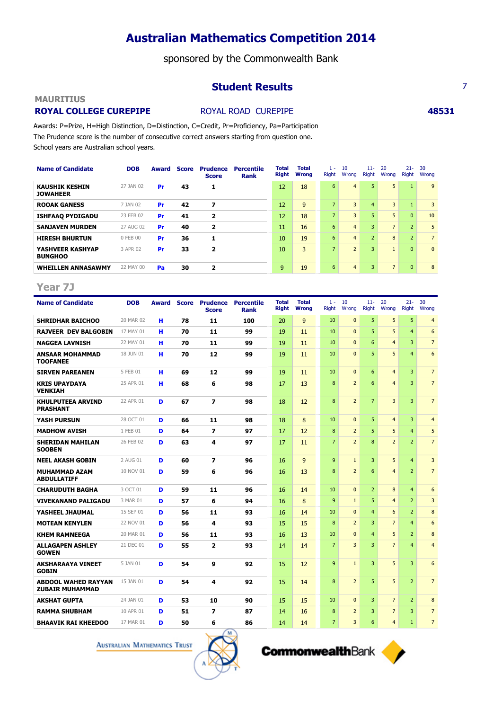sponsored by the Commonwealth Bank

## **Student Results** 7

### **MAURITIUS**

## **ROYAL COLLEGE CUREPIPE ROYAL ROAD CUREPIPE <b>48531**

Awards: P=Prize, H=High Distinction, D=Distinction, C=Credit, Pr=Proficiency, Pa=Participation The Prudence score is the number of consecutive correct answers starting from question one. School years are Australian school years.

| <b>Name of Candidate</b>                  | <b>DOB</b> | Award | <b>Score</b> | <b>Prudence</b><br><b>Score</b> | <b>Percentile</b><br>Rank | <b>Total</b><br><b>Right</b> | <b>Total</b><br><b>Wrong</b> | $1 -$<br>Right | 10<br>Wrong    | $11 -$<br>Right | 20<br>Wrong    | $21 -$<br><b>Right</b> | 30<br>Wrong    |
|-------------------------------------------|------------|-------|--------------|---------------------------------|---------------------------|------------------------------|------------------------------|----------------|----------------|-----------------|----------------|------------------------|----------------|
| <b>KAUSHIK KESHIN</b><br><b>JOWAHEER</b>  | 27 JAN 02  | Pr    | 43           | 1                               |                           | 12                           | 18                           | 6              | $\overline{4}$ | 5               | 5              |                        | 9              |
| <b>ROOAK GANESS</b>                       | 7 JAN 02   | Pr    | 42           | 7                               |                           | 12                           | 9                            | $\overline{z}$ | 3              | $\overline{4}$  | 3              | $\mathbf{1}$           | 3              |
| <b>ISHFAAQ PYDIGADU</b>                   | 23 FEB 02  | Pr    | 41           | 2                               |                           | 12                           | 18                           | 7              | $\overline{3}$ | 5               | 5              | $\overline{0}$         | 10             |
| <b>SANJAVEN MURDEN</b>                    | 27 AUG 02  | Pr    | 40           | 2                               |                           | 11                           | 16                           | 6              | $\overline{4}$ | 3               | $\overline{7}$ | $\overline{2}$         | 5              |
| <b>HIRESH BHURTUN</b>                     | 0 FEB 00   | Pr    | 36           |                                 |                           | 10                           | 19                           | 6              | $\overline{4}$ | $\overline{2}$  | 8              | $\overline{2}$         | $\overline{7}$ |
| <b>YASHVEER KASHYAP</b><br><b>BUNGHOO</b> | 3 APR 02   | Pr    | 33           | 2                               |                           | 10                           | 3                            | $\overline{z}$ | $\overline{2}$ | 3               | $\mathbf{1}$   | $\overline{0}$         | $\mathbf{0}$   |
| <b>WHEILLEN ANNASAWMY</b>                 | 22 MAY 00  | Pa    | 30           | 2                               |                           | 9                            | 19                           | 6              | $\overline{4}$ | 3               | $\overline{7}$ | $\overline{0}$         | 8              |

## **Year 7J**

| <b>Name of Candidate</b>                             | <b>DOB</b> | Award |    | <b>Score Prudence</b><br><b>Score</b> | <b>Percentile</b><br><b>Rank</b> | <b>Total</b><br><b>Right</b> | <b>Total</b><br><b>Wrong</b> | $1 -$<br>Right | 10<br>Wrong    | $11 -$<br><b>Right</b> | 20<br>Wrong    | $21 -$<br><b>Right</b> | 30<br>Wrong     |
|------------------------------------------------------|------------|-------|----|---------------------------------------|----------------------------------|------------------------------|------------------------------|----------------|----------------|------------------------|----------------|------------------------|-----------------|
| <b>SHRIDHAR BAICHOO</b>                              | 20 MAR 02  | н     | 78 | 11                                    | 100                              | 20                           | 9                            | 10             | $\Omega$       | 5                      | 5              | 5                      | $\overline{4}$  |
| <b>RAJVEER DEV BALGOBIN</b>                          | 17 MAY 01  | н     | 70 | 11                                    | 99                               | 19                           | 11                           | 10             | $\Omega$       | 5                      | 5              | $\overline{4}$         | 6               |
| <b>NAGGEA LAVNISH</b>                                | 22 MAY 01  | н     | 70 | 11                                    | 99                               | 19                           | 11                           | 10             | $\Omega$       | 6                      | $\overline{4}$ | 3                      | $7\overline{ }$ |
| <b>ANSAAR MOHAMMAD</b><br><b>TOOFANEE</b>            | 18 JUN 01  | н     | 70 | 12                                    | 99                               | 19                           | 11                           | 10             | $\Omega$       | 5                      | 5              | $\overline{4}$         | 6               |
| <b>SIRVEN PAREANEN</b>                               | 5 FEB 01   | н     | 69 | 12                                    | 99                               | 19                           | 11                           | 10             | $\Omega$       | 6                      | $\overline{4}$ | 3                      | $\overline{7}$  |
| <b>KRIS UPAYDAYA</b><br><b>VENKIAH</b>               | 25 APR 01  | н     | 68 | 6                                     | 98                               | 17                           | 13                           | 8              | $\overline{2}$ | 6                      | $\overline{4}$ | 3                      | 7 <sup>2</sup>  |
| <b>KHULPUTEEA ARVIND</b><br><b>PRASHANT</b>          | 22 APR 01  | D     | 67 | $\overline{z}$                        | 98                               | 18                           | 12                           | 8              | $\overline{2}$ | $\overline{7}$         | $\overline{3}$ | 3                      | $\overline{7}$  |
| <b>YASH PURSUN</b>                                   | 28 OCT 01  | D     | 66 | 11                                    | 98                               | 18                           | 8                            | 10             | $\Omega$       | 5                      | $\overline{4}$ | 3                      | $\overline{4}$  |
| <b>MADHOW AVISH</b>                                  | 1 FEB 01   | D     | 64 | $\overline{\phantom{a}}$              | 97                               | 17                           | 12                           | 8              | $\overline{2}$ | 5                      | 5              | $\overline{4}$         | 5               |
| <b>SHERIDAN MAHILAN</b><br><b>SOOBEN</b>             | 26 FEB 02  | D     | 63 | 4                                     | 97                               | 17                           | 11                           | $\overline{7}$ | $\overline{2}$ | $\mathbf{R}$           | $\overline{2}$ | $\overline{2}$         | $\overline{7}$  |
| <b>NEEL AKASH GOBIN</b>                              | 2 AUG 01   | D     | 60 | $\overline{ }$                        | 96                               | 16                           | 9                            | 9              | $\mathbf{1}$   | 3                      | 5              | $\overline{4}$         | 3               |
| <b>MUHAMMAD AZAM</b><br><b>ABDULLATIFF</b>           | 10 NOV 01  | D     | 59 | 6                                     | 96                               | 16                           | 13                           | 8              | $\overline{2}$ | 6                      | $\overline{4}$ | $\overline{2}$         | 7 <sup>2</sup>  |
| <b>CHARUDUTH BAGHA</b>                               | 3 OCT 01   | D     | 59 | 11                                    | 96                               | 16                           | 14                           | 10             | $\Omega$       | $\overline{2}$         | 8              | $\overline{4}$         | 6               |
| <b>VIVEKANAND PALIGADU</b>                           | 3 MAR 01   | D     | 57 | 6                                     | 94                               | 16                           | 8                            | 9              | $\mathbf{1}$   | 5                      | $\overline{4}$ | $\overline{2}$         | 3               |
| YASHEEL JHAUMAL                                      | 15 SEP 01  | D     | 56 | 11                                    | 93                               | 16                           | 14                           | 10             | $\Omega$       | $\overline{4}$         | 6              | $\overline{2}$         | 8               |
| <b>MOTEAN KENYLEN</b>                                | 22 NOV 01  | D     | 56 | 4                                     | 93                               | 15                           | 15                           | 8              | $\overline{2}$ | 3                      | $\overline{7}$ | $\overline{4}$         | 6               |
| <b>KHEM RAMNEEGA</b>                                 | 20 MAR 01  | D     | 56 | 11                                    | 93                               | 16                           | 13                           | 10             | $\Omega$       | $\overline{4}$         | 5              | $\overline{2}$         | 8               |
| <b>ALLAGAPEN ASHLEY</b><br><b>GOWEN</b>              | 21 DEC 01  | D     | 55 | $\overline{2}$                        | 93                               | 14                           | 14                           | 7              | 3              | 3                      | $\overline{7}$ | $\overline{4}$         | $\overline{4}$  |
| <b>AKSHARAAYA VINEET</b><br><b>GOBIN</b>             | 5 JAN 01   | D     | 54 | 9                                     | 92                               | 15                           | 12                           | 9              | $\mathbf{1}$   | 3                      | 5              | 3                      | 6               |
| <b>ABDOOL WAHED RAYYAN</b><br><b>ZUBAIR MUHAMMAD</b> | 15 JAN 01  | D     | 54 | 4                                     | 92                               | 15                           | 14                           | 8              | $\overline{2}$ | 5                      | 5              | $\overline{2}$         | $\overline{7}$  |
| <b>AKSHAT GUPTA</b>                                  | 24 JAN 01  | D     | 53 | 10                                    | 90                               | 15                           | 15                           | 10             | $\Omega$       | 3                      | $\overline{7}$ | $\overline{2}$         | 8               |
| <b>RAMMA SHUBHAM</b>                                 | 10 APR 01  | D     | 51 | 7                                     | 87                               | 14                           | 16                           | 8              | $\overline{2}$ | 3                      | $\overline{7}$ | 3                      | $\overline{7}$  |
| <b>BHAAVIK RAI KHEEDOO</b>                           | 17 MAR 01  | D     | 50 | 6                                     | 86                               | 14                           | 14                           | $\overline{7}$ | 3              | 6                      | $\overline{4}$ | $\mathbf{1}$           | $\overline{7}$  |



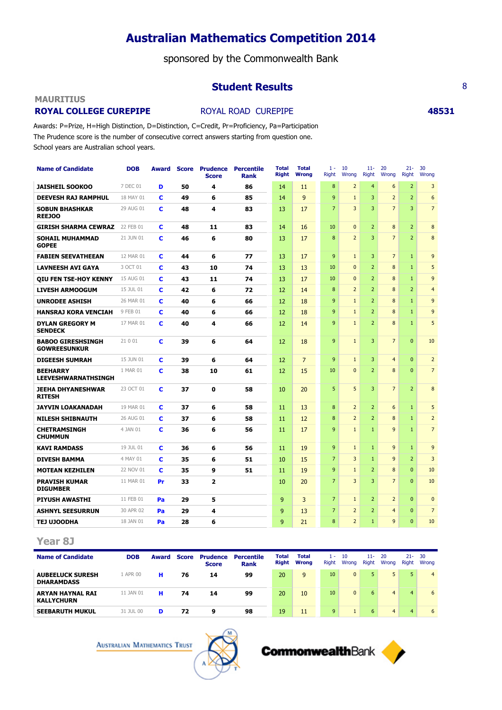sponsored by the Commonwealth Bank

## **Student Results** 8

### **MAURITIUS**

## **ROYAL COLLEGE CUREPIPE ROYAL ROAD CUREPIPE <b>48531**

Awards: P=Prize, H=High Distinction, D=Distinction, C=Credit, Pr=Proficiency, Pa=Participation The Prudence score is the number of consecutive correct answers starting from question one. School years are Australian school years.

| <b>Name of Candidate</b>                        | <b>DOB</b> | Award | <b>Score</b> | <b>Prudence</b><br><b>Score</b> | <b>Percentile</b><br><b>Rank</b> | <b>Total</b><br>Right | <b>Total</b><br><b>Wrong</b> | $1 -$<br>Right | 10<br>Wrong    | $11-$<br>Right | 20<br>Wrong    | $21 -$<br>Right | 30<br>Wrong    |
|-------------------------------------------------|------------|-------|--------------|---------------------------------|----------------------------------|-----------------------|------------------------------|----------------|----------------|----------------|----------------|-----------------|----------------|
| <b>JAISHEIL SOOKOO</b>                          | 7 DEC 01   | D     | 50           | 4                               | 86                               | 14                    | 11                           | 8              | $\overline{2}$ | $\overline{4}$ | 6              | $\overline{2}$  | 3              |
| <b>DEEVESH RAJ RAMPHUL</b>                      | 18 MAY 01  | c     | 49           | 6                               | 85                               | 14                    | $\mathbf{q}$                 | 9              | $\mathbf{1}$   | $\overline{3}$ | $\overline{2}$ | $\overline{2}$  | 6              |
| <b>SOBUN BHASHKAR</b><br><b>REEJOO</b>          | 29 AUG 01  | c     | 48           | 4                               | 83                               | 13                    | 17                           | $\overline{7}$ | 3              | $\overline{3}$ | $\overline{7}$ | 3               | $\overline{7}$ |
| <b>GIRISH SHARMA CEWRAZ</b>                     | 22 FEB 01  | c     | 48           | 11                              | 83                               | 14                    | 16                           | 10             | $\mathbf{0}$   | $\overline{2}$ | 8              | $\overline{2}$  | 8              |
| <b>SOHAIL MUHAMMAD</b><br><b>GOPEE</b>          | 21 JUN 01  | C     | 46           | 6                               | 80                               | 13                    | 17                           | 8              | $\overline{2}$ | $\overline{3}$ | $\overline{7}$ | $\overline{2}$  | 8              |
| <b>FABIEN SEEVATHEEAN</b>                       | 12 MAR 01  | C     | 44           | 6                               | 77                               | 13                    | 17                           | 9              | $\mathbf{1}$   | 3              | $\overline{7}$ | $\mathbf{1}$    | 9              |
| <b>LAVNEESH AVI GAYA</b>                        | 3 OCT 01   | c     | 43           | 10                              | 74                               | 13                    | 13                           | 10             | $\mathbf{0}$   | $\overline{2}$ | $\bf 8$        | $\mathbf{1}$    | 5              |
| <b>QIU FEN TSE-HOY KENNY</b>                    | 15 AUG 01  | c     | 43           | 11                              | 74                               | 13                    | 17                           | 10             | $\Omega$       | $\overline{2}$ | 8              | $\mathbf{1}$    | 9              |
| <b>LIVESH ARMOOGUM</b>                          | 15 JUL 01  | c     | 42           | 6                               | 72                               | 12                    | 14                           | 8              | $\overline{2}$ | $\overline{2}$ | 8              | $\overline{2}$  | $\overline{4}$ |
| <b>UNRODEE ASHISH</b>                           | 26 MAR 01  | C     | 40           | 6                               | 66                               | 12                    | 18                           | 9              | $\mathbf{1}$   | $\overline{2}$ | 8              | $\mathbf{1}$    | 9              |
| <b>HANSRAJ KORA VENCIAH</b>                     | 9 FEB 01   | c     | 40           | 6                               | 66                               | 12                    | 18                           | 9              | $\mathbf{1}$   | $\overline{2}$ | $\bf 8$        | $\mathbf{1}$    | 9              |
| <b>DYLAN GREGORY M</b><br><b>SENDECK</b>        | 17 MAR 01  | c     | 40           | 4                               | 66                               | 12                    | 14                           | 9              | $\mathbf{1}$   | $\overline{2}$ | 8              | $\mathbf{1}$    | 5              |
| <b>BABOO GIRESHSINGH</b><br><b>GOWREESUNKUR</b> | 21 0 01    | c     | 39           | 6                               | 64                               | 12                    | 18                           | 9              | $\mathbf{1}$   | 3              | $\overline{7}$ | $\Omega$        | 10             |
| <b>DIGEESH SUMRAH</b>                           | 15 JUN 01  | c     | 39           | 6                               | 64                               | 12                    | $\overline{7}$               | 9              | $\mathbf{1}$   | 3              | $\overline{4}$ | $\Omega$        | $\overline{2}$ |
| <b>BEEHARRY</b><br><b>LEEVESHWARNATHSINGH</b>   | 1 MAR 01   | C     | 38           | 10                              | 61                               | 12                    | 15                           | 10             | $\mathbf{0}$   | $\overline{2}$ | 8              | $\Omega$        | $\overline{7}$ |
| <b>JEEHA DHYANESHWAR</b><br><b>RITESH</b>       | 23 OCT 01  | C     | 37           | $\mathbf 0$                     | 58                               | 10                    | 20                           | 5              | 5              | $\overline{3}$ | $\overline{7}$ | $\overline{2}$  | 8              |
| <b>JAYVIN LOAKANADAH</b>                        | 19 MAR 01  | C     | 37           | 6                               | 58                               | 11                    | 13                           | 8              | $\overline{2}$ | $\overline{2}$ | 6              | $\mathbf{1}$    | 5              |
| <b>NILESH SHIBNAUTH</b>                         | 26 AUG 01  | C     | 37           | 6                               | 58                               | 11                    | 12                           | 8              | $\overline{2}$ | $\overline{2}$ | 8              | $\mathbf{1}$    | $\overline{2}$ |
| <b>CHETRAMSINGH</b><br><b>CHUMMUN</b>           | 4 JAN 01   | c     | 36           | 6                               | 56                               | 11                    | 17                           | 9              | $\mathbf{1}$   | $\mathbf{1}$   | 9              | $\mathbf{1}$    | $\overline{7}$ |
| <b>KAVI RAMDASS</b>                             | 19 JUL 01  | c     | 36           | 6                               | 56                               | 11                    | 19                           | 9              | $\mathbf{1}$   | $\mathbf{1}$   | 9              | $\mathbf{1}$    | 9              |
| <b>DIVESH BAMMA</b>                             | 4 MAY 01   | c     | 35           | 6                               | 51                               | 10                    | 15                           | $\overline{7}$ | 3              | $\mathbf{1}$   | 9              | 2               | 3              |
| <b>MOTEAN KEZHILEN</b>                          | 22 NOV 01  | C     | 35           | 9                               | 51                               | 11                    | 19                           | 9              | $\mathbf{1}$   | $\overline{2}$ | $\bf 8$        | $\Omega$        | 10             |
| <b>PRAVISH KUMAR</b><br><b>DIGUMBER</b>         | 11 MAR 01  | Pr    | 33           | $\overline{2}$                  |                                  | 10                    | 20                           | $\overline{7}$ | 3              | $\overline{3}$ | $\overline{7}$ | $\mathbf{0}$    | 10             |
| <b>PIYUSH AWASTHI</b>                           | 11 FEB 01  | Pa    | 29           | 5                               |                                  | 9                     | 3                            | $\overline{7}$ | $\mathbf{1}$   | $\overline{2}$ | $\overline{2}$ | $\mathbf{0}$    | $\mathbf 0$    |
| <b>ASHNYL SEESURRUN</b>                         | 30 APR 02  | Pa    | 29           | 4                               |                                  | $\mathsf{q}$          | 13                           | $\overline{7}$ | $\overline{2}$ | $\overline{2}$ | $\overline{4}$ | $\Omega$        | $\overline{7}$ |
| TEJ UJOODHA                                     | 18 JAN 01  | Pa    | 28           | 6                               |                                  | $\mathsf{Q}$          | 21                           | 8              | $\overline{2}$ | $\mathbf{1}$   | 9              | $\Omega$        | 10             |

**Year 8J**

| <b>Name of Candidate</b>                     | <b>DOB</b> | Award | Score | <b>Prudence</b><br><b>Score</b> | Percentile<br><b>Rank</b> | Total<br>Right | <b>Total</b><br><b>Wrong</b> | $1 -$<br><b>Right</b> | 10<br>Wrong    | $11 -$<br>Right | -20<br>Wrong   | $21 - 30$<br>Right | Wrona          |
|----------------------------------------------|------------|-------|-------|---------------------------------|---------------------------|----------------|------------------------------|-----------------------|----------------|-----------------|----------------|--------------------|----------------|
| <b>AUBEELUCK SURESH</b><br><b>DHARAMDASS</b> | 1 APR 00   | н     | 76    | 14                              | 99                        | 20             | 9                            | 10                    | $\overline{0}$ | $5-1$           | 5              | 5.                 | $\overline{4}$ |
| <b>ARYAN HAYNAL RAI</b><br><b>KALLYCHURN</b> | 11 JAN 01  | н     | 74    | 14                              | 99                        | 20             | 10                           | 10                    | $\mathbf{0}$   | 6.              | $\overline{4}$ | $\overline{4}$     | 6              |
| <b>SEEBARUTH MUKUL</b>                       | 31 JUL 00  | D     | 72    | 9                               | 98                        | 19             | 11                           | 9                     |                | 6.              | $\overline{4}$ | $\overline{4}$     | 6              |

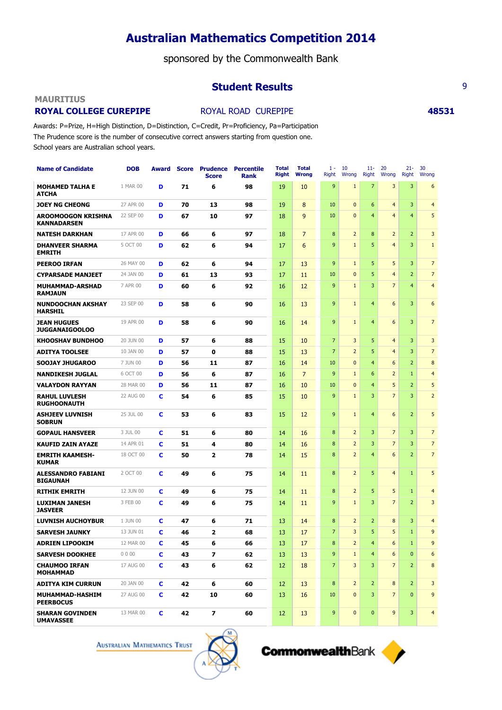sponsored by the Commonwealth Bank

## **Student Results** 9

### **MAURITIUS**

## **ROYAL COLLEGE CUREPIPE ROYAL ROAD CUREPIPE <b>48531**

Awards: P=Prize, H=High Distinction, D=Distinction, C=Credit, Pr=Proficiency, Pa=Participation The Prudence score is the number of consecutive correct answers starting from question one. School years are Australian school years.

| <b>Name of Candidate</b>                        | <b>DOB</b> | Award       |    | <b>Score Prudence Percentile</b><br><b>Score</b> | <b>Rank</b> | <b>Total</b><br><b>Right</b> | <b>Total</b><br><b>Wrong</b> | $1 -$<br>Right | 10<br>Wrong    | $11-$<br><b>Right</b> | 20<br>Wrong             | $21 -$<br>Right | 30<br>Wrona             |
|-------------------------------------------------|------------|-------------|----|--------------------------------------------------|-------------|------------------------------|------------------------------|----------------|----------------|-----------------------|-------------------------|-----------------|-------------------------|
| <b>MOHAMED TALHA E</b><br><b>ATCHA</b>          | 1 MAR 00   | D           | 71 | 6                                                | 98          | 19                           | 10                           | 9              | $\mathbf{1}$   | $\overline{7}$        | 3                       | 3               | 6                       |
| <b>JOEY NG CHEONG</b>                           | 27 APR 00  | D           | 70 | 13                                               | 98          | 19                           | 8                            | 10             | $\mathbf{0}$   | $6\phantom{1}6$       | $\overline{\mathbf{4}}$ | 3               | $\overline{4}$          |
| <b>AROOMOOGON KRISHNA</b><br><b>KANNADARSEN</b> | 22 SEP 00  | D           | 67 | 10                                               | 97          | 18                           | 9                            | 10             | $\mathbf{0}$   | $\overline{4}$        | $\overline{4}$          | $\overline{4}$  | 5                       |
| <b>NATESH DARKHAN</b>                           | 17 APR 00  | D           | 66 | 6                                                | 97          | 18                           | $\overline{7}$               | 8              | $\overline{2}$ | 8                     | $\overline{2}$          | $\overline{2}$  | 3                       |
| <b>DHANVEER SHARMA</b><br><b>EMRITH</b>         | 5 OCT 00   | D           | 62 | 6                                                | 94          | 17                           | 6                            | 9              | $1\,$          | 5                     | $\overline{4}$          | $\overline{3}$  | $\mathbf{1}$            |
| <b>PEEROO IRFAN</b>                             | 26 MAY 00  | D           | 62 | 6                                                | 94          | 17                           | 13                           | 9              | $\mathbf{1}$   | 5                     | 5                       | 3               | $\overline{7}$          |
| <b>CYPARSADE MANJEET</b>                        | 24 JAN 00  | D           | 61 | 13                                               | 93          | 17                           | 11                           | 10             | $\mathbf{0}$   | 5                     | $\overline{\mathbf{4}}$ | $\overline{2}$  | $\overline{7}$          |
| MUHAMMAD-ARSHAD<br><b>RAMJAUN</b>               | 7 APR 00   | D           | 60 | 6                                                | 92          | 16                           | 12                           | 9              | $1\,$          | 3                     | $\overline{7}$          | $\overline{4}$  | $\overline{\mathbf{4}}$ |
| <b>NUNDOOCHAN AKSHAY</b><br><b>HARSHIL</b>      | 23 SEP 00  | D           | 58 | 6                                                | 90          | 16                           | 13                           | 9              | $\mathbf{1}$   | $\overline{4}$        | 6                       | $\overline{3}$  | 6                       |
| <b>JEAN HUGUES</b><br><b>JUGGANAIGOOLOO</b>     | 19 APR 00  | D           | 58 | 6                                                | 90          | 16                           | 14                           | 9              | $\mathbf{1}$   | $\overline{4}$        | 6                       | 3               | $\overline{7}$          |
| <b>KHOOSHAV BUNDHOO</b>                         | 20 JUN 00  | D           | 57 | 6                                                | 88          | 15                           | 10                           | $\overline{7}$ | 3              | 5                     | $\overline{4}$          | $\overline{3}$  | 3                       |
| <b>ADITYA TOOLSEE</b>                           | 10 JAN 00  | D           | 57 | $\mathbf o$                                      | 88          | 15                           | 13                           | $\overline{7}$ | $\overline{2}$ | 5                     | $\overline{4}$          | $\overline{3}$  | $\overline{7}$          |
| <b>SOOJAY JHUGAROO</b>                          | 7 JUN 00   | D           | 56 | 11                                               | 87          | 16                           | 14                           | 10             | $\mathbf{0}$   | $\overline{4}$        | 6                       | $\overline{2}$  | 8                       |
| <b>NANDIKESH JUGLAL</b>                         | 6 OCT 00   | D           | 56 | 6                                                | 87          | 16                           | $\overline{7}$               | 9              | $\mathbf{1}$   | 6                     | $\overline{2}$          | $\mathbf{1}$    | $\overline{\mathbf{4}}$ |
| <b>VALAYDON RAYYAN</b>                          | 28 MAR 00  | D           | 56 | 11                                               | 87          | 16                           | 10                           | 10             | $\overline{0}$ | $\overline{4}$        | 5                       | $\overline{2}$  | 5                       |
| <b>RAHUL LUVLESH</b><br><b>RUGHOONAUTH</b>      | 22 AUG 00  | c           | 54 | 6                                                | 85          | 15                           | 10                           | $\overline{9}$ | $\mathbf{1}$   | 3                     | $\overline{7}$          | $\overline{3}$  | $\overline{2}$          |
| <b>ASHJEEV LUVNISH</b><br><b>SOBRUN</b>         | 25 JUL 00  | C           | 53 | 6                                                | 83          | 15                           | 12                           | 9              | $\mathbf{1}$   | $\overline{4}$        | 6                       | $\overline{2}$  | 5                       |
| <b>GOPAUL HANSVEER</b>                          | 3 JUL 00   | c           | 51 | 6                                                | 80          | 14                           | 16                           | 8              | $\overline{2}$ | 3                     | $\overline{7}$          | $\overline{3}$  | $\overline{7}$          |
| <b>KAUFID ZAIN AYAZE</b>                        | 14 APR 01  | c           | 51 | $\overline{\mathbf{4}}$                          | 80          | 14                           | 16                           | 8              | $\overline{2}$ | 3                     | $\overline{7}$          | $\overline{3}$  | $\overline{7}$          |
| <b>EMRITH KAAMESH-</b><br><b>KUMAR</b>          | 18 OCT 00  | c           | 50 | $\overline{\mathbf{2}}$                          | 78          | 14                           | 15                           | 8              | $\overline{2}$ | $\overline{4}$        | 6                       | $\overline{2}$  | $\overline{7}$          |
| <b>ALESSANDRO FABIANI</b><br><b>BIGAUNAH</b>    | 2 OCT 00   | c           | 49 | 6                                                | 75          | 14                           | 11                           | 8              | $\overline{2}$ | 5                     | $\overline{4}$          | $\mathbf{1}$    | 5                       |
| <b>RITHIK EMRITH</b>                            | 12 JUN 00  | c           | 49 | 6                                                | 75          | 14                           | 11                           | 8              | $\overline{2}$ | 5                     | 5                       | $\mathbf{1}$    | $\overline{4}$          |
| <b>LUXIMAN JANESH</b><br><b>JASVEER</b>         | 3 FEB 00   | C           | 49 | 6                                                | 75          | 14                           | 11                           | 9              | $\mathbf{1}$   | 3                     | $\overline{7}$          | $\overline{2}$  | 3                       |
| <b>LUVNISH AUCHOYBUR</b>                        | 1 JUN 00   | c           | 47 | 6                                                | 71          | 13                           | 14                           | 8              | $\overline{2}$ | $\overline{2}$        | $\bf 8$                 | $\overline{3}$  | $\overline{4}$          |
| <b>SARVESH JAUNKY</b>                           | 13 JUN 01  | c           | 46 | $\overline{\mathbf{z}}$                          | 68          | 13                           | 17                           | 7              | 3              | 5                     | 5                       | $\mathbf{1}$    | 9                       |
| <b>ADRIEN LIPOOKIM</b>                          | 12 MAR 00  | $\mathbf c$ | 45 | 6                                                | 66          | 13                           | 17                           | 8              | $\overline{2}$ | 4                     | 6                       | $\mathbf{1}$    | 9                       |
| <b>SARVESH DOOKHEE</b>                          | 0000       | C           | 43 | $\overline{\mathbf{z}}$                          | 62          | 13                           | 13                           | 9              | $\mathbf{1}$   | $\overline{4}$        | 6                       | $\bf{0}$        | 6                       |
| <b>CHAUMOO IRFAN</b><br><b>MOHAMMAD</b>         | 17 AUG 00  | C           | 43 | 6                                                | 62          | 12                           | 18                           | $\overline{7}$ | $\overline{3}$ | 3                     | $\overline{7}$          | $\overline{2}$  | 8                       |
| <b>ADITYA KIM CURRUN</b>                        | 20 JAN 00  | C           | 42 | 6                                                | 60          | 12                           | 13                           | 8              | $\overline{2}$ | $\overline{2}$        | 8                       | $\overline{2}$  | 3                       |
| MUHAMMAD-HASHIM<br><b>PEERBOCUS</b>             | 27 AUG 00  | C           | 42 | 10                                               | 60          | 13                           | 16                           | 10             | $\mathbf{0}$   | 3                     | $\overline{7}$          | $\mathbf{0}$    | 9                       |
| <b>SHARAN GOVINDEN</b><br><b>UMAVASSEE</b>      | 13 MAR 00  | C           | 42 | $\overline{\mathbf{z}}$                          | 60          | 12 <sup>2</sup>              | 13                           | 9              | $\mathbf{0}$   | $\pmb{0}$             | 9                       | 3               | $\overline{4}$          |



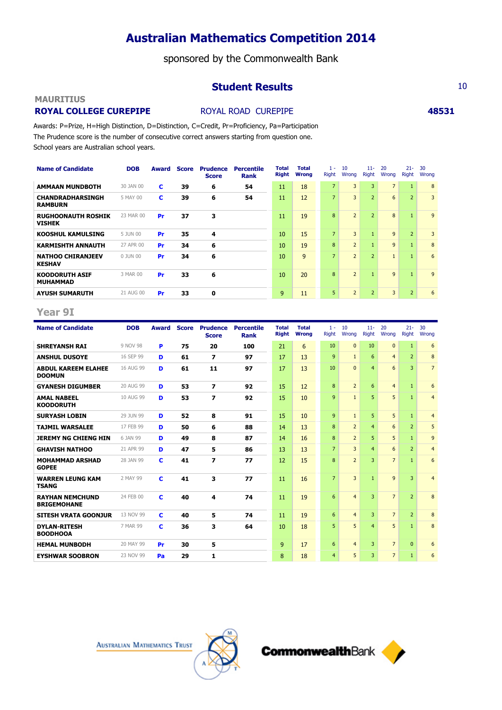sponsored by the Commonwealth Bank

## **Student Results** 10

## **MAURITIUS**

## **ROYAL COLLEGE CUREPIPE ABS31 ABS31 48531**

Awards: P=Prize, H=High Distinction, D=Distinction, C=Credit, Pr=Proficiency, Pa=Participation The Prudence score is the number of consecutive correct answers starting from question one. School years are Australian school years.

| <b>Name of Candidate</b>                   | <b>DOB</b> | Award | <b>Score</b> | <b>Prudence</b><br><b>Score</b> | <b>Percentile</b><br>Rank | Total<br><b>Right</b> | Total<br><b>Wrong</b> | $1 -$<br><b>Right</b> | 10<br>Wrong    | $11 -$<br><b>Right</b> | 20<br>Wrong    | $21 -$<br>Right | 30<br>Wrong |
|--------------------------------------------|------------|-------|--------------|---------------------------------|---------------------------|-----------------------|-----------------------|-----------------------|----------------|------------------------|----------------|-----------------|-------------|
| <b>AMMAAN MUNDBOTH</b>                     | 30 JAN 00  | c     | 39           | 6                               | 54                        | 11                    | 18                    | $\overline{7}$        | 3              | 3                      | $\overline{7}$ | $\mathbf{1}$    | 8           |
| <b>CHANDRADHARSINGH</b><br><b>RAMBURN</b>  | 5 MAY 00   | c     | 39           | 6                               | 54                        | 11                    | 12                    | $\overline{7}$        | 3              | $\overline{2}$         | 6              | $\overline{2}$  | 3           |
| <b>RUGHOONAUTH ROSHIK</b><br><b>VISHEK</b> | 23 MAR 00  | Pr    | 37           | 3                               |                           | 11                    | 19                    | 8                     | $\overline{2}$ | $\overline{2}$         | 8              | $\mathbf{1}$    | 9           |
| <b>KOOSHUL KAMULSING</b>                   | 5 JUN 00   | Pr    | 35           | 4                               |                           | 10                    | 15                    | $\overline{7}$        | 3              | $\mathbf{1}$           | 9              | $\overline{2}$  | 3           |
| <b>KARMISHTH ANNAUTH</b>                   | 27 APR 00  | Pr    | 34           | 6                               |                           | 10                    | 19                    | 8                     | $\overline{2}$ | $\mathbf{1}$           | 9              | $\mathbf{1}$    | 8           |
| <b>NATHOO CHIRANJEEV</b><br><b>KESHAV</b>  | 0 JUN 00   | Pr    | 34           | 6                               |                           | 10                    | 9                     | $\overline{7}$        | $\overline{2}$ | $\overline{2}$         | $\mathbf{1}$   | $\mathbf{1}$    | 6           |
| <b>KOODORUTH ASIF</b><br><b>MUHAMMAD</b>   | 3 MAR 00   | Pr    | 33           | 6                               |                           | 10                    | 20                    | 8                     | $\overline{2}$ | $\mathbf{1}$           | 9              | $\blacksquare$  | 9           |
| <b>AYUSH SUMARUTH</b>                      | 21 AUG 00  | Pr    | 33           | 0                               |                           | 9                     | 11                    | 5                     | $\overline{2}$ | $\overline{2}$         | $\overline{3}$ | $\overline{2}$  | 6           |

### **Year 9I**

| <b>Name of Candidate</b>                     | <b>DOB</b> | Award | <b>Score</b> | <b>Prudence</b><br><b>Score</b> | <b>Percentile</b><br><b>Rank</b> | <b>Total</b><br><b>Right</b> | <b>Total</b><br><b>Wrong</b> | $1 -$<br><b>Right</b> | 10<br>Wrong    | $11 -$<br><b>Right</b> | 20<br>Wrong     | $21 -$<br>Right | 30<br>Wrong    |
|----------------------------------------------|------------|-------|--------------|---------------------------------|----------------------------------|------------------------------|------------------------------|-----------------------|----------------|------------------------|-----------------|-----------------|----------------|
| <b>SHREYANSH RAI</b>                         | 9 NOV 98   | P     | 75           | 20                              | 100                              | 21                           | 6                            | 10                    | $\Omega$       | 10                     | $\Omega$        | $\mathbf{1}$    | 6              |
| <b>ANSHUL DUSOYE</b>                         | 16 SEP 99  | D     | 61           | $\overline{\phantom{a}}$        | 97                               | 17                           | 13                           | 9                     | $\mathbf{1}$   | 6                      | $\overline{4}$  | $\overline{2}$  | 8              |
| <b>ABDUL KAREEM ELAHEE</b><br><b>DOOMUN</b>  | 16 AUG 99  | D     | 61           | 11                              | 97                               | 17                           | 13                           | 10                    | $\Omega$       | $\overline{4}$         | 6               | 3               | $\overline{7}$ |
| <b>GYANESH DIGUMBER</b>                      | 20 AUG 99  | D     | 53           | 7                               | 92                               | 15                           | 12                           | 8                     | $\overline{2}$ | 6                      | $\overline{4}$  | $\mathbf{1}$    | 6              |
| <b>AMAL NABEEL</b><br><b>KOODORUTH</b>       | 10 AUG 99  | D     | 53           | $\overline{\mathbf{z}}$         | 92                               | 15                           | 10                           | 9                     | $\mathbf{1}$   | 5.                     | 5               | $\mathbf{1}$    | $\overline{4}$ |
| <b>SURYASH LOBIN</b>                         | 29 JUN 99  | D     | 52           | 8                               | 91                               | 15                           | 10                           | 9                     | $\mathbf{1}$   | 5.                     | 5               | $\mathbf{1}$    | $\overline{4}$ |
| <b>TAJMIL WARSALEE</b>                       | 17 FEB 99  | D     | 50           | 6                               | 88                               | 14                           | 13                           | 8                     | $\overline{2}$ | $\overline{4}$         | 6               | $\overline{2}$  | 5              |
| <b>JEREMY NG CHIENG HIN</b>                  | 6 JAN 99   | D     | 49           | 8                               | 87                               | 14                           | 16                           | 8                     | $\overline{2}$ | 5.                     | 5               | $\mathbf{1}$    | 9              |
| <b>GHAVISH NATHOO</b>                        | 21 APR 99  | D     | 47           | 5                               | 86                               | 13                           | 13                           | $\overline{7}$        | 3              | $\overline{4}$         | 6               | $\overline{2}$  | $\overline{4}$ |
| <b>MOHAMMAD ARSHAD</b><br><b>GOPEE</b>       | 28 JAN 99  | c     | 41           | $\overline{z}$                  | 77                               | 12                           | 15                           | 8                     | $\overline{2}$ | 3                      | $\overline{7}$  | $\mathbf{1}$    | 6              |
| <b>WARREN LEUNG KAM</b><br><b>TSANG</b>      | 2 MAY 99   | c     | 41           | 3                               | 77                               | 11                           | 16                           | $\overline{7}$        | 3              | $\mathbf{1}$           | 9               | $\overline{3}$  | $\overline{4}$ |
| <b>RAYHAN NEMCHUND</b><br><b>BRIGEMOHANE</b> | 24 FEB 00  | C     | 40           | 4                               | 74                               | 11                           | 19                           | 6                     | $\overline{4}$ | 3                      | $\overline{7}$  | $\overline{2}$  | 8              |
| <b>SITESH VRATA GOONJUR</b>                  | 13 NOV 99  | C     | 40           | 5                               | 74                               | 11                           | 19                           | 6                     | $\overline{4}$ | 3                      | $7\overline{ }$ | $\overline{2}$  | 8              |
| <b>DYLAN-RITESH</b><br><b>BOODHOOA</b>       | 7 MAR 99   | c     | 36           | 3                               | 64                               | 10                           | 18                           | 5                     | 5              | $\overline{4}$         | 5               | $\mathbf{1}$    | 8              |
| <b>HEMAL MUNBODH</b>                         | 20 MAY 99  | Pr    | 30           | 5                               |                                  | 9                            | 17                           | 6                     | $\overline{4}$ | 3                      | $\overline{7}$  | $\mathbf{0}$    | 6              |
| <b>EYSHWAR SOOBRON</b>                       | 23 NOV 99  | Pa    | 29           | 1                               |                                  | 8                            | 18                           | $\overline{4}$        | 5              | 3                      | $\overline{7}$  | $\mathbf{1}$    | 6              |



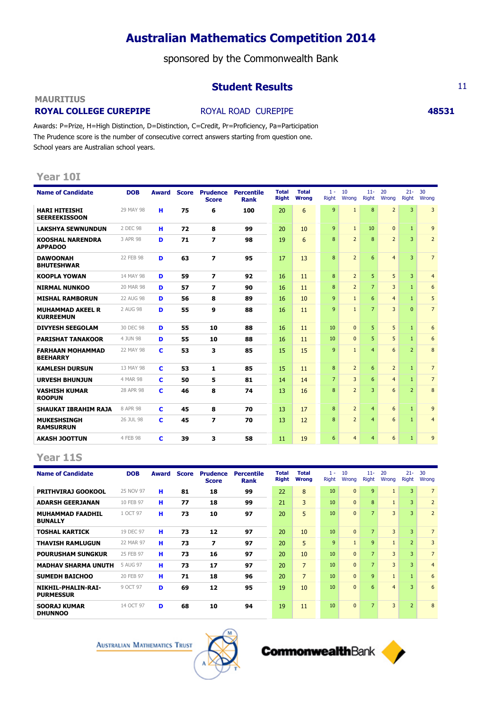sponsored by the Commonwealth Bank

## **Student Results** 11

### **MAURITIUS**

## **ROYAL COLLEGE CUREPIPE ROYAL ROAD CUREPIPE <b>48531**

Awards: P=Prize, H=High Distinction, D=Distinction, C=Credit, Pr=Proficiency, Pa=Participation The Prudence score is the number of consecutive correct answers starting from question one. School years are Australian school years.

## **Year 10I**

| <b>Name of Candidate</b>                     | <b>DOB</b> | Award |    | <b>Score Prudence</b><br><b>Score</b> | <b>Percentile</b><br><b>Rank</b> | <b>Total</b><br><b>Right</b> | <b>Total</b><br><b>Wrong</b> | $1 -$<br><b>Right</b> | 10<br>Wrong    | $11-$<br>Right | 20<br>Wrona    | $21 -$<br>Right | 30<br>Wrong    |
|----------------------------------------------|------------|-------|----|---------------------------------------|----------------------------------|------------------------------|------------------------------|-----------------------|----------------|----------------|----------------|-----------------|----------------|
| <b>HARI HITEISHI</b><br><b>SEEREEKISSOON</b> | 29 MAY 98  | н     | 75 | 6                                     | 100                              | 20                           | 6                            | 9                     | $\mathbf{1}$   | 8              | $\overline{2}$ | $\overline{3}$  | $\overline{3}$ |
| <b>LAKSHYA SEWNUNDUN</b>                     | 2 DEC 98   | н     | 72 | 8                                     | 99                               | 20                           | 10                           | $\mathbf{q}$          | $\mathbf{1}$   | 10             | $\Omega$       | $\mathbf{1}$    | $\overline{9}$ |
| <b>KOOSHAL NARENDRA</b><br><b>APPADOO</b>    | 3 APR 98   | D     | 71 | $\overline{\mathbf{z}}$               | 98                               | 19                           | 6                            | 8                     | $\overline{2}$ | 8              | $\overline{2}$ | 3               | $\overline{2}$ |
| <b>DAWOONAH</b><br><b>BHUTESHWAR</b>         | 22 FEB 98  | D     | 63 | $\overline{z}$                        | 95                               | 17                           | 13                           | 8                     | $\overline{2}$ | 6              | $\overline{4}$ | 3               | $\overline{7}$ |
| <b>KOOPLA YOWAN</b>                          | 14 MAY 98  | D     | 59 | 7                                     | 92                               | 16                           | 11                           | 8                     | $\overline{2}$ | 5              | 5              | 3               | $\overline{4}$ |
| <b>NIRMAL NUNKOO</b>                         | 20 MAR 98  | D     | 57 | 7                                     | 90                               | 16                           | 11                           | 8                     | $\overline{2}$ | $\overline{7}$ | 3              | $\mathbf{1}$    | 6              |
| <b>MISHAL RAMBORUN</b>                       | 22 AUG 98  | D     | 56 | 8                                     | 89                               | 16                           | 10                           | 9                     | $\mathbf{1}$   | 6              | $\overline{4}$ | $\mathbf{1}$    | 5              |
| <b>MUHAMMAD AKEEL R</b><br><b>KURREEMUN</b>  | 2 AUG 98   | D     | 55 | 9                                     | 88                               | 16                           | 11                           | 9                     | $\mathbf{1}$   | $\overline{7}$ | 3              | $\Omega$        | $\overline{7}$ |
| <b>DIVYESH SEEGOLAM</b>                      | 30 DEC 98  | D     | 55 | 10                                    | 88                               | 16                           | 11                           | 10                    | $\Omega$       | 5              | 5              | $\mathbf{1}$    | 6              |
| <b>PARISHAT TANAKOOR</b>                     | 4 JUN 98   | D     | 55 | 10                                    | 88                               | 16                           | 11                           | 10                    | $\Omega$       | 5              | 5              | $\mathbf{1}$    | 6              |
| <b>FARHAAN MOHAMMAD</b><br><b>BEEHARRY</b>   | 22 MAY 98  | c     | 53 | 3                                     | 85                               | 15                           | 15                           | 9                     | $\mathbf{1}$   | $\overline{4}$ | 6              | $\overline{2}$  | 8              |
| <b>KAMLESH DURSUN</b>                        | 13 MAY 98  | c     | 53 | 1                                     | 85                               | 15                           | 11                           | 8                     | $\overline{2}$ | 6              | $\overline{2}$ | $\mathbf{1}$    | $\overline{7}$ |
| <b>URVESH BHUNJUN</b>                        | 4 MAR 98   | c     | 50 | 5                                     | 81                               | 14                           | 14                           | $\overline{7}$        | 3              | 6              | $\overline{4}$ | $\mathbf{1}$    | $\overline{7}$ |
| <b>VASHISH KUMAR</b><br><b>ROOPUN</b>        | 28 APR 98  | c     | 46 | 8                                     | 74                               | 13                           | 16                           | 8                     | $\overline{2}$ | 3              | 6              | $\overline{2}$  | 8              |
| <b>SHAUKAT IBRAHIM RAJA</b>                  | 8 APR 98   | c     | 45 | 8                                     | 70                               | 13                           | 17                           | 8                     | $\overline{2}$ | $\overline{4}$ | 6              | $\mathbf{1}$    | 9              |
| <b>MUKESHSINGH</b><br><b>RAMSURRUN</b>       | 26 JUL 98  | C     | 45 | $\overline{ }$                        | 70                               | 13                           | 12                           | 8                     | $\overline{2}$ | $\overline{4}$ | 6              | $\mathbf{1}$    | $\overline{4}$ |
| <b>AKASH JOOTTUN</b>                         | 4 FEB 98   | c     | 39 | з                                     | 58                               | 11                           | 19                           | 6                     | $\overline{4}$ | $\overline{4}$ | 6              | $\mathbf{1}$    | 9              |

## **Year 11S**

| <b>Name of Candidate</b>                  | <b>DOB</b> | Award | <b>Score</b> | <b>Prudence</b><br><b>Score</b> | <b>Percentile</b><br><b>Rank</b> | <b>Total</b><br><b>Right</b> | <b>Total</b><br><b>Wrong</b> | $1 -$<br><b>Right</b> | 10<br>Wrong  | $11 -$<br><b>Right</b> | 20<br>Wrong             | $21 -$<br><b>Right</b> | 30<br>Wrong    |
|-------------------------------------------|------------|-------|--------------|---------------------------------|----------------------------------|------------------------------|------------------------------|-----------------------|--------------|------------------------|-------------------------|------------------------|----------------|
| <b>PRITHVIRAJ GOOKOOL</b>                 | 25 NOV 97  | н     | 81           | 18                              | 99                               | 22                           | 8                            | 10                    | $\Omega$     | 9                      |                         | 3                      | $\overline{7}$ |
| <b>ADARSH GEERJANAN</b>                   | 10 FEB 97  | н     | 77           | 18                              | 99                               | 21                           | 3                            | 10                    | $\Omega$     | $\overline{8}$         |                         | 3                      | $\overline{2}$ |
| <b>MUHAMMAD FAADHIL</b><br><b>BUNALLY</b> | 1 OCT 97   | н     | 73           | 10                              | 97                               | 20                           | 5                            | 10                    | $\Omega$     | $\overline{7}$         | 3                       | 3                      | $\overline{2}$ |
| <b>TOSHAL KARTICK</b>                     | 19 DEC 97  | н     | 73           | 12                              | 97                               | 20                           | 10                           | 10                    | $\Omega$     | $\overline{7}$         | $\overline{\mathbf{3}}$ | 3                      | $\overline{7}$ |
| <b>THAVISH RAMLUGUN</b>                   | 22 MAR 97  | н     | 73           | 7                               | 97                               | 20                           | 5                            | $\mathbf{q}$          | $\mathbf{1}$ | 9                      |                         | $\overline{2}$         | 3              |
| <b>POURUSHAM SUNGKUR</b>                  | 25 FEB 97  | н     | 73           | 16                              | 97                               | 20                           | 10                           | 10                    | $\Omega$     | $\overline{7}$         | 3                       | 3                      | $\overline{7}$ |
| <b>MADHAV SHARMA UNUTH</b>                | 5 AUG 97   | н     | 73           | 17                              | 97                               | 20                           | $\overline{7}$               | 10                    | $\Omega$     | 7 <sup>1</sup>         | 3                       | $\overline{3}$         | $\overline{4}$ |
| <b>SUMEDH BAICHOO</b>                     | 20 FEB 97  | н     | 71           | 18                              | 96                               | 20                           | $\overline{7}$               | 10                    | $\Omega$     | 9                      |                         | $\mathbf{1}$           | 6              |
| NIKHIL-PHALIN-RAI-<br><b>PURMESSUR</b>    | 9 OCT 97   | D     | 69           | 12                              | 95                               | 19                           | 10                           | 10                    | $\Omega$     | 6                      | $\overline{4}$          | 3                      | 6              |
| <b>SOORAJ KUMAR</b><br><b>DHUNNOO</b>     | 14 OCT 97  | D     | 68           | 10                              | 94                               | 19                           | 11                           | 10                    | $\mathbf{0}$ | 7 <sup>1</sup>         | $\overline{3}$          | $\overline{2}$         | 8              |

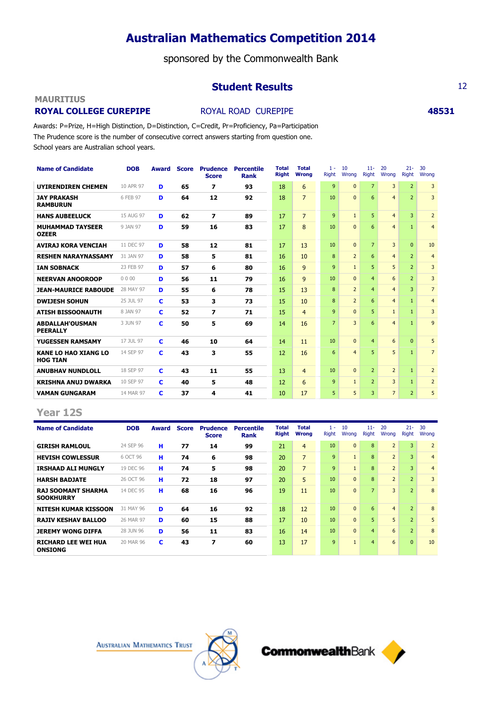sponsored by the Commonwealth Bank

## **Student Results** 12

## **MAURITIUS**

## **ROYAL COLLEGE CUREPIPE ROYAL ROAD CUREPIPE <b>48531**

Awards: P=Prize, H=High Distinction, D=Distinction, C=Credit, Pr=Proficiency, Pa=Participation The Prudence score is the number of consecutive correct answers starting from question one. School years are Australian school years.

| <b>Name of Candidate</b>                       | <b>DOB</b> | <b>Award</b> | <b>Score</b> | <b>Prudence</b><br><b>Score</b> | <b>Percentile</b><br><b>Rank</b> | Total<br><b>Right</b> | <b>Total</b><br><b>Wrong</b> | $1 -$<br>Right | 10<br>Wrong    | $11 -$<br><b>Right</b> | 20<br>Wrona     | $21 -$<br><b>Right</b> | 30<br>Wrona    |
|------------------------------------------------|------------|--------------|--------------|---------------------------------|----------------------------------|-----------------------|------------------------------|----------------|----------------|------------------------|-----------------|------------------------|----------------|
| <b>UYIRENDIREN CHEMEN</b>                      | 10 APR 97  | D            | 65           | 7                               | 93                               | 18                    | 6                            | 9              | $\Omega$       | $\overline{7}$         | 3               | $\overline{2}$         | 3              |
| <b>JAY PRAKASH</b><br><b>RAMBURUN</b>          | 6 FEB 97   | D            | 64           | 12                              | 92                               | 18                    | $\overline{7}$               | 10             | $\Omega$       | 6                      | $\overline{4}$  | $\overline{2}$         | 3              |
| <b>HANS AUBEELUCK</b>                          | 15 AUG 97  | D            | 62           | $\overline{\mathbf{z}}$         | 89                               | 17                    | $\overline{7}$               | 9              | $\mathbf{1}$   | 5                      | $\overline{4}$  | 3                      | $\overline{2}$ |
| <b>MUHAMMAD TAYSEER</b><br><b>OZEER</b>        | 9 JAN 97   | D            | 59           | 16                              | 83                               | 17                    | 8                            | 10             | $\Omega$       | 6                      | $\overline{4}$  | $\mathbf{1}$           | $\overline{4}$ |
| <b>AVIRAJ KORA VENCIAH</b>                     | 11 DEC 97  | D            | 58           | 12                              | 81                               | 17                    | 13                           | 10             | $\mathbf{0}$   | $\overline{7}$         | 3               | $\Omega$               | 10             |
| <b>RESHEN NARAYNASSAMY</b>                     | 31 JAN 97  | D            | 58           | 5                               | 81                               | 16                    | 10                           | 8              | $\overline{2}$ | 6                      | $\overline{4}$  | $\overline{2}$         | $\overline{4}$ |
| <b>IAN SOBNACK</b>                             | 23 FEB 97  | D            | 57           | 6                               | 80                               | 16                    | 9                            | 9              | $\mathbf{1}$   | 5                      | 5               | $\overline{2}$         | 3              |
| <b>NEERVAN ANOOROOP</b>                        | 0000       | D            | 56           | 11                              | 79                               | 16                    | 9                            | 10             | $\Omega$       | $\overline{4}$         | 6               | $\overline{2}$         | 3              |
| <b>JEAN-MAURICE RABOUDE</b>                    | 28 MAY 97  | D            | 55           | 6                               | 78                               | 15                    | 13                           | 8              | $\overline{2}$ | $\overline{4}$         | $\overline{4}$  | 3                      | $\overline{7}$ |
| <b>DWIJESH SOHUN</b>                           | 25 JUL 97  | C            | 53           | 3                               | 73                               | 15                    | 10                           | 8              | $\overline{2}$ | 6                      | $\overline{4}$  | $\mathbf{1}$           | $\overline{4}$ |
| <b>ATISH BISSOONAUTH</b>                       | 8 JAN 97   | c            | 52           | $\overline{ }$                  | 71                               | 15                    | $\overline{4}$               | 9              | $\Omega$       | 5                      | $\mathbf{1}$    | $\mathbf{1}$           | 3              |
| <b>ABDALLAH'OUSMAN</b><br><b>PEERALLY</b>      | 3 JUN 97   | C            | 50           | 5                               | 69                               | 14                    | 16                           | $\overline{7}$ | 3              | 6                      | $\overline{4}$  | $\mathbf{1}$           | 9              |
| YUGESSEN RAMSAMY                               | 17 JUL 97  | c            | 46           | 10                              | 64                               | 14                    | 11                           | 10             | $\Omega$       | $\overline{4}$         | 6               | $\Omega$               | 5              |
| <b>KANE LO HAO XIANG LO</b><br><b>HOG TIAN</b> | 14 SEP 97  | c            | 43           | 3                               | 55                               | 12                    | 16                           | 6              | $\overline{4}$ | 5                      | 5               | $\mathbf{1}$           | $\overline{7}$ |
| <b>ANUBHAV NUNDLOLL</b>                        | 18 SEP 97  | c            | 43           | 11                              | 55                               | 13                    | $\overline{4}$               | 10             | $\Omega$       | $\overline{2}$         | $\overline{2}$  | $\mathbf{1}$           | $\overline{2}$ |
| <b>KRISHNA ANUJ DWARKA</b>                     | 10 SEP 97  | c            | 40           | 5                               | 48                               | 12                    | 6                            | 9              | $\mathbf{1}$   | $\overline{2}$         | 3               | $\mathbf{1}$           | $\overline{2}$ |
| <b>VAMAN GUNGARAM</b>                          | 14 MAR 97  | c            | 37           | 4                               | 41                               | 10                    | 17                           | 5              | 5              | 3                      | $7\overline{ }$ | $\overline{2}$         | 5              |

## **Year 12S**

| <b>Name of Candidate</b>                      | <b>DOB</b> | Award | <b>Score</b> | <b>Prudence</b><br><b>Score</b> | Percentile<br><b>Rank</b> | Total<br><b>Right</b> | <b>Total</b><br><b>Wrong</b> | $1 -$<br>Right | 10<br>Wrong    | $11 -$<br>Right | 20<br>Wrona    | $21 -$<br><b>Right</b> | 30<br>Wrong    |
|-----------------------------------------------|------------|-------|--------------|---------------------------------|---------------------------|-----------------------|------------------------------|----------------|----------------|-----------------|----------------|------------------------|----------------|
| <b>GIRISH RAMLOUL</b>                         | 24 SEP 96  | н     | 77           | 14                              | 99                        | 21                    | $\overline{4}$               | 10             | $\overline{0}$ | 8               | $\overline{2}$ | 3                      | $\overline{2}$ |
| <b>HEVISH COWLESSUR</b>                       | 6 OCT 96   | н     | 74           | 6                               | 98                        | 20                    | $\overline{7}$               | 9              | $\mathbf{1}$   | 8               | $\overline{2}$ | 3                      | $\overline{4}$ |
| <b>IRSHAAD ALI MUNGLY</b>                     | 19 DEC 96  | н     | 74           | 5                               | 98                        | 20                    | $\overline{7}$               | 9              | $\mathbf{1}$   | 8               | $\overline{2}$ | 3                      | $\overline{4}$ |
| <b>HARSH BADJATE</b>                          | 26 OCT 96  | н     | 72           | 18                              | 97                        | 20                    | 5                            | 10             | $\Omega$       | 8               | $\overline{2}$ | $\overline{2}$         | 3              |
| <b>RAJ SOOMANT SHARMA</b><br><b>SOOKHURRY</b> | 14 DEC 95  | н     | 68           | 16                              | 96                        | 19                    | 11                           | 10             | $\Omega$       | $\overline{7}$  | 3              | $\overline{2}$         | 8              |
| <b>NITESH KUMAR KISSOON</b>                   | 31 MAY 96  | D     | 64           | 16                              | 92                        | 18                    | 12                           | 10             | $\Omega$       | 6               | $\overline{4}$ | $\overline{2}$         | 8              |
| <b>RAJIV KESHAV BALLOO</b>                    | 26 MAR 97  | D     | 60           | 15                              | 88                        | 17                    | 10                           | 10             | $\mathbf{0}$   | 5.              | 5              | $\overline{2}$         | 5              |
| <b>JEREMY WONG DIFFA</b>                      | 28 JUN 96  | D     | 56           | 11                              | 83                        | 16                    | 14                           | 10             | $\mathbf{0}$   | $\overline{4}$  | 6              | $\overline{2}$         | 8              |
| <b>RICHARD LEE WEI HUA</b><br><b>ONSIONG</b>  | 20 MAR 96  | с     | 43           | 7                               | 60                        | 13                    | 17                           | 9              | $\mathbf{1}$   | $\overline{4}$  | 6              | $\overline{0}$         | 10             |



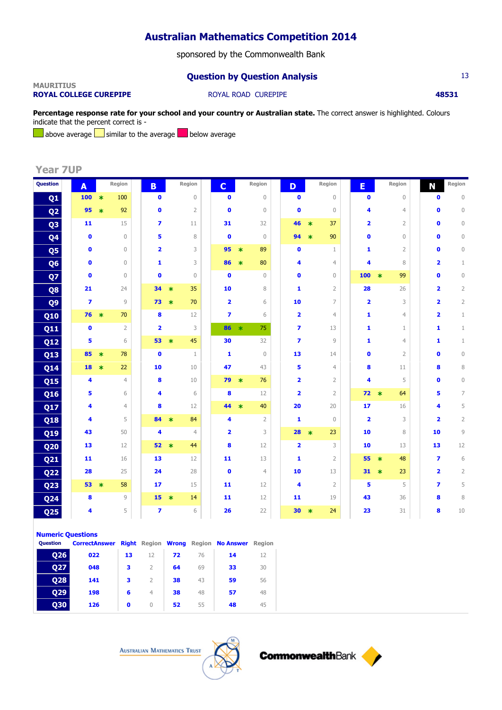sponsored by the Commonwealth Bank

## **Question by Question Analysis** 13

### **MAURITIUS ROYAL COLLEGE CUREPIPE ROYAL ROAD CUREPIPE <b>48531 48531**

**Percentage response rate for your school and your country or Australian state.** The correct answer is highlighted. Colours indicate that the percent correct is -

above average  $\Box$  similar to the average  $\Box$  below average

**Year 7UP**

| Question        | A              |        | Region         | B                       |        | Region         | $\mathbf C$             |         | Region         | D                       |        | Region         | E                       |        | Region         | N                       | Region         |
|-----------------|----------------|--------|----------------|-------------------------|--------|----------------|-------------------------|---------|----------------|-------------------------|--------|----------------|-------------------------|--------|----------------|-------------------------|----------------|
| Q <sub>1</sub>  | 100            | $\ast$ | 100            | $\bullet$               |        | $\mathbf 0$    | $\bullet$               |         | $\mathbf 0$    | $\bullet$               |        | $\mathbf 0$    | $\bullet$               |        | $\mathbf 0$    | $\bullet$               | $\mathbf 0$    |
| Q <sub>2</sub>  | 95             | $\ast$ | 92             | $\bullet$               |        | $\overline{2}$ | $\bullet$               |         | $\mathbf{0}$   | $\bullet$               |        | $\mathbf{0}$   | 4                       |        | $\overline{4}$ | $\mathbf{0}$            | $\mathbb O$    |
| Q <sub>3</sub>  | 11             |        | 15             | $\overline{\mathbf{z}}$ |        | 11             | 31                      |         | 32             | 46                      | $\ast$ | 37             | $\overline{\mathbf{2}}$ |        | $\overline{2}$ | $\mathbf{0}$            | $\mathbf 0$    |
| Q <sub>4</sub>  | $\bullet$      |        | $\mathbf{0}$   | 5                       |        | 8              | $\bullet$               |         | $\mathbf{0}$   | 94                      | $\ast$ | 90             | $\bullet$               |        | $\overline{0}$ | $\mathbf{0}$            | $\mathbb O$    |
| Q <sub>5</sub>  | $\mathbf{0}$   |        | $\Omega$       | $\overline{\mathbf{2}}$ |        | 3              | 95                      | $\ast$  | 89             | $\mathbf{0}$            |        | $\mathbf{1}$   | 1                       |        | $\overline{2}$ | $\mathbf{0}$            | 0              |
| Q <sub>6</sub>  | $\bullet$      |        | $\mathbf{0}$   | 1                       |        | 3              | 86                      | $\ast$  | 80             | 4                       |        | $\overline{4}$ | 4                       |        | 8              | $\overline{\mathbf{2}}$ | $\mathbf{1}$   |
| Q7              | $\mathbf{0}$   |        | $\Omega$       | $\mathbf{0}$            |        | $\mathbf{0}$   | $\mathbf{0}$            |         | $\Omega$       | $\mathbf{0}$            |        | $\mathbf{0}$   | 100                     | $\ast$ | 99             | $\mathbf{0}$            | $\mathbf{0}$   |
| Q8              | 21             |        | 24             | 34                      | $\ast$ | 35             | 10                      |         | 8              | 1                       |        | $\overline{2}$ | 28                      |        | 26             | 2                       | $\overline{2}$ |
| Q <sub>9</sub>  | $\overline{ }$ |        | 9              | 73                      | $\ast$ | 70             | $\overline{\mathbf{2}}$ |         | 6              | 10                      |        | 7              | $\overline{\mathbf{2}}$ |        | 3              | $\overline{2}$          | $\overline{2}$ |
| Q10             | 76             | $\ast$ | 70             | 8                       |        | 12             | $\overline{\mathbf{z}}$ |         | 6              | $\overline{\mathbf{2}}$ |        | $\overline{4}$ | 1                       |        | $\overline{4}$ | 2                       | $\mathbf{1}$   |
| <b>Q11</b>      | $\bullet$      |        | $\overline{2}$ | $\overline{\mathbf{2}}$ |        | 3              | 86                      | $\star$ | 75             | $\overline{ }$          |        | 13             | 1                       |        | $\mathbf{1}$   | 1                       | $\mathbf{1}$   |
| <b>Q12</b>      | 5              |        | 6              | 53                      | $\ast$ | 45             | 30                      |         | 32             | $\overline{\mathbf{z}}$ |        | $\circ$        | 1                       |        | $\overline{4}$ | 1                       | $\mathbf{1}$   |
| Q13             | 85             | $\ast$ | 78             | $\bullet$               |        | $\mathbf{1}$   | $\mathbf{1}$            |         | $\mathbf{0}$   | 13                      |        | 14             | $\bullet$               |        | $\overline{2}$ | $\mathbf 0$             | $\mathbb O$    |
| <b>Q14</b>      | 18             | $\ast$ | 22             | 10                      |        | 10             | 47                      |         | 43             | 5                       |        | $\overline{4}$ | 8                       |        | 11             | 8                       | $\, 8$         |
| <b>Q15</b>      | 4              |        | $\overline{4}$ | 8                       |        | 10             | 79                      | $\ast$  | 76             | $\overline{\mathbf{2}}$ |        | $\overline{2}$ | 4                       |        | 5              | $\mathbf{0}$            | $\mathbf 0$    |
| Q16             | 5              |        | 6              | 4                       |        | 6              | 8                       |         | 12             | $\overline{\mathbf{2}}$ |        | $\overline{2}$ | $72 *$                  |        | 64             | 5                       | 7              |
| Q17             | 4              |        | $\overline{4}$ | 8                       |        | 12             | 44                      | $\ast$  | 40             | 20                      |        | 20             | 17                      |        | 16             | 4                       | 5              |
| <b>Q18</b>      | 4              |        | 5              | 84                      | $\ast$ | 84             | 4                       |         | $\overline{2}$ | 1                       |        | $\mathbf{0}$   | $\overline{2}$          |        | 3              | $\overline{\mathbf{2}}$ | $\overline{2}$ |
| Q19             | 43             |        | 50             | 4                       |        | $\overline{4}$ | $\overline{\mathbf{2}}$ |         | 3              | 28                      | $\ast$ | 23             | 10                      |        | 8              | 10                      | 9              |
| <b>Q20</b>      | 13             |        | 12             | 52                      | $\ast$ | 44             | 8                       |         | 12             | $\overline{\mathbf{2}}$ |        | 3              | 10                      |        | 13             | 13                      | 12             |
| <b>Q21</b>      | 11             |        | 16             | 13                      |        | 12             | 11                      |         | 13             | 1                       |        | $\overline{2}$ | 55                      | $\ast$ | 48             | $\overline{ }$          | 6              |
| <b>Q22</b>      | 28             |        | 25             | 24                      |        | 28             | $\bullet$               |         | $\overline{4}$ | 10                      |        | 13             | 31                      | $\ast$ | 23             | $\overline{\mathbf{2}}$ | $\overline{2}$ |
| <b>Q23</b>      | 53             | $\ast$ | 58             | 17                      |        | 15             | 11                      |         | 12             | 4                       |        | $\overline{2}$ | 5                       |        | 5              | $\overline{\mathbf{z}}$ | 5              |
| Q <sub>24</sub> | 8              |        | $\overline{9}$ | 15                      | $\ast$ | 14             | 11                      |         | 12             | 11                      |        | 19             | 43                      |        | 36             | 8                       | $\,8\,$        |
| Q <sub>25</sub> | 4              |        | 5              | $\overline{ }$          |        | 6              | 26                      |         | 22             | 30                      | $\ast$ | 24             | 23                      |        | 31             | 8                       | 10             |

### **Numeric Questions**

| <b>Ouestion</b> | <b>CorrectAnswer Right Region Wrong Region No Answer Region</b> |    |                |    |    |    |    |  |
|-----------------|-----------------------------------------------------------------|----|----------------|----|----|----|----|--|
| <b>Q26</b>      | 022                                                             | 13 | 12             | 72 | 76 | 14 | 12 |  |
| <b>Q27</b>      | 048                                                             |    | $\mathcal{P}$  | 64 | 69 | 33 | 30 |  |
| <b>Q28</b>      | 141                                                             |    | $\mathcal{P}$  | 38 | 43 | 59 | 56 |  |
| <b>Q29</b>      | 198                                                             | 6  | $\overline{4}$ | 38 | 48 | 57 | 48 |  |
| 030             | 126                                                             | 0  |                | 52 | 55 | 48 | 45 |  |



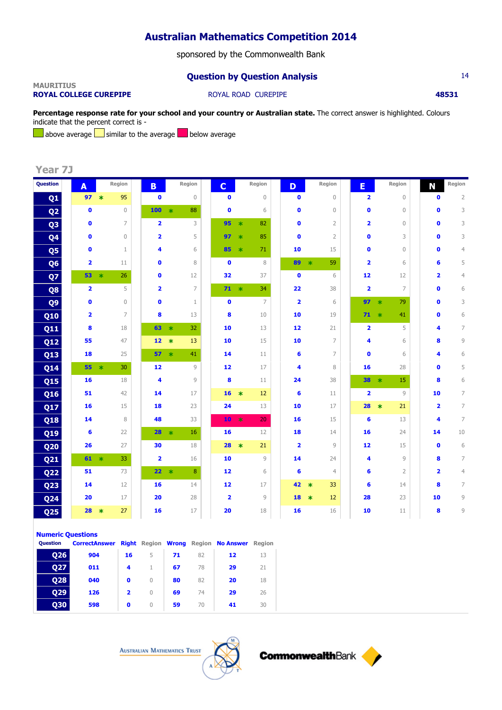sponsored by the Commonwealth Bank

## **Question by Question Analysis** 14

### **MAURITIUS ROYAL COLLEGE CUREPIPE ROYAL ROAD CUREPIPE <b>18531**

**Percentage response rate for your school and your country or Australian state.** The correct answer is highlighted. Colours indicate that the percent correct is -

above average  $\Box$  similar to the average  $\Box$  below average

**Year 7J**

| <b>Question</b> | A                       |        | Region         | B                       |         | Region         | $\mathbf C$             |                         | Region          | D                       |        | Region         | E                       |                         | Region         | N            | Region         |
|-----------------|-------------------------|--------|----------------|-------------------------|---------|----------------|-------------------------|-------------------------|-----------------|-------------------------|--------|----------------|-------------------------|-------------------------|----------------|--------------|----------------|
| Q <sub>1</sub>  | 97                      | $\ast$ | 95             | $\bullet$               |         | 0              | $\bullet$               |                         | $\mathbf 0$     | $\mathbf 0$             |        | $\mathbf 0$    | 2                       |                         | $\mathbf 0$    | $\mathbf 0$  | $\overline{2}$ |
| Q <sub>2</sub>  | $\bullet$               |        | $\mathbf{0}$   | 100                     | $\star$ | 88             | $\bullet$               |                         | 6               | $\bullet$               |        | $\mathbf{0}$   | $\bullet$               |                         | $\mathbf{0}$   | $\mathbf{0}$ | 3              |
| Q <sub>3</sub>  | $\bullet$               |        | $\overline{7}$ | $\overline{\mathbf{2}}$ |         | 3              | 95                      | $\ast$                  | 82              | $\bullet$               |        | $\overline{2}$ | $\overline{\mathbf{2}}$ |                         | $\mathbf 0$    | $\bullet$    | 3              |
| Q <sub>4</sub>  | $\bullet$               |        | $\mathbf{0}$   | $\overline{\mathbf{2}}$ |         | 5              | 97                      | $\ast$                  | 85              | $\bullet$               |        | $\overline{2}$ | $\bullet$               |                         | 3              | O            | 3              |
| Q5              | $\mathbf{0}$            |        | $\mathbf{1}$   | 4                       |         | 6              | 85                      | $\ast$                  | 71              | 10                      |        | 15             | $\bullet$               |                         | $\mathbf{0}$   | $\mathbf{0}$ | $\overline{4}$ |
| Q <sub>6</sub>  | $\overline{\mathbf{2}}$ |        | 11             | $\bullet$               |         | 8              | $\bullet$               |                         | 8               | 89                      | $\ast$ | 59             | $\overline{\mathbf{2}}$ |                         | 6              | 6            | 5              |
| Q7              | 53                      | $\ast$ | 26             | $\mathbf{0}$            |         | 12             | 32                      |                         | 37              | $\bullet$               |        | 6              | 12                      |                         | 12             | 2            | $\overline{4}$ |
| Q8              | $\overline{\mathbf{2}}$ |        | 5              | $\overline{\mathbf{2}}$ |         | $\overline{7}$ | $71 *$                  |                         | 34              | 22                      |        | 38             | $\overline{\mathbf{2}}$ |                         | $\overline{7}$ | $\bullet$    | 6              |
| Q <sub>9</sub>  | $\bullet$               |        | $\overline{0}$ | $\bullet$               |         | $1\,$          | $\bullet$               |                         | $\overline{7}$  | $\overline{\mathbf{2}}$ |        | 6              | 97                      | $\ast$                  | 79             | 0            | 3              |
| Q10             | $\overline{\mathbf{2}}$ |        | $\overline{7}$ | 8                       |         | 13             | 8                       |                         | 10              | 10                      |        | 19             | 71                      | $\ast$                  | 41             | 0            | 6              |
| Q11             | 8                       |        | 18             | 63                      | $\ast$  | 32             | 10                      |                         | 13              | 12                      |        | 21             | $\overline{\mathbf{2}}$ |                         | 5              | 4            | 7              |
| <b>Q12</b>      | 55                      |        | 47             | 12                      | $\ast$  | 13             | 10                      |                         | 15              | 10                      |        | 7              | 4                       |                         | 6              | 8            | 9              |
| Q13             | 18                      |        | 25             | 57                      | $\ast$  | 41             | 14                      |                         | 11              | 6                       |        | $\overline{7}$ | $\mathbf{0}$            |                         | 6              | 4            | 6              |
| <b>Q14</b>      |                         | $55 *$ | 30             | 12                      |         | 9              | 12                      |                         | 17              | 4                       |        | 8              | 16                      |                         | 28             | $\bullet$    | 5              |
| <b>Q15</b>      | 16                      |        | 18             | $\overline{\mathbf{4}}$ |         | 9              | 8                       |                         | 11              | 24                      |        | 38             | 38                      | $\overline{\mathbf{r}}$ | 15             | 8            | 6              |
| <b>Q16</b>      | 51                      |        | 42             | 14                      |         | 17             | 16                      | $\star$                 | 12              | 6                       |        | 11             | $\overline{\mathbf{2}}$ |                         | $\circ$        | 10           | 7              |
| Q17             | 16                      |        | 15             | 18                      |         | 23             | 24                      |                         | 13              | 10                      |        | 17             | 28                      | $\ast$                  | 21             | 2            | $\overline{7}$ |
| <b>Q18</b>      | 14                      |        | 8              | 48                      |         | 33             | 10                      | 米                       | 20 <sub>2</sub> | 16                      |        | 15             | $6\phantom{1}6$         |                         | 13             | 4            | $\overline{7}$ |
| Q19             | 6                       |        | 22             | 28                      | $\ast$  | 16             | 16                      |                         | 12              | 18                      |        | 14             | 16                      |                         | 24             | 14           | 10             |
| Q <sub>20</sub> | 26                      |        | 27             | 30                      |         | 18             | 28                      | $\overline{\mathbf{r}}$ | 21              | $\overline{\mathbf{2}}$ |        | $\overline{9}$ | 12                      |                         | 15             | $\bullet$    | 6              |
| <b>Q21</b>      |                         | $61 *$ | 33             | $\overline{\mathbf{2}}$ |         | 16             | 10                      |                         | 9               | 14                      |        | 24             | 4                       |                         | 9              | 8            | $\overline{7}$ |
| <b>Q22</b>      | 51                      |        | 73             | 22 <sub>2</sub>         | $\star$ | 8              | 12                      |                         | 6               | 6                       |        | $\overline{4}$ | 6                       |                         | $\overline{2}$ | 2            | $\overline{4}$ |
| <b>Q23</b>      | 14                      |        | 12             | 16                      |         | 14             | 12                      |                         | 17              | 42                      | $\ast$ | 33             | 6                       |                         | 14             | 8            | 7              |
| Q <sub>24</sub> | 20                      |        | 17             | 20                      |         | 28             | $\overline{\mathbf{2}}$ |                         | 9               | 18                      | $\ast$ | 12             | 28                      |                         | 23             | 10           | 9              |
| Q <sub>25</sub> | 28                      | $\ast$ | 27             | 16                      |         | 17             | 20                      |                         | 18              | 16                      |        | 16             | 10                      |                         | 11             | 8            | 9              |

### **Numeric Questions**

| <b>Ouestion</b> | <b>CorrectAnswer</b> |    |          |    |    | Right Region Wrong Region No Answer | Region |  |
|-----------------|----------------------|----|----------|----|----|-------------------------------------|--------|--|
| 026             | 904                  | 16 | 5        | 71 | 82 | 12                                  | 13     |  |
| <b>Q27</b>      | 011                  | 4  |          | 67 | 78 | 29                                  | 21     |  |
| 028             | 040                  | 0  |          | 80 | 82 | 20                                  | 18     |  |
| <b>Q29</b>      | 126                  | 2  | $\Omega$ | 69 | 74 | 29                                  | 26     |  |
| 030             | 598                  | 0  |          | 59 | 70 | 41                                  | 30     |  |

**AUSTRALIAN MATHEMATICS TRUST** 



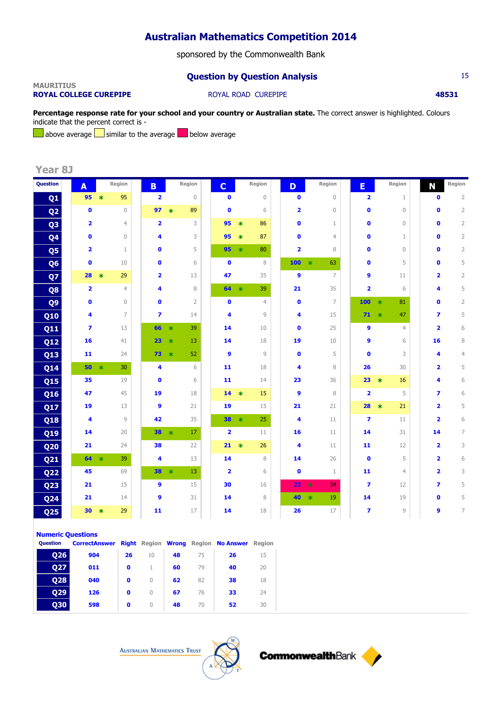sponsored by the Commonwealth Bank

## **Question by Question Analysis** 15

### **MAURITIUS ROYAL COLLEGE CUREPIPE ROYAL ROAD CUREPIPE <b>18531**

Percentage response rate for your school and your country or Australian state. The correct answer is highlighted. Colours indicate that the percent correct is -

above average  $\Box$  similar to the average  $\Box$  below average

**Year 8J**

| Question        | A  |                         | Region         | B.                      |         | Region   | $\mathbf{C}$            |                         | Region         | D                       | Region         | E.                      |         | Region         | N                       | Region         |
|-----------------|----|-------------------------|----------------|-------------------------|---------|----------|-------------------------|-------------------------|----------------|-------------------------|----------------|-------------------------|---------|----------------|-------------------------|----------------|
| Q1              | 95 |                         | 95<br>$\ast$   | $\overline{\mathbf{2}}$ |         | $\theta$ | $\bullet$               |                         | $\mathbb O$    | $\bullet$               | $\mathbb O$    | $\overline{\mathbf{2}}$ |         | 1              | $\bullet$               | $\overline{2}$ |
| Q <sub>2</sub>  |    | $\mathbf{0}$            | $\Omega$       | 97                      | $\ast$  | 89       | $\mathbf{0}$            |                         | 6              | $\overline{\mathbf{2}}$ | $\mathbf{0}$   | $\mathbf 0$             |         | $\mathbf{0}$   | $\mathbf 0$             | $\overline{2}$ |
| Q <sub>3</sub>  |    | $\overline{\mathbf{2}}$ | $\overline{4}$ | $\overline{\mathbf{2}}$ |         | 3        | 95                      | $\ast$                  | 86             | $\bullet$               | 1              | $\mathbf 0$             |         | $\overline{0}$ | $\mathbf{0}$            | $\overline{2}$ |
| Q <sub>4</sub>  |    | $\bullet$               | $\mathbf 0$    | 4                       |         | 3        | 95                      | $\ast$                  | 87             | $\bullet$               | $\overline{4}$ | $\bullet$               |         | 1              | $\bullet$               | $\overline{2}$ |
| Q <sub>5</sub>  |    | 2                       | $\mathbf{1}$   | $\bullet$               |         | 5        | 95                      | $\ast$                  | 80             | $\overline{\mathbf{2}}$ | 8              | $\mathbf 0$             |         | $\overline{0}$ | $\mathbf{0}$            | $\overline{2}$ |
| Q <sub>6</sub>  |    | $\bullet$               | 10             | $\bullet$               |         | 6        | $\bullet$               |                         | 8              | 100                     | $\ast$<br>63   | $\bullet$               |         | 5              | $\mathbf{0}$            | 5              |
| Q7              | 28 |                         | 29<br>$\ast$   | $\overline{\mathbf{2}}$ |         | 13       | 47                      |                         | 35             | $\mathbf{9}$            | $\overline{7}$ | $\mathbf{9}$            |         | 11             | $\overline{\mathbf{2}}$ | $\overline{2}$ |
| Q <sub>8</sub>  |    | $\overline{\mathbf{2}}$ | $\overline{4}$ | 4                       |         | 8        | 64                      | $\ast$                  | 39             | 21                      | 35             | $\overline{\mathbf{2}}$ |         | 6              | 4                       | 5              |
| Q <sub>9</sub>  |    | $\bullet$               | $\mathbf{0}$   | $\bullet$               |         | 2        | $\bullet$               |                         | $\overline{4}$ | $\bullet$               | $\overline{7}$ | 100                     | $\star$ | 81             | $\mathbf 0$             | $\overline{2}$ |
| Q10             |    | 4                       | $\overline{7}$ | $\overline{\mathbf{z}}$ |         | 14       | 4                       |                         | 9              | 4                       | 15             | 71                      | $\ast$  | 47             | $\overline{\mathbf{z}}$ | 5              |
| Q11             |    | $\overline{\mathbf{z}}$ | 13             | 66                      | $\ast$  | 39       | 14                      |                         | 10             | $\bullet$               | 25             | 9                       |         | $\overline{4}$ | $\overline{\mathbf{2}}$ | 6              |
| <b>Q12</b>      | 16 |                         | 41             | 23                      | $\ast$  | 13       | 14                      |                         | 18             | 19                      | 10             | 9                       |         | 6              | 16                      | $\, 8$         |
| <b>Q13</b>      | 11 |                         | 24             | 73                      | $\ast$  | 52       | 9                       |                         | 9              | $\mathbf 0$             | 5              | $\bullet$               |         | 3              | 4                       | $\overline{4}$ |
| <b>Q14</b>      | 50 |                         | $\ast$<br>30   | 4                       |         | 6        | 11                      |                         | 18             | 4                       | $\,8\,$        | 26                      |         | 30             | 2                       | 5              |
| <b>Q15</b>      | 35 |                         | 19             | $\bullet$               |         | 6        | 11                      |                         | 14             | 23                      | 36             | 23                      | $\ast$  | 16             | 4                       | 6              |
| Q16             | 47 |                         | 45             | 19                      |         | 18       | 14                      | $\ast$                  | 15             | 9                       | 8              | $\overline{\mathbf{2}}$ |         | 5              | $\overline{ }$          | 6              |
| Q17             | 19 |                         | 13             | $\mathbf{9}$            |         | 21       | 19                      |                         | 15             | 21                      | 21             | 28                      | $\ast$  | 21             | $\overline{\mathbf{2}}$ | 5              |
| <b>Q18</b>      |    | 4                       | $\overline{9}$ | 42                      |         | 35       | $38 *$                  |                         | 25             | 4                       | 11             | $\overline{\mathbf{z}}$ |         | 11             | $\overline{\mathbf{2}}$ | 6              |
| Q19             | 14 |                         | 20             | 38                      | $\ast$  | 17       | $\overline{\mathbf{2}}$ |                         | 11             | 16                      | 11             | 14                      |         | 31             | 14                      | 7              |
| <b>Q20</b>      | 21 |                         | 24             | 38                      |         | 22       | 21                      | $\overline{\mathbf{r}}$ | 26             | 4                       | 11             | 11                      |         | 12             | $\overline{\mathbf{2}}$ | 3              |
| <b>Q21</b>      | 64 |                         | $\ast$<br>39   | 4                       |         | 13       | 14                      |                         | 8              | 14                      | 26             | $\bullet$               |         | 5              | 2                       | 6              |
| <b>Q22</b>      | 45 |                         | 69             | 38                      | $\star$ | 13       | $\overline{\mathbf{2}}$ |                         | 6              | $\bullet$               | 1              | 11                      |         | $\overline{4}$ | $\overline{\mathbf{2}}$ | 3              |
| <b>Q23</b>      | 21 |                         | 15             | 9                       |         | 15       | 30                      |                         | 16             | 23                      | 34<br>$\ast$   | $\overline{\mathbf{z}}$ |         | 12             | $\overline{\mathbf{z}}$ | 5              |
| <b>Q24</b>      | 21 |                         | 14             | 9                       |         | 31       | 14                      |                         | 8              | 40                      | $\ast$<br>19   | 14                      |         | 19             | $\mathbf 0$             | 5              |
| Q <sub>25</sub> | 30 |                         | 29<br>$\ast$   | 11                      |         | 17       | 14                      |                         | 18             | 26                      | 17             | $\overline{\mathbf{z}}$ |         | 9              | 9                       | $\overline{7}$ |

### **Numeric Questions**

| Question   | <b>CorrectAnswer</b> |             |          |    |    | <b>Right Region Wrong Region No Answer Region</b> |    |  |
|------------|----------------------|-------------|----------|----|----|---------------------------------------------------|----|--|
| <b>Q26</b> | 904                  | 26          | 10       | 48 | 75 | 26                                                | 15 |  |
| 027        | 011                  | $\mathbf 0$ |          | 60 | 79 | 40                                                | 20 |  |
| <b>Q28</b> | 040                  | $\bullet$   | $\Omega$ | 62 | 82 | 38                                                | 18 |  |
| <b>Q29</b> | 126                  | 0           | $\Omega$ | 67 | 76 | 33                                                | 24 |  |
| 030        | 598                  | 0           | $\Omega$ | 48 | 70 | 52                                                | 30 |  |

**AUSTRALIAN MATHEMATICS TRUST** 



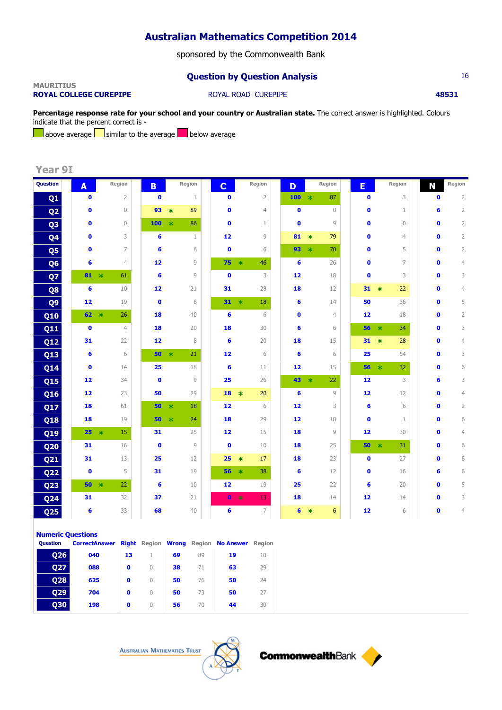sponsored by the Commonwealth Bank

## **Question by Question Analysis** 16

### **MAURITIUS ROYAL COLLEGE CUREPIPE ROYAL ROAD CUREPIPE <b>48531 48531**

**Percentage response rate for your school and your country or Australian state.** The correct answer is highlighted. Colours indicate that the percent correct is -

above average  $\Box$  similar to the average  $\Box$  below average

**Year 9I**

| Question        | A               | Region       |                | B.        | Region         | $\overline{c}$ | Region                        | D         |         | Region         | E               |        | Region         | N            | Region         |
|-----------------|-----------------|--------------|----------------|-----------|----------------|----------------|-------------------------------|-----------|---------|----------------|-----------------|--------|----------------|--------------|----------------|
| Q1              | $\bullet$       |              | $\overline{2}$ | $\bullet$ | $\mathbf 1$    | $\mathbf 0$    | $\overline{2}$                | 100       | $\star$ | 87             | $\mathbf 0$     |        | 3              | $\mathbf 0$  | $\overline{2}$ |
| Q <sub>2</sub>  | $\bullet$       |              | $\mathbf{0}$   | 93        | 89<br>$\ast$   | $\bullet$      | $\overline{4}$                | $\bullet$ |         | $\mathbf{0}$   | $\bullet$       |        | $\mathbf 1$    | 6            | $\overline{2}$ |
| Q <sub>3</sub>  | $\bullet$       |              | $\mathbf{0}$   | 100       | 86<br>$\ast$   | $\bullet$      | $\mathbf{1}$                  | $\bullet$ |         | 9              | $\mathbf 0$     |        | $\mathbf{0}$   | 0            | $\overline{2}$ |
| Q <sub>4</sub>  | $\bullet$       |              | 3              | 6         | $\mathbf{1}$   | 12             | $\circ$                       | 81        | $\ast$  | 79             | $\mathbf{0}$    |        | $\overline{4}$ | O            | $\overline{2}$ |
| Q5              | $\mathbf 0$     |              | 7              | 6         | 6              | $\bullet$      | 6                             | 93        | $\ast$  | 70             | $\mathbf 0$     |        | 5              | O            | $\overline{2}$ |
| Q <sub>6</sub>  | 6               |              | $\overline{4}$ | 12        | $\overline{9}$ | 75             | $\overline{\mathbf{r}}$<br>46 | 6         |         | 26             | $\mathbf{0}$    |        | 7              | O            | $\overline{4}$ |
| Q7              |                 | $81 *$<br>61 |                | 6         | $\overline{9}$ | $\bullet$      | 3                             | 12        |         | 18             | $\bullet$       |        | 3              | O            | 3              |
| Q8              | 6               |              | 10             | 12        | 21             | 31             | 28                            | 18        |         | 12             | 31              | $\ast$ | 22             | O            | $\overline{4}$ |
| Q <sub>9</sub>  | 12              |              | 19             | $\bullet$ | 6              | $31 *$         | 18                            | 6         |         | 14             | 50              |        | 36             | 0            | 5              |
| Q10             |                 | $62 *$       | 26             | 18        | 40             | 6              | 6                             | $\bullet$ |         | $\overline{4}$ | 12              |        | 18             | 0            | $\overline{2}$ |
| <b>Q11</b>      | $\bullet$       |              | $\overline{4}$ | 18        | 20             | 18             | 30                            | 6         |         | 6              | $56 *$          |        | 34             | O            | 3              |
| <b>Q12</b>      | 31              |              | 22             | 12        | 8              | 6              | 20                            | 18        |         | 15             | $31 *$          |        | 28             | O            | $\overline{4}$ |
| Q13             | 6               |              | 6              | 50        | $\ast$<br>21   | 12             | 6                             | 6         |         | 6              | 25              |        | 54             | O            | 3              |
| <b>Q14</b>      | $\bullet$       |              | 14             | 25        | 18             | 6              | 11                            | 12        |         | 15             | $56 *$          |        | 32             | O            | 6              |
| <b>Q15</b>      | 12              |              | 34             | $\bullet$ | $\overline{9}$ | 25             | 26                            | $43 *$    |         | 22             | 12              |        | 3              | 6            | 3              |
| <b>Q16</b>      | 12              |              | 23             | 50        | 29             | 18             | 20<br>$\star$                 | 6         |         | 9              | 12              |        | 12             | $\bullet$    | $\overline{4}$ |
| <b>Q17</b>      | 18              |              | 61             | 50        | 18<br>$\ast$   | 12             | 6                             | 12        |         | 3              | 6               |        | 6              | $\mathbf{0}$ | $\overline{2}$ |
| <b>Q18</b>      | 18              |              | 19             | 50        | 24<br>$\ast$   | 18             | 29                            | 12        |         | 18             | $\bullet$       |        | $\mathbf{1}$   | $\bullet$    | 6              |
| Q19             | 25 <sub>2</sub> | $\star$      | 15             | 31        | 25             | 12             | 15                            | 18        |         | $\circ$        | 12              |        | 30             | O            | $\overline{4}$ |
| Q <sub>20</sub> | 31              |              | 16             | $\bullet$ | $\overline{9}$ | $\bullet$      | 10                            | 18        |         | 25             | 50              | $\ast$ | 31             | O            | 6              |
| <b>Q21</b>      | 31              |              | 13             | 25        | 12             | 25             | 17<br>$*$                     | 18        |         | 23             | $\bullet$       |        | 27             | 0            | 6              |
| <b>Q22</b>      | $\bullet$       |              | 5              | 31        | 19             | $56 *$         | 38                            | 6         |         | 12             | $\bullet$       |        | 16             | 6            | 6              |
| Q <sub>23</sub> | 50              | $\star$      | 22             | 6         | 10             | 12             | 19                            | 25        |         | 22             | 6               |        | 20             | O            | 5              |
| <b>Q24</b>      | 31              |              | 32             | 37        | 21             | $\bullet$      | 13<br>$\star$                 | 18        |         | 14             | 12 <sup>2</sup> |        | 14             | 0            | 3              |
| Q <sub>25</sub> | 6               |              | 33             | 68        | 40             | 6              | $\overline{7}$                | 6         | $\ast$  | 6              | 12              |        | 6              | 0            | $\overline{4}$ |

**Numeric Questions**

| <b>Ouestion</b> | <b>CorrectAnswer Right Region Wrong Region No Answer</b> |    |           |    |    |    | <b>Region</b> |
|-----------------|----------------------------------------------------------|----|-----------|----|----|----|---------------|
| <b>O26</b>      | 040                                                      | 13 |           | 69 | 89 | 19 | 10            |
| 027             | 088                                                      | 0  | $\Omega$  | 38 | 71 | 63 | 29            |
| <b>Q28</b>      | 625                                                      | 0  | $\Omega$  | 50 | 76 | 50 | 24            |
| <b>Q29</b>      | 704                                                      | 0  | $\bigcap$ | 50 | 73 | 50 | 27            |
| 030             | 198                                                      | 0  | $\cup$    | 56 | 70 | 44 | 30            |



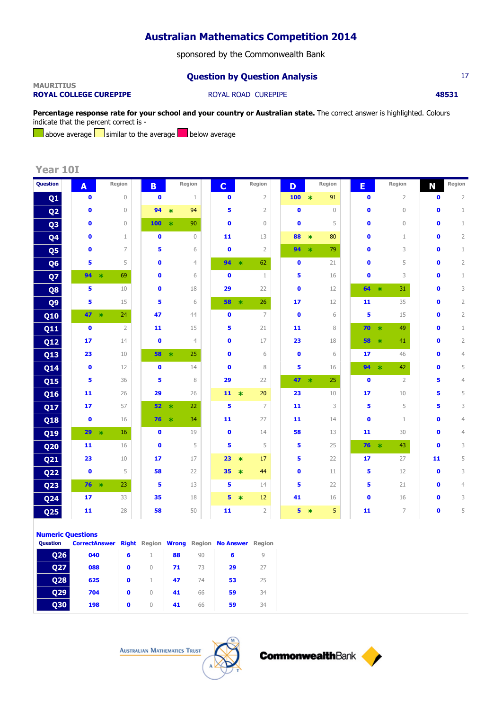sponsored by the Commonwealth Bank

## **Question by Question Analysis** 17

### **MAURITIUS ROYAL COLLEGE CUREPIPE ROYAL ROAD CUREPIPE <b>48531**

**Percentage response rate for your school and your country or Australian state.** The correct answer is highlighted. Colours indicate that the percent correct is -

above average  $\Box$  similar to the average  $\Box$  below average

**Year 10I**

| <b>Question</b> | A            | Region         | B.           | Region         | $\mathbf C$  | Region         | D            |         | Region       | E            | Region         | N            | Region         |
|-----------------|--------------|----------------|--------------|----------------|--------------|----------------|--------------|---------|--------------|--------------|----------------|--------------|----------------|
| Q <sub>1</sub>  | $\bullet$    | $\mathbf 0$    | $\mathbf 0$  | $\mathbf{1}$   | $\bullet$    | $\overline{2}$ | 100          | $\ast$  | 91           | $\bullet$    | $\overline{2}$ | $\bullet$    | $\overline{2}$ |
| Q <sub>2</sub>  | $\bullet$    | $\mathbf{0}$   | 94           | 94<br>$\ast$   | 5            | $\overline{2}$ | $\bullet$    |         | $\mathbf{0}$ | $\bullet$    | $\overline{0}$ | $\mathbf{0}$ | $\mathbf 1$    |
| Q <sub>3</sub>  | $\bullet$    | $\overline{0}$ | 100          | 90<br>$\ast$   | $\bullet$    | $\overline{0}$ | $\mathbf{0}$ |         | 5            | $\bullet$    | $\overline{0}$ | $\bullet$    | $\mathbf{1}$   |
| Q4              | $\mathbf 0$  | $\mathbf{1}$   | $\mathbf 0$  | $\mathbf{0}$   | 11           | 13             | 88           | $\ast$  | 80           | $\mathbf 0$  | $\mathbf{1}$   | $\mathbf{0}$ | $\overline{2}$ |
| Q5              | $\mathbf{0}$ | $\overline{7}$ | 5            | 6              | $\bullet$    | $\overline{2}$ | 94           | $\ast$  | 79           | $\mathbf{0}$ | 3              | $\mathbf{0}$ | $\mathbf{1}$   |
| Q <sub>6</sub>  | 5            | 5              | $\bullet$    | $\overline{4}$ | 94           | 62<br>$\ast$   | $\bullet$    |         | 21           | $\bullet$    | 5              | $\mathbf{0}$ | $\overline{2}$ |
| Q7              | 94           | 69<br>$\ast$   | $\mathbf{0}$ | 6              | $\mathbf{0}$ | $\mathbf{1}$   | 5            |         | 16           | $\mathbf{0}$ | 3              | O            | $\mathbf{1}$   |
| Q8              | 5            | 10             | $\mathbf{0}$ | 18             | 29           | 22             | $\bullet$    |         | 12           | 64           | 31<br>$\ast$   | $\mathbf 0$  | 3              |
| Q <sub>9</sub>  | 5.           | 15             | 5            | 6              | 58           | $\star$<br>26  | 17           |         | 12           | 11           | 35             | $\bullet$    | $\overline{2}$ |
| <b>Q10</b>      | 47           | 24<br>$\star$  | 47           | 44             | $\bullet$    | $\overline{7}$ | $\bullet$    |         | 6            | 5            | 15             | $\mathbf 0$  | $\overline{2}$ |
| <b>Q11</b>      | $\bullet$    | $\overline{2}$ | 11           | 15             | 5            | 21             | 11           |         | 8            | 70           | 49<br>$\star$  | $\bullet$    | $\mathbf{1}$   |
| <b>Q12</b>      | 17           | 14             | $\bullet$    | $\overline{4}$ | $\bullet$    | 17             | 23           |         | 18           | 58           | 41<br>$\ast$   | $\mathbf 0$  | $\overline{2}$ |
| <b>Q13</b>      | 23           | 10             | 58           | 25<br>$\ast$   | $\bullet$    | 6              | $\bullet$    |         | 6            | 17           | 46             | $\mathbf{0}$ | $\overline{4}$ |
| <b>Q14</b>      | $\bullet$    | 12             | $\bullet$    | 14             | $\bullet$    | 8              | 5            |         | 16           | 94           | 42<br>$\ast$   | $\bullet$    | 5              |
| <b>Q15</b>      | 5            | 36             | 5            | 8              | 29           | 22             | 47           | $\star$ | 25           | $\bullet$    | $\overline{2}$ | 5            | $\overline{4}$ |
| Q16             | 11           | 26             | 29           | 26             | $11 *$       | 20             | 23           |         | 10           | 17           | 10             | 5            | 5              |
| <b>Q17</b>      | 17           | 57             | 52           | 22<br>$\ast$   | 5            | $\overline{7}$ | 11           |         | 3            | 5            | 5              | 5            | 3              |
| <b>Q18</b>      | $\bullet$    | 16             | 76           | $\ast$<br>34   | 11           | 27             | 11           |         | 14           | $\bullet$    | $\mathbf{1}$   | $\mathbf{0}$ | $\overline{4}$ |
| Q19             | 29           | 16<br>$\ast$   | $\bullet$    | 19             | $\bullet$    | 14             | 58           |         | 13           | 11           | 30             | $\bullet$    | $\overline{4}$ |
| Q <sub>20</sub> | 11           | 16             | $\bullet$    | 5              | 5            | 5              | 5            |         | 25           | $76 *$       | 43             | $\bullet$    | 3              |
| Q <sub>21</sub> | 23           | 10             | 17           | 17             | 23           | 17<br>$\ast$   | 5            |         | 22           | 17           | 27             | 11           | 5              |
| <b>Q22</b>      | $\bullet$    | 5              | 58           | 22             | 35           | 44<br>$\ast$   | $\bullet$    |         | 11           | 5            | 12             | $\bullet$    | 3              |
| <b>Q23</b>      | $76 *$       | 23             | 5            | 13             | 5            | 14             | 5            |         | 22           | 5            | 21             | $\mathbf 0$  | $\overline{4}$ |
| <b>Q24</b>      | 17           | 33             | 35           | 18             | 5            | 12<br>$\ast$   | 41           |         | 16           | $\mathbf 0$  | 16             | $\mathbf 0$  | 3              |
| Q <sub>25</sub> | 11           | 28             | 58           | 50             | 11           | $\overline{2}$ | 5            | $\ast$  | 5            | 11           | 7              | $\bullet$    | 5              |

| <b>Numeric Questions</b> |  |
|--------------------------|--|
|--------------------------|--|

| <b>Ouestion</b> | <b>CorrectAnswer Right Region Wrong Region No Answer Region</b> |   |          |    |    |    |    |  |
|-----------------|-----------------------------------------------------------------|---|----------|----|----|----|----|--|
| <b>O26</b>      | 040                                                             | 6 |          | 88 | 90 | 6  |    |  |
| <b>Q27</b>      | 088                                                             | 0 | $\Omega$ | 71 | 73 | 29 | 27 |  |
| <b>Q28</b>      | 625                                                             | 0 |          | 47 | 74 | 53 | 25 |  |
| <b>Q29</b>      | 704                                                             | o | $\cap$   | 41 | 66 | 59 | 34 |  |
| 030             | 198                                                             | 0 | $\Omega$ | 41 | 66 | 59 | 34 |  |

**AUSTRALIAN MATHEMATICS TRUST** 



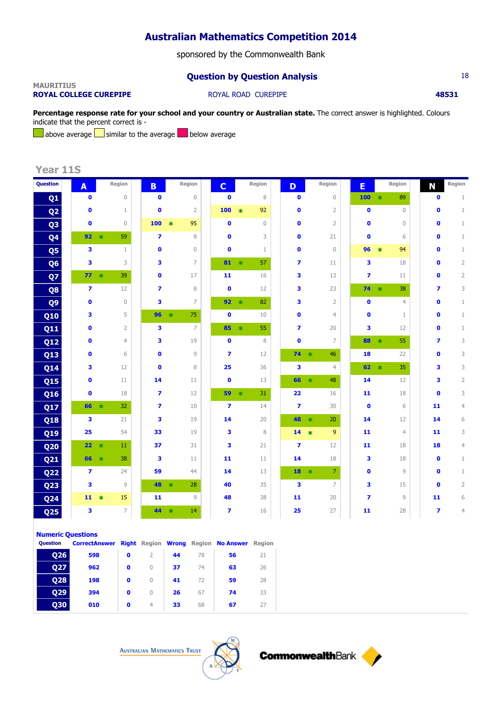sponsored by the Commonwealth Bank

## **Question by Question Analysis** 18

### **MAURITIUS ROYAL COLLEGE CUREPIPE ROYAL ROAD CUREPIPE <b>18531**

Percentage response rate for your school and your country or Australian state. The correct answer is highlighted. Colours indicate that the percent correct is -

above average  $\Box$  similar to the average  $\Box$  below average

**Year 11S**

| <b>Question</b> | A                       | Region          | B.                      | Region       |                | $\mathbf{C}$            |               | Region       | D                       | Region                                    | E         |               | Region         | N                       | Region         |
|-----------------|-------------------------|-----------------|-------------------------|--------------|----------------|-------------------------|---------------|--------------|-------------------------|-------------------------------------------|-----------|---------------|----------------|-------------------------|----------------|
| Q <sub>1</sub>  | $\bullet$               | $\mathbf{0}$    | $\bullet$               |              | $\mathbf 0$    | $\bullet$               |               | 8            | $\bullet$               | $\mathbf 0$                               | 100       | $\star$       | 89             | $\mathbf 0$             | $1\,$          |
| Q <sub>2</sub>  | $\bullet$               | 1               | $\mathbf{0}$            |              | $\overline{2}$ | 100                     | $\ast$        | 92           | $\bullet$               | $\overline{2}$                            | $\bullet$ |               | $\mathbf 0$    | $\mathbf{0}$            | $\mathbf 1$    |
| Q <sub>3</sub>  | $\bullet$               | $\mathbf{0}$    | 100                     | 95<br>$\ast$ |                | $\bullet$               |               | $\mathbf{0}$ | $\bullet$               | $\overline{2}$                            | $\bullet$ |               | $\mathbf{0}$   | $\bullet$               | $\mathbf{1}$   |
| Q <sub>4</sub>  | 92                      | 59<br>$\ast$    | $\overline{\mathbf{z}}$ |              | 8              | $\bullet$               |               | 3            | $\bullet$               | 21                                        | $\bullet$ |               | 6              | $\mathbf{0}$            | $1\,$          |
| Q5              | 3                       | $\mathbf{1}$    | $\mathbf{0}$            |              | $\mathbf{0}$   | $\bullet$               |               | $\mathbf{1}$ | $\bullet$               | $\mathbf 0$                               | 96        | $\ast$        | 94             | $\mathbf{0}$            | $\mathbf{1}$   |
| Q <sub>6</sub>  | 3                       | 3               | 3                       |              | $\overline{7}$ | 81                      | $\ast$        | 57           | $\overline{ }$          | 11                                        | 3         |               | 18             | $\bullet$               | $\overline{2}$ |
| Q7              | $77 *$                  | 39              | $\mathbf{0}$            | 17           |                | 11                      |               | 16           | 3                       | 13                                        | 7         |               | 11             | $\mathbf{0}$            | $\mathbf{2}$   |
| Q8              | $\overline{\mathbf{z}}$ | 12              | $\overline{\mathbf{z}}$ |              | 8              | $\bullet$               |               | 12           | 3                       | 23                                        | 74        | $\rightarrow$ | 38             | 7                       | 3              |
| Q <sub>9</sub>  | $\bullet$               | $\mathbf 0$     | 3                       |              | $\overline{7}$ | 92                      | $\rightarrow$ | 82           | 3                       | $\overline{2}$                            | $\bullet$ |               | $\overline{4}$ | O                       | $\mathbf{1}$   |
| <b>Q10</b>      | 3                       | 5               | 96                      | 75<br>$\ast$ |                | $\mathbf{0}$            |               | 10           | $\bullet$               | $\overline{4}$                            | $\bullet$ |               | $\mathbf{1}$   | O                       | $\mathbf{1}$   |
| Q11             | $\mathbf{0}$            | $\overline{2}$  | 3                       |              | $\overline{7}$ | 85                      | $\ast$        | 55           | $\overline{\mathbf{z}}$ | 20                                        | 3         |               | 12             | O                       | $\mathbf{1}$   |
| <b>Q12</b>      | $\bullet$               | $\overline{4}$  | 3                       | 19           |                | $\bullet$               |               | 8            | $\bullet$               | $\overline{7}$                            | 88        | $\star$       | 55             | $\overline{ }$          | 3              |
| <b>Q13</b>      | $\bullet$               | 6               | $\bullet$               |              | 9              | $\overline{\mathbf{z}}$ |               | 12           | $74 *$                  | 46                                        | 18        |               | 22             | $\bullet$               | 3              |
| <b>Q14</b>      | 3                       | 12              | $\mathbf 0$             |              | 8              | 25                      |               | 36           | 3                       | $\overline{4}$                            | $62 *$    |               | 35             | 3                       | 3              |
| <b>Q15</b>      | $\bullet$               | 11              | 14                      | 11           |                | $\bullet$               |               | 13           | 66                      | 48<br>$\overline{\mathbf{r}}$             | 14        |               | 12             | 3                       | $\overline{2}$ |
| Q16             | $\bullet$               | 18              | $\overline{ }$          | 12           |                | 59                      | $\star$       | 31           | 22                      | 16                                        | 11        |               | 18             | $\bullet$               | 3              |
| Q17             | 66                      | $\ast$<br>32    | $\overline{ }$          | 10           |                | $\overline{7}$          |               | 14           | $\overline{ }$          | 30                                        | $\bullet$ |               | 6              | 11                      | $\overline{4}$ |
| <b>Q18</b>      | 3                       | 21              | 3                       | 19           |                | 14                      |               | 20           | 48                      | 20<br>$\ast$                              | 14        |               | 12             | 14                      | 6              |
| <b>Q19</b>      | 25                      | 54              | 33                      | 19           |                | 3                       |               | 8            | 14                      | 9<br>$\ast$                               | 11        |               | $\overline{4}$ | 11                      | 3              |
| Q <sub>20</sub> | 22                      | $\ast$<br>11    | 37                      | 31           |                | 3                       |               | 21           | $\overline{ }$          | 12                                        | 11        |               | 18             | 18                      | $\overline{4}$ |
| <b>Q21</b>      | 66                      | 38<br>$\ast$    | 3                       | 11           |                | 11                      |               | 11           | 14                      | 18                                        | 3         |               | 18             | $\bullet$               | $\mathbf{1}$   |
| <b>Q22</b>      | $\overline{7}$          | 24              | 59                      | 44           |                | 14                      |               | 13           | 18                      | $\overline{7}$<br>$\overline{\mathbf{r}}$ | $\bullet$ |               | $\overline{9}$ | $\mathbf 0$             | $\mathbf{1}$   |
| Q <sub>23</sub> | 3                       | 9               | 48                      | $\ast$<br>28 |                | 40                      |               | 35           | 3                       | $\overline{7}$                            | 3         |               | 15             | $\mathbf 0$             | $\overline{2}$ |
| Q <sub>24</sub> | $11 *$                  | 15              | 11                      |              | 9              | 48                      |               | 38           | 11                      | 20                                        | 7         |               | 9              | 11                      | 6              |
| Q <sub>25</sub> | 3                       | $7\overline{ }$ | 44                      | $\ast$<br>14 |                | $\overline{\mathbf{z}}$ |               | 16           | 25                      | 27                                        | 11        |               | 28             | $\overline{\mathbf{z}}$ | $\overline{4}$ |

### **Numeric Questions**

| <b>Ouestion</b> | <b>CorrectAnswer Right Region Wrong Region No Answer Region</b> |   |                |    |    |    |    |  |
|-----------------|-----------------------------------------------------------------|---|----------------|----|----|----|----|--|
| <b>Q26</b>      | 598                                                             | o |                | 44 | 78 | 56 | 21 |  |
| 027             | 962                                                             | o | $\Omega$       | 37 | 74 | 63 | 26 |  |
| <b>Q28</b>      | 198                                                             | o | $\Omega$       | 41 | 72 | 59 | 28 |  |
| <b>Q29</b>      | 394                                                             | o | $\Omega$       | 26 | 67 | 74 | 33 |  |
| 030             | 010                                                             | o | $\overline{4}$ | 33 | 68 | 67 | 27 |  |

**AUSTRALIAN MATHEMATICS TRUST** 



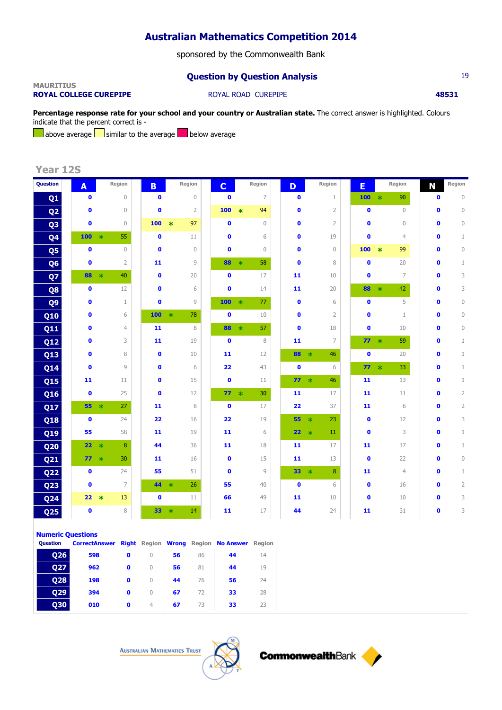sponsored by the Commonwealth Bank

## **Question by Question Analysis** 19

### **MAURITIUS ROYAL COLLEGE CUREPIPE ROYAL ROAD CUREPIPE <b>18531**

Percentage response rate for your school and your country or Australian state. The correct answer is highlighted. Colours indicate that the percent correct is -

above average  $\Box$  similar to the average  $\Box$  below average

**Year 12S**

| Question        | A            |        | Region         | B.           |        | Region         | $\mathbf{C}$ |                         | Region         | D         | Region         | E         |                | Region         | N            | Region         |
|-----------------|--------------|--------|----------------|--------------|--------|----------------|--------------|-------------------------|----------------|-----------|----------------|-----------|----------------|----------------|--------------|----------------|
| Q <sub>1</sub>  | $\bullet$    |        | $\mathbf 0$    | $\mathbf 0$  |        | $\mathbf 0$    | $\bullet$    |                         | $\overline{7}$ | $\bullet$ | $\mathbf 1$    | 100       | $\,$ $\,$ $\,$ | 90             | $\mathbf 0$  | $\mathbf 0$    |
| Q <sub>2</sub>  | $\bullet$    |        | $\mathbf 0$    | $\bullet$    |        | $\overline{2}$ | 100          | $\ast$                  | 94             | $\bullet$ | $\overline{2}$ | $\bullet$ |                | $\mathbf 0$    | $\bullet$    | $\mathbb O$    |
| Q <sub>3</sub>  | $\bullet$    |        | $\mathbf{0}$   | 100          | $\ast$ | 97             | $\bullet$    |                         | $\mathbf{0}$   | $\bullet$ | $\overline{2}$ | $\bullet$ |                | $\mathbf 0$    | $\bullet$    | $\mathbb O$    |
| Q4              | 100          | $\ast$ | 55             | $\bullet$    |        | 11             | $\bullet$    |                         | 6              | $\bullet$ | 19             | $\bullet$ |                | $\overline{4}$ | $\bullet$    | $\mathbf 1$    |
| Q5              | $\bullet$    |        | $\mathbf{0}$   | $\bullet$    |        | $\mathbf{0}$   | $\mathbf{0}$ |                         | $\mathbf{0}$   | $\bullet$ | $\mathbf 0$    | 100       | $\ast$         | 99             | $\mathbf{0}$ | $\mathbb O$    |
| Q <sub>6</sub>  | $\bullet$    |        | $\overline{2}$ | 11           |        | $\overline{9}$ | 88           | $\ast$                  | 58             | $\bullet$ | $\,8\,$        | $\bullet$ |                | 20             | O            | $\mathbf 1$    |
| Q7              | 88           | $\ast$ | 40             | $\bullet$    |        | 20             | $\bullet$    |                         | 17             | 11        | 10             | $\bullet$ |                | $\overline{7}$ | $\bullet$    | 3              |
| Q8              | $\bullet$    |        | 12             | $\mathbf{0}$ |        | 6              | $\bullet$    |                         | 14             | 11        | 20             | 88        | $\star$        | 42             | $\mathbf{0}$ | 3              |
| Q <sub>9</sub>  | $\bullet$    |        | $\mathbf{1}$   | $\mathbf{0}$ |        | 9              | 100          | $\overline{\mathbf{r}}$ | 77             | $\bullet$ | 6              | $\bullet$ |                | 5              | $\mathbf{0}$ | $\mathbb O$    |
| <b>Q10</b>      | $\bullet$    |        | 6              | 100          | $\ast$ | 78             | $\bullet$    |                         | 10             | $\bullet$ | $\overline{2}$ | $\bullet$ |                | $\mathbf{1}$   | $\bullet$    | $\mathbb O$    |
| <b>Q11</b>      | $\mathbf{0}$ |        | $\overline{4}$ | 11           |        | 8              | 88           | $\ast$                  | 57             | $\bullet$ | 18             | $\bullet$ |                | 10             | $\mathbf{0}$ | $\circ$        |
| <b>Q12</b>      | $\mathbf{0}$ |        | 3              | 11           |        | 19             | $\bullet$    |                         | 8              | 11        | 7              | $77 *$    |                | 59             | O            | $\mathbf{1}$   |
| <b>Q13</b>      | $\bullet$    |        | 8              | $\bullet$    |        | 10             | 11           |                         | 12             | 88 *      | 46             | $\bullet$ |                | 20             | $\bullet$    | $\mathbf{1}$   |
| <b>Q14</b>      | $\mathbf{0}$ |        | 9              | $\mathbf{0}$ |        | 6              | 22           |                         | 43             | $\bullet$ | 6              | $77 *$    |                | 33             | O            | $\mathbf{1}$   |
| <b>Q15</b>      | 11           |        | 11             | $\mathbf{0}$ |        | 15             | $\bullet$    |                         | 11             | $77 *$    | 46             | 11        |                | 13             | 0            | $\mathbf{1}$   |
| Q16             | $\bullet$    |        | 25             | $\bullet$    |        | 12             |              | $77 *$                  | 30             | 11        | 17             | 11        |                | 11             | 0            | $\overline{2}$ |
| Q17             | 55           | $\ast$ | 27             | 11           |        | 8              | $\bullet$    |                         | 17             | 22        | 37             | 11        |                | 6              | O            | $\overline{2}$ |
| <b>Q18</b>      | $\bullet$    |        | 24             | 22           |        | 16             | 22           |                         | 19             | 55        | 23<br>$\ast$   | $\bullet$ |                | 12             | O            | 3              |
| Q19             | 55           |        | 58             | 11           |        | 19             | 11           |                         | 6              | 22        | 11<br>$\ast$   | $\bullet$ |                | 3              | O            | $\mathbf{1}$   |
| Q <sub>20</sub> | 22           | $\ast$ | 8              | 44           |        | 36             | 11           |                         | 18             | 11        | 17             | 11        |                | 17             | O            | $\mathbf{1}$   |
| <b>Q21</b>      | 77           | $\ast$ | 30             | 11           |        | 16             | $\bullet$    |                         | 15             | 11        | 13             | $\bullet$ |                | 22             | $\mathbf{0}$ | $\mathbb O$    |
| <b>Q22</b>      | $\bullet$    |        | 24             | 55           |        | 51             | $\bullet$    |                         | $\overline{9}$ | 33        | 8<br>$\star$   | 11        |                | $\overline{4}$ | 0            | $\mathbf{1}$   |
| Q <sub>23</sub> | $\bullet$    |        | $\overline{7}$ | 44           | $\ast$ | 26             | 55           |                         | 40             | $\bullet$ | 6              | $\bullet$ |                | 16             | 0            | $\overline{2}$ |
| Q <sub>24</sub> | 22           | $\ast$ | 13             | $\bullet$    |        | 11             | 66           |                         | 49             | 11        | 10             | $\bullet$ |                | 10             | 0            | 3              |
| Q <sub>25</sub> | $\bullet$    |        | 8              | 33           | $\ast$ | 14             | 11           |                         | 17             | 44        | 24             | 11        |                | 31             | 0            | 3              |

### **Numeric Questions**

| <b>Ouestion</b> | <b>CorrectAnswer Right Region Wrong Region No Answer Region</b> |             |                  |    |    |    |    |  |
|-----------------|-----------------------------------------------------------------|-------------|------------------|----|----|----|----|--|
| <b>Q26</b>      | 598                                                             | 0           | $\left( \right)$ | 56 | 86 | 44 | 14 |  |
| 027             | 962                                                             | 0           | $\Omega$         | 56 | 81 | 44 | 19 |  |
| <b>Q28</b>      | 198                                                             | $\mathbf 0$ | $\Omega$         | 44 | 76 | 56 | 24 |  |
| 029             | 394                                                             | $\mathbf o$ | $\Omega$         | 67 | 72 | 33 | 28 |  |
| 030             | 010                                                             | $\mathbf 0$ | $\overline{4}$   | 67 | 73 | 33 | 23 |  |

**AUSTRALIAN MATHEMATICS TRUST** 



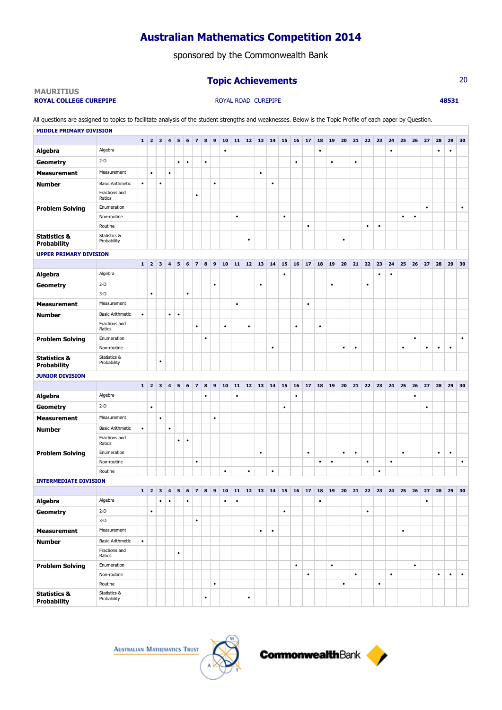sponsored by the Commonwealth Bank

## **Topic Achievements** 20

### **MAURITIUS ROYAL COLLEGE CUREPIPE ABS31 ROYAL ROAD CUREPIPE 18531**

All questions are assigned to topics to facilitate analysis of the student strengths and weaknesses. Below is the Topic Profile of each paper by Question. **MIDDLE PRIMARY DIVISION**

|                                               |                             |           | $1 \mid 2 \mid 3$       |                         | $\overline{4}$          | 5         | $\boldsymbol{6}$ | $\vert$ 7               | $8 \mid 9$ |           | 10        |           | $11 \mid 12 \mid 13$ |           | 14        | 15        | 16        | $\vert$ 17 | 18        | 19           | 20        | 21        | 22        | 23        | 24        | 25        | 26        | 27        | 28        | 29        | 30        |
|-----------------------------------------------|-----------------------------|-----------|-------------------------|-------------------------|-------------------------|-----------|------------------|-------------------------|------------|-----------|-----------|-----------|----------------------|-----------|-----------|-----------|-----------|------------|-----------|--------------|-----------|-----------|-----------|-----------|-----------|-----------|-----------|-----------|-----------|-----------|-----------|
| Algebra                                       | Algebra                     |           |                         |                         |                         |           |                  |                         |            |           | $\bullet$ |           |                      |           |           |           |           |            | $\bullet$ |              |           |           |           |           | $\bullet$ |           |           |           | $\bullet$ | ٠         |           |
| <b>Geometry</b>                               | $2-D$                       |           |                         |                         |                         | $\bullet$ | $\bullet$        |                         | $\bullet$  |           |           |           |                      |           |           |           | $\bullet$ |            |           | $\bullet$    |           | $\bullet$ |           |           |           |           |           |           |           |           |           |
| <b>Measurement</b>                            | Measurement                 |           | $\bullet$               |                         | $\bullet$               |           |                  |                         |            |           |           |           |                      | $\bullet$ |           |           |           |            |           |              |           |           |           |           |           |           |           |           |           |           |           |
| <b>Number</b>                                 | <b>Basic Arithmetic</b>     | $\bullet$ |                         | $\bullet$               |                         |           |                  |                         |            | $\bullet$ |           |           |                      |           | $\bullet$ |           |           |            |           |              |           |           |           |           |           |           |           |           |           |           |           |
|                                               | Fractions and<br>Ratios     |           |                         |                         |                         |           |                  | $\bullet$               |            |           |           |           |                      |           |           |           |           |            |           |              |           |           |           |           |           |           |           |           |           |           |           |
| <b>Problem Solving</b>                        | Enumeration                 |           |                         |                         |                         |           |                  |                         |            |           |           |           |                      |           |           |           |           |            |           |              |           |           |           |           |           |           |           | $\bullet$ |           |           | $\bullet$ |
|                                               | Non-routine                 |           |                         |                         |                         |           |                  |                         |            |           |           | $\bullet$ |                      |           |           | $\bullet$ |           |            |           |              |           |           |           |           |           | $\bullet$ | $\bullet$ |           |           |           |           |
|                                               | Routine                     |           |                         |                         |                         |           |                  |                         |            |           |           |           |                      |           |           |           |           | $\bullet$  |           |              |           |           | $\bullet$ | $\bullet$ |           |           |           |           |           |           |           |
| <b>Statistics &amp;</b><br><b>Probability</b> | Statistics &<br>Probability |           |                         |                         |                         |           |                  |                         |            |           |           |           | $\bullet$            |           |           |           |           |            |           |              | $\bullet$ |           |           |           |           |           |           |           |           |           |           |
| <b>UPPER PRIMARY DIVISION</b>                 |                             |           |                         |                         |                         |           |                  |                         |            |           |           |           |                      |           |           |           |           |            |           |              |           |           |           |           |           |           |           |           |           |           |           |
|                                               |                             |           | $1 \vert 2$             | $\overline{\mathbf{3}}$ | $\overline{\mathbf{4}}$ | ${\bf 5}$ | 6                | $\overline{z}$          | 8          | 9         | 10        |           | $11 \mid 12 \mid$    | 13        | 14        | 15        | 16        | 17         | 18        |              | 20        | 21        | 22        | 23        | 24        | 25        | 26        | 27        | 28        | 29        | 30        |
| Algebra                                       | Algebra                     |           |                         |                         |                         |           |                  |                         |            |           |           |           |                      |           |           | $\bullet$ |           |            |           |              |           |           |           | $\bullet$ | $\bullet$ |           |           |           |           |           |           |
| <b>Geometry</b>                               | $2-D$                       |           |                         |                         |                         |           |                  |                         |            | $\bullet$ |           |           |                      | $\bullet$ |           |           |           |            |           | $\bullet$    |           |           | $\bullet$ |           |           |           |           |           |           |           |           |
|                                               | $3-D$                       |           | $\bullet$               |                         |                         |           | $\bullet$        |                         |            |           |           |           |                      |           |           |           |           |            |           |              |           |           |           |           |           |           |           |           |           |           |           |
| <b>Measurement</b>                            | Measurement                 |           |                         |                         |                         |           |                  |                         |            |           |           | $\bullet$ |                      |           |           |           |           | $\bullet$  |           |              |           |           |           |           |           |           |           |           |           |           |           |
| <b>Number</b>                                 | <b>Basic Arithmetic</b>     | $\bullet$ |                         |                         | $\bullet$               | $\bullet$ |                  |                         |            |           |           |           |                      |           |           |           |           |            |           |              |           |           |           |           |           |           |           |           |           |           |           |
|                                               | Fractions and<br>Ratios     |           |                         |                         |                         |           |                  | $\bullet$               |            |           | $\bullet$ |           | $\bullet$            |           |           |           | $\bullet$ |            | $\bullet$ |              |           |           |           |           |           |           |           |           |           |           |           |
| <b>Problem Solving</b>                        | Enumeration                 |           |                         |                         |                         |           |                  |                         | $\bullet$  |           |           |           |                      |           |           |           |           |            |           |              |           |           |           |           |           |           | $\bullet$ |           |           |           | $\bullet$ |
|                                               | Non-routine                 |           |                         |                         |                         |           |                  |                         |            |           |           |           |                      |           | $\bullet$ |           |           |            |           |              | $\bullet$ | $\bullet$ |           |           |           | $\bullet$ |           | $\bullet$ | ٠         | $\bullet$ |           |
| <b>Statistics &amp;</b><br><b>Probability</b> | Statistics &<br>Probability |           |                         | ٠                       |                         |           |                  |                         |            |           |           |           |                      |           |           |           |           |            |           |              |           |           |           |           |           |           |           |           |           |           |           |
|                                               |                             |           |                         |                         |                         |           |                  |                         |            |           |           |           |                      |           |           |           |           |            |           |              |           |           |           |           |           |           |           |           |           |           |           |
| <b>JUNIOR DIVISION</b>                        |                             |           |                         |                         |                         |           |                  |                         |            |           |           |           |                      |           |           |           |           |            |           |              |           |           |           |           |           |           |           |           |           |           |           |
|                                               |                             |           | $1 \vert 2$             | $\overline{\mathbf{3}}$ | $\overline{\mathbf{4}}$ | 5         | 6                | $\overline{z}$          | 8          | 9         | 10        | 11        | 12                   | 13        | 14        | 15        | 16        | 17         | 18        | $ 19\rangle$ | 20        | 21        | 22        | 23        | 24        | 25        | 26        | 27        | 28        | 29        | 30        |
| Algebra                                       | Algebra                     |           |                         |                         |                         |           |                  |                         | $\bullet$  |           |           | $\bullet$ |                      |           |           |           | $\bullet$ |            |           |              |           |           |           |           |           |           | $\bullet$ |           |           |           |           |
| <b>Geometry</b>                               | $2-D$                       |           | $\bullet$               |                         |                         |           |                  |                         |            |           |           |           |                      |           |           | $\bullet$ |           |            |           |              |           |           |           |           |           |           |           | $\bullet$ |           |           |           |
| <b>Measurement</b>                            | Measurement                 |           |                         | $\bullet$               |                         |           |                  |                         |            | $\bullet$ |           |           |                      |           |           |           |           |            |           |              |           |           |           |           |           |           |           |           |           |           |           |
| <b>Number</b>                                 | <b>Basic Arithmetic</b>     | $\bullet$ |                         |                         | $\bullet$               |           |                  |                         |            |           |           |           |                      |           |           |           |           |            |           |              |           |           |           |           |           |           |           |           |           |           |           |
|                                               | Fractions and<br>Ratios     |           |                         |                         |                         | $\bullet$ |                  |                         |            |           |           |           |                      |           |           |           |           |            |           |              |           |           |           |           |           |           |           |           |           |           |           |
| <b>Problem Solving</b>                        | Enumeration                 |           |                         |                         |                         |           |                  |                         |            |           |           |           |                      | $\bullet$ |           |           |           | $\bullet$  |           |              | $\bullet$ | $\bullet$ |           |           |           | $\bullet$ |           |           | $\bullet$ | $\bullet$ |           |
|                                               | Non-routine                 |           |                         |                         |                         |           |                  | ٠                       |            |           |           |           |                      |           |           |           |           |            | $\bullet$ | $\bullet$    |           |           | $\bullet$ |           | $\bullet$ |           |           |           |           |           | $\bullet$ |
|                                               | Routine                     |           |                         |                         |                         |           |                  |                         |            |           | $\bullet$ |           | $\bullet$            |           | $\bullet$ |           |           |            |           |              |           |           |           | $\bullet$ |           |           |           |           |           |           |           |
| <b>INTERMEDIATE DIVISION</b>                  |                             |           |                         |                         |                         |           |                  |                         |            |           |           |           |                      |           |           |           |           |            |           |              |           |           |           |           |           |           |           |           |           |           |           |
|                                               |                             | 1         | $\overline{\mathbf{2}}$ | 3                       | $\overline{\mathbf{4}}$ | 5         | 6                | $\overline{\mathbf{z}}$ | 8          | 9         | 10        | 11        | $12$                 | 13        | 14        | 15        | 16        | 17         | 18        | 19           | 20        | 21        | 22        | 23        | 24        | 25        | 26        | 27        | 28        | 29        | 30        |
| Algebra                                       | Algebra                     |           |                         | $\bullet$               | $\bullet$               |           | $\bullet$        |                         |            |           | $\bullet$ | $\bullet$ |                      |           |           |           |           |            | $\bullet$ |              |           |           |           |           |           |           |           | ٠         |           |           |           |
| Geometry                                      | $2-D$                       |           | $\bullet$               |                         |                         |           |                  |                         |            |           |           |           |                      |           |           | $\bullet$ |           |            |           |              |           |           | $\bullet$ |           |           |           |           |           |           |           |           |
|                                               | $3-D$                       |           |                         |                         |                         |           |                  | $\bullet$               |            |           |           |           |                      |           |           |           |           |            |           |              |           |           |           |           |           |           |           |           |           |           |           |
| <b>Measurement</b>                            | Measurement                 |           |                         |                         |                         |           |                  |                         |            |           |           |           |                      | $\bullet$ | $\bullet$ |           |           |            |           |              |           |           |           |           |           | $\bullet$ |           |           |           |           |           |
| <b>Number</b>                                 | <b>Basic Arithmetic</b>     | $\bullet$ |                         |                         |                         |           |                  |                         |            |           |           |           |                      |           |           |           |           |            |           |              |           |           |           |           |           |           |           |           |           |           |           |
|                                               | Fractions and<br>Ratios     |           |                         |                         |                         | $\bullet$ |                  |                         |            |           |           |           |                      |           |           |           |           |            |           |              |           |           |           |           |           |           |           |           |           |           |           |
| <b>Problem Solving</b>                        | Enumeration                 |           |                         |                         |                         |           |                  |                         |            |           |           |           |                      |           |           |           | $\bullet$ |            |           | $\bullet$    |           |           |           |           |           |           | $\bullet$ |           |           |           |           |
|                                               | Non-routine                 |           |                         |                         |                         |           |                  |                         |            |           |           |           |                      |           |           |           |           | $\bullet$  |           |              |           | $\bullet$ |           |           | $\bullet$ |           |           |           | ٠         | $\bullet$ | $\bullet$ |
| <b>Statistics &amp;</b>                       | Routine<br>Statistics &     |           |                         |                         |                         |           |                  |                         |            | $\bullet$ |           |           |                      |           |           |           |           |            |           |              | $\bullet$ |           |           | $\bullet$ |           |           |           |           |           |           |           |



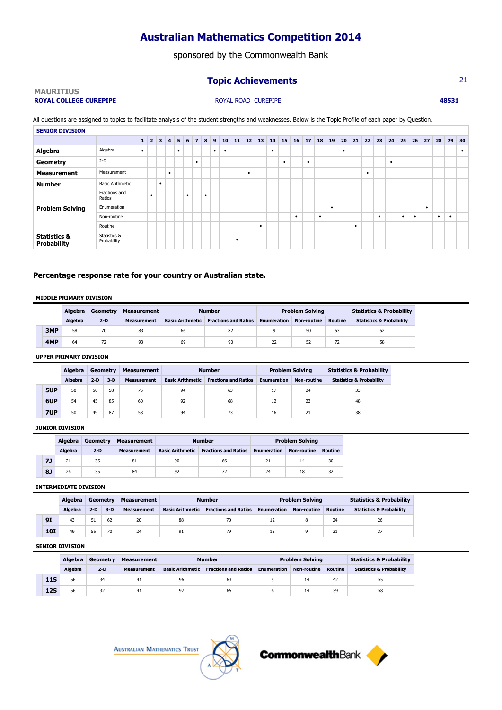sponsored by the Commonwealth Bank

## **Topic Achievements** 21

### **MAURITIUS ROYAL COLLEGE CUREPIPE** 48531

All questions are assigned to topics to facilitate analysis of the student strengths and weaknesses. Below is the Topic Profile of each paper by Question. **SENIOR DIVISION**

|                                               |                             | $\mathbf{1}$ | $\overline{2}$ | $\overline{\mathbf{3}}$ | $\overline{4}$ | 5 <sup>1</sup> | 6 | $\overline{7}$ | 8         | $\overline{9}$ | 10        | 11        | 12 <sup>1</sup> | 13        | 14        |           |   | $15$ 16 17 | 18 19 |   | 20 | 21 22 23 |   |           | 24 | 25 | 26        | 27        | 28        | 29        | $ 30\rangle$ |
|-----------------------------------------------|-----------------------------|--------------|----------------|-------------------------|----------------|----------------|---|----------------|-----------|----------------|-----------|-----------|-----------------|-----------|-----------|-----------|---|------------|-------|---|----|----------|---|-----------|----|----|-----------|-----------|-----------|-----------|--------------|
| Algebra                                       | Algebra                     | $\bullet$    |                |                         |                | ٠              |   |                |           | ٠              | $\bullet$ |           |                 |           | $\bullet$ |           |   |            |       |   | ٠  |          |   |           |    |    |           |           |           |           | $\bullet$    |
| Geometry                                      | $2-D$                       |              |                |                         |                |                |   | $\bullet$      |           |                |           |           |                 |           |           | $\bullet$ |   | ٠          |       |   |    |          |   |           | ٠  |    |           |           |           |           |              |
| <b>Measurement</b>                            | Measurement                 |              |                |                         | ٠              |                |   |                |           |                |           |           | ٠               |           |           |           |   |            |       |   |    |          | ٠ |           |    |    |           |           |           |           |              |
| <b>Number</b>                                 | <b>Basic Arithmetic</b>     |              |                | $\bullet$               |                |                |   |                |           |                |           |           |                 |           |           |           |   |            |       |   |    |          |   |           |    |    |           |           |           |           |              |
|                                               | Fractions and<br>Ratios     |              | ٠              |                         |                |                | ٠ |                | $\bullet$ |                |           |           |                 |           |           |           |   |            |       |   |    |          |   |           |    |    |           |           |           |           |              |
| <b>Problem Solving</b>                        | Enumeration                 |              |                |                         |                |                |   |                |           |                |           |           |                 |           |           |           |   |            |       | ٠ |    |          |   |           |    |    |           | $\bullet$ |           |           |              |
|                                               | Non-routine                 |              |                |                         |                |                |   |                |           |                |           |           |                 |           |           |           | ٠ |            | ٠     |   |    |          |   | $\bullet$ |    | ٠  | $\bullet$ |           | $\bullet$ | $\bullet$ |              |
|                                               | Routine                     |              |                |                         |                |                |   |                |           |                |           |           |                 | $\bullet$ |           |           |   |            |       |   |    | ٠        |   |           |    |    |           |           |           |           |              |
| <b>Statistics &amp;</b><br><b>Probability</b> | Statistics &<br>Probability |              |                |                         |                |                |   |                |           |                |           | $\bullet$ |                 |           |           |           |   |            |       |   |    |          |   |           |    |    |           |           |           |           |              |

## **Percentage response rate for your country or Australian state.**

### **MIDDLE PRIMARY DIVISION**

|     | <b>Algebra</b> | Geometry | Measurement        |                         | <b>Number</b>               |                    | <b>Problem Solving</b> |                | <b>Statistics &amp; Probability</b> |
|-----|----------------|----------|--------------------|-------------------------|-----------------------------|--------------------|------------------------|----------------|-------------------------------------|
|     | <b>Algebra</b> | $2-D$    | <b>Measurement</b> | <b>Basic Arithmetic</b> | <b>Fractions and Ratios</b> | <b>Enumeration</b> | Non-routine            | <b>Routine</b> | <b>Statistics &amp; Probability</b> |
| 3MP | 58             | 70       | 83                 | 66                      | 82                          |                    | 50                     | 53             | 52                                  |
| 4MP | 64             | 72       | 93                 | 69                      | 90                          |                    | 52                     | 72             | 58                                  |

### **UPPER PRIMARY DIVISION**

|     | Algebra | Geometry |       | <b>Measurement</b> |                         | <b>Number</b>               | <b>Problem Solving</b> |                    | <b>Statistics &amp; Probability</b> |
|-----|---------|----------|-------|--------------------|-------------------------|-----------------------------|------------------------|--------------------|-------------------------------------|
|     | Algebra | $2-D$    | $3-D$ | <b>Measurement</b> | <b>Basic Arithmetic</b> | <b>Fractions and Ratios</b> | <b>Enumeration</b>     | <b>Non-routine</b> | <b>Statistics &amp; Probability</b> |
| 5UP | 50      | 50       | 58    | 75                 | 94                      | 63                          |                        | 24                 | 33                                  |
| 6UP | 54      | 45       | 85    | 60                 | 92                      | 68                          | 12                     | 23                 | 48                                  |
| 7UP | 50      | 49       | 87    | 58                 | 94                      | 73                          | 16                     | 21                 | 38                                  |

### **JUNIOR DIVISION**

|    | Algebra        | Geometry | Measurement        |                         | <b>Number</b>               |                    | <b>Problem Solving</b> |         |
|----|----------------|----------|--------------------|-------------------------|-----------------------------|--------------------|------------------------|---------|
|    | <b>Algebra</b> | $2-D$    | <b>Measurement</b> | <b>Basic Arithmetic</b> | <b>Fractions and Ratios</b> | <b>Enumeration</b> | <b>Non-routine</b>     | Routine |
| 71 | 21             | 35       | 81                 | 90                      | 66                          | 21                 | 14                     | 30      |
| 8  | 26             | 35       | 84                 | 92                      |                             | 24                 | 18                     | 32      |

### **INTERMEDIATE DIVISION**

|  |     | Algebra        | Geometry |       | Measurement        |                         | <b>Number</b>               |                    | <b>Problem Solving</b> |         | <b>Statistics &amp; Probability</b> |
|--|-----|----------------|----------|-------|--------------------|-------------------------|-----------------------------|--------------------|------------------------|---------|-------------------------------------|
|  |     | <b>Algebra</b> | $2-D$    | $3-D$ | <b>Measurement</b> | <b>Basic Arithmetic</b> | <b>Fractions and Ratios</b> | <b>Enumeration</b> | <b>Non-routine</b>     | Routine | <b>Statistics &amp; Probability</b> |
|  | 91  | 43             |          | 62    | 20                 | 88                      | 70                          | 12                 |                        | 24      | 26                                  |
|  | 101 | 49             | 55       | 70    | 24                 | 91                      | 79                          | 13                 |                        | 31      | 37                                  |

### **SENIOR DIVISION**

|            | Algebra | Geometry | <b>Measurement</b> |                         | <b>Number</b>               |                    | <b>Problem Solving</b> |         | <b>Statistics &amp; Probability</b> |
|------------|---------|----------|--------------------|-------------------------|-----------------------------|--------------------|------------------------|---------|-------------------------------------|
|            | Algebra | $2-D$    | <b>Measurement</b> | <b>Basic Arithmetic</b> | <b>Fractions and Ratios</b> | <b>Enumeration</b> | Non-routine            | Routine | <b>Statistics &amp; Probability</b> |
| <b>11S</b> | 56      | 34       | 41                 | 96                      | 63                          |                    | 14                     | 42      | 55                                  |
| 12S        | 56      | 32       | 41                 | 97                      | 65                          |                    | 14                     |         | 58                                  |



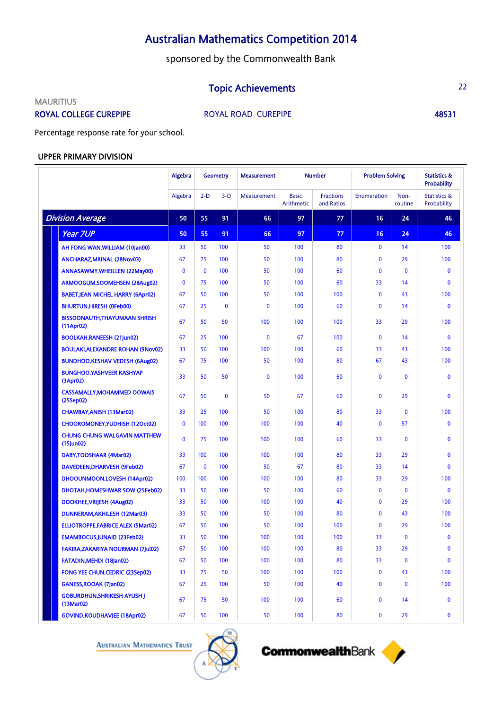sponsored by the Commonwealth Bank

## **Topic Achievements** 22

**MAURITIUS** 

ROYAL COLLEGE CUREPIPE **ROYAL ROAD CUREPIPE** 48531

Percentage response rate for your school.

## UPPER PRIMARY DIVISION

|                                                                     | Algebra      |              | <b>Geometry</b> | <b>Measurement</b> | <b>Number</b>              |                                | <b>Problem Solving</b> |                 | <b>Statistics &amp;</b><br><b>Probability</b> |
|---------------------------------------------------------------------|--------------|--------------|-----------------|--------------------|----------------------------|--------------------------------|------------------------|-----------------|-----------------------------------------------|
|                                                                     | Algebra      | $2-D$        | $3-D$           | Measurement        | <b>Basic</b><br>Arithmetic | <b>Fractions</b><br>and Ratios | Enumeration            | Non-<br>routine | <b>Statistics &amp;</b><br>Probability        |
| <b>Division Average</b>                                             | 50           | 55           | 91              | 66                 | 97                         | 77                             | 16                     | 24              | 46                                            |
| <b>Year 7UP</b>                                                     | 50           | 55           | 91              | 66                 | 97                         | 77                             | 16                     | 24              | 46                                            |
| AH FONG WAN, WILLIAM (10Jan00)                                      | 33           | 50           | 100             | 50                 | 100                        | 80                             | $\mathbf{0}$           | 14              | 100                                           |
| ANCHARAZ, MRINAL (28Nov03)                                          | 67           | 75           | 100             | 50                 | 100                        | 80                             | $\mathbf{0}$           | 29              | 100                                           |
| ANNASAWMY, WHEILLEN (22May00)                                       | $\mathbf{0}$ | $\mathbf{0}$ | 100             | 50                 | 100                        | 60                             | $\mathbf{0}$           | $\mathbf 0$     | $\mathbf{0}$                                  |
| ARMOOGUM, SOOMEHSEN (28Aug02)                                       | $\mathbf{0}$ | 75           | 100             | 50                 | 100                        | 60                             | 33                     | 14              | $\mathbf{0}$                                  |
| <b>BABET, JEAN MICHEL HARRY (6Apr02)</b>                            | 67           | 50           | 100             | 50                 | 100                        | 100                            | $\mathbf{0}$           | 43              | 100                                           |
| <b>BHURTUN, HIRESH (OFeb00)</b>                                     | 67           | 25           | $\mathbf 0$     | $\mathbf 0$        | 100                        | 60                             | $\mathbf{0}$           | 14              | $\mathbf{0}$                                  |
| <b>BISSOONAUTH, THAYUMAAN SHRISH</b><br>$(11$ Apr <sub>02</sub> $)$ | 67           | 50           | 50              | 100                | 100                        | 100                            | 33                     | 29              | 100                                           |
| <b>BOOLKAH, RANEESH (21Jun02)</b>                                   | 67           | 25           | 100             | $\mathbf{0}$       | 67                         | 100                            | $\mathbf{0}$           | 14              | $\mathbf 0$                                   |
| <b>BOULAKI, ALEXANDRE ROHAN (9Nov02)</b>                            | 33           | 50           | 100             | 100                | 100                        | 60                             | 33                     | 43              | 100                                           |
| <b>BUNDHOO, KESHAV VEDESH (6Aug02)</b>                              | 67           | 75           | 100             | 50                 | 100                        | 80                             | 67                     | 43              | 100                                           |
| <b>BUNGHOO.YASHVEER KASHYAP</b><br>(3Apr02)                         | 33           | 50           | 50              | $\mathbf{0}$       | 100                        | 60                             | $\mathbf{0}$           | 0               | $\mathbf{0}$                                  |
| <b>CASSAMALLY.MOHAMMED OOWAIS</b><br>(25Sep02)                      | 67           | 50           | $\mathbf{0}$    | 50                 | 67                         | 60                             | $\mathbf{0}$           | 29              | $\mathbf{0}$                                  |
| CHAWBAY, ANISH (13Mar02)                                            | 33           | 25           | 100             | 50                 | 100                        | 80                             | 33                     | 0               | 100                                           |
| CHOOROMONEY, YUDHISH (12Oct02)                                      | $\mathbf 0$  | 100          | 100             | 100                | 100                        | 40                             | $\mathbf{0}$           | 57              | $\mathbf 0$                                   |
| <b>CHUNG CHUNG WAI, GAVIN MATTHEW</b><br>$(15)$ un02)               | $\mathbf{0}$ | 75           | 100             | 100                | 100                        | 60                             | 33                     | 0               | $\mathbf{0}$                                  |
| DABY, TOOSHAAR (4Mar02)                                             | 33           | 100          | 100             | 100                | 100                        | 80                             | 33                     | 29              | $\mathbf 0$                                   |
| DAVEDEEN, DHARVESH (9Feb02)                                         | 67           | 0            | 100             | 50                 | 67                         | 80                             | 33                     | 14              | $\mathbf 0$                                   |
| DHOOUNMOON, LOVESH (14Apr02)                                        | 100          | 100          | 100             | 100                | 100                        | 80                             | 33                     | 29              | 100                                           |
| DHOTAH, HOMESHWAR SOW (25Feb02)                                     | 33           | 50           | 100             | 50                 | 100                        | 60                             | $\mathbf{0}$           | 0               | $\mathbf{0}$                                  |
| DOOKHEE, VRIJESH (4Aug02)                                           | 33           | 50           | 100             | 100                | 100                        | 40                             | $\mathbf{0}$           | 29              | 100                                           |
| DUNNERAM, AKHILESH (12Mar03)                                        | 33           | 50           | 100             | 50                 | 100                        | 80                             | $\mathbf{0}$           | 43              | 100                                           |
| <b>ELLIOTROPPE,FABRICE ALEX (5Mar02)</b>                            | 67           | 50           | 100             | 50                 | 100                        | 100                            | $\mathbf{0}$           | 29              | 100                                           |
| <b>EMAMBOCUS, JUNAID (23Feb02)</b>                                  | 33           | 50           | 100             | 100                | 100                        | 100                            | 33                     | 0               | $\mathbf{0}$                                  |
| <b>FAKIRA, ZAKARIYA NOURMAN (7Jul02)</b>                            | 67           | 50           | 100             | 100                | 100                        | 80                             | 33                     | 29              | $\mathbf 0$                                   |
| FATADIN, MEHDI (18Jan02)                                            | 67           | 50           | 100             | 100                | 100                        | 80                             | 33                     | $\mathbf 0$     | $\bf{0}$                                      |
| FONG YEE CHUN, CEDRIC (23Sep02)                                     | 33           | 75           | 50              | 100                | 100                        | 100                            | 0                      | 43              | 100                                           |
| GANESS, ROOAK (7Jan02)                                              | 67           | 25           | 100             | 50                 | 100                        | 40                             | $\bf{0}$               | $\mathbf 0$     | 100                                           |
| <b>GOBURDHUN, SHRIKESH AYUSH J</b><br>(13 <sub>Mar02</sub> )        | 67           | 75           | 50              | 100                | 100                        | 60                             | $\bf{0}$               | 14              | $\mathbf 0$                                   |
| <b>GOVIND, KOUDHAVJEE (18Apr02)</b>                                 | 67           | 50           | 100             | 50                 | 100                        | 80                             | 0                      | 29              | $\mathbf 0$                                   |

**AUSTRALIAN MATHEMATICS TRUST** 



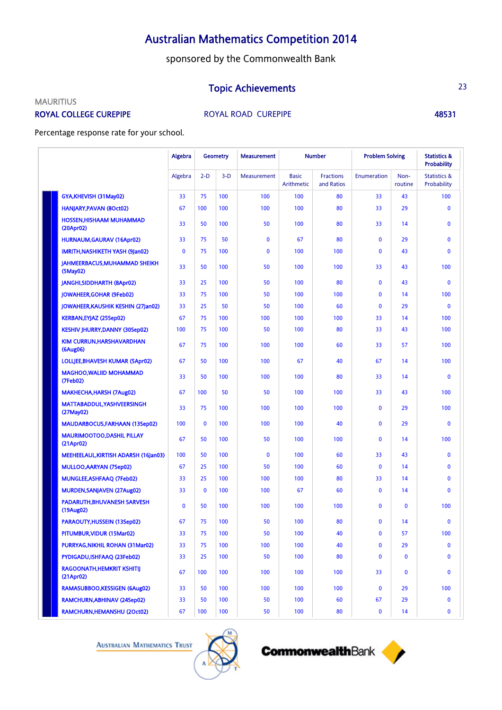sponsored by the Commonwealth Bank

## **Topic Achievements** 23

### **MAURITIUS**

ROYAL COLLEGE CUREPIPE **ROYAL ROAD CUREPIPE** 48531

Percentage response rate for your school.

|                                                     | Algebra<br><b>Geometry</b> |              | <b>Measurement</b> |              | <b>Number</b>              |                                | <b>Problem Solving</b> |                 |                                        |
|-----------------------------------------------------|----------------------------|--------------|--------------------|--------------|----------------------------|--------------------------------|------------------------|-----------------|----------------------------------------|
|                                                     | Algebra                    | $2-D$        | $3-D$              | Measurement  | <b>Basic</b><br>Arithmetic | <b>Fractions</b><br>and Ratios | Enumeration            | Non-<br>routine | <b>Statistics &amp;</b><br>Probability |
| GYA, KHEVISH (31 May 02)                            | 33                         | 75           | 100                | 100          | 100                        | 80                             | 33                     | 43              | 100                                    |
| HANJARY, PAVAN (8Oct02)                             | 67                         | 100          | 100                | 100          | 100                        | 80                             | 33                     | 29              | $\mathbf{0}$                           |
| <b>HOSSEN, HISHAAM MUHAMMAD</b><br>(20Apr02)        | 33                         | 50           | 100                | 50           | 100                        | 80                             | 33                     | 14              | $\mathbf{0}$                           |
| <b>HURNAUM, GAURAV (16Apr02)</b>                    | 33                         | 75           | 50                 | $\bf{0}$     | 67                         | 80                             | $\mathbf{0}$           | 29              | $\mathbf{0}$                           |
| IMRITH, NASHIKETH YASH (9Jan02)                     | $\mathbf{0}$               | 75           | 100                | $\bf{0}$     | 100                        | 100                            | $\mathbf{0}$           | 43              | $\mathbf{0}$                           |
| JAHMEERBACUS, MUHAMMAD SHEIKH<br>(5May02)           | 33                         | 50           | 100                | 50           | 100                        | 100                            | 33                     | 43              | 100                                    |
| JANGHI, SIDDHARTH (8Apr02)                          | 33                         | 25           | 100                | 50           | 100                        | 80                             | 0                      | 43              | $\mathbf 0$                            |
| JOWAHEER, GOHAR (9Feb02)                            | 33                         | 75           | 100                | 50           | 100                        | 100                            | $\mathbf 0$            | 14              | 100                                    |
| JOWAHEER, KAUSHIK KESHIN (27Jan02)                  | 33                         | 25           | 50                 | 50           | 100                        | 60                             | $\mathbf{0}$           | 29              | $\mathbf 0$                            |
| KERBAN, EYJAZ (25Sep02)                             | 67                         | 75           | 100                | 100          | 100                        | 100                            | 33                     | 14              | 100                                    |
| <b>KESHIV JHURRY, DANNY (30Sep02)</b>               | 100                        | 75           | 100                | 50           | 100                        | 80                             | 33                     | 43              | 100                                    |
| KIM CURRUN, HARSHAVARDHAN<br>(6Aug06)               | 67                         | 75           | 100                | 100          | 100                        | 60                             | 33                     | 57              | 100                                    |
| LOLLJEE, BHAVESH KUMAR (5Apr02)                     | 67                         | 50           | 100                | 100          | 67                         | 40                             | 67                     | 14              | 100                                    |
| <b>MAGHOO, WALIID MOHAMMAD</b><br>(7Feb02)          | 33                         | 50           | 100                | 100          | 100                        | 80                             | 33                     | 14              | $\mathbf{0}$                           |
| <b>MAKHECHA, HARSH (7Aug02)</b>                     | 67                         | 100          | 50                 | 50           | 100                        | 100                            | 33                     | 43              | 100                                    |
| MATTABADDUL, YASHVEERSINGH<br>(27May02)             | 33                         | 75           | 100                | 100          | 100                        | 100                            | $\mathbf{0}$           | 29              | 100                                    |
| <b>MAUDARBOCUS, FARHAAN (13Sep02)</b>               | 100                        | $\mathbf{0}$ | 100                | 100          | 100                        | 40                             | 0                      | 29              | $\mathbf{0}$                           |
| <b>MAURIMOOTOO,DASHIL PILLAY</b><br>(21Apr02)       | 67                         | 50           | 100                | 50           | 100                        | 100                            | $\mathbf{0}$           | 14              | 100                                    |
| MEEHEELAUL, KIRTISH ADARSH (16Jan03)                | 100                        | 50           | 100                | $\mathbf{0}$ | 100                        | 60                             | 33                     | 43              | $\mathbf{0}$                           |
| <b>MULLOO, AARYAN (7Sep02)</b>                      | 67                         | 25           | 100                | 50           | 100                        | 60                             | 0                      | 14              | $\mathbf 0$                            |
| MUNGLEE, ASHFAAQ (7Feb02)                           | 33                         | 25           | 100                | 100          | 100                        | 80                             | 33                     | 14              | $\mathbf 0$                            |
| MURDEN, SANJAVEN (27Aug02)                          | 33                         | $\mathbf{0}$ | 100                | 100          | 67                         | 60                             | $\mathbf{0}$           | 14              | $\mathbf{0}$                           |
| <b>PADARUTH, BHUVANESH SARVESH</b><br>(19Aug02)     | $\mathbf{0}$               | 50           | 100                | 100          | 100                        | 100                            | 0                      | 0               | 100                                    |
| <b>PARAOUTY, HUSSEIN (13Sep02)</b>                  | 67                         | 75           | 100                | 50           | 100                        | 80                             | $\mathbf{0}$           | 14              | $\mathbf{0}$                           |
| PITUMBUR, VIDUR (15Mar02)                           | 33                         | 75           | 100                | 50           | 100                        | 40                             | 0                      | 57              | 100                                    |
| PURRYAG, NIKHIL ROHAN (31 Mar02)                    | 33                         | 75           | 100                | 100          | 100                        | 40                             | 0                      | 29              | $\mathbf 0$                            |
| PYDIGADU,ISHFAAQ (23Feb02)                          | 33                         | 25           | 100                | 50           | 100                        | 80                             | 0                      | $\mathbf 0$     | $\mathbf 0$                            |
| <b>RAGOONATH,HEMKRIT KSHITIJ</b><br>$(21$ Apr $02)$ | 67                         | 100          | 100                | 100          | 100                        | 100                            | 33                     | $\mathbf 0$     | $\mathbf 0$                            |
| RAMASUBBOO,KESSIGEN (6Aug02)                        | 33                         | 50           | 100                | 100          | 100                        | 100                            | 0                      | 29              | 100                                    |
| RAMCHURN, ABHINAV (24Sep02)                         | 33                         | 50           | 100                | 50           | 100                        | 60                             | 67                     | 29              | $\bf{0}$                               |
| RAMCHURN, HEMANSHU (2Oct02)                         | 67                         | 100          | 100                | 50           | 100                        | 80                             | $\bf{0}$               | 14              | $\mathbf{0}$                           |

**AUSTRALIAN MATHEMATICS TRUST** 



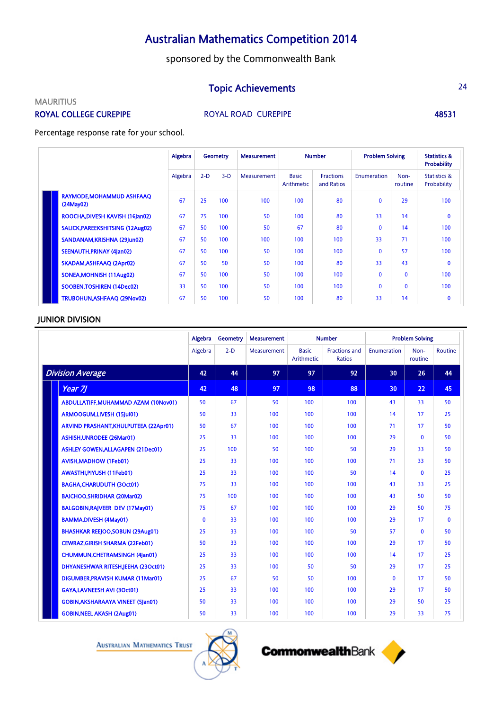sponsored by the Commonwealth Bank

## Topic Achievements 24

## **MAURITIUS**

ROYAL COLLEGE CUREPIPE **ROYAL ROAD CUREPIPE** 48531

Percentage response rate for your school.

|                                        | Algebra | <b>Number</b><br><b>Geometry</b><br><b>Measurement</b> |       |             | <b>Problem Solving</b>     |                                | <b>Statistics &amp;</b><br><b>Probability</b> |                 |                                        |
|----------------------------------------|---------|--------------------------------------------------------|-------|-------------|----------------------------|--------------------------------|-----------------------------------------------|-----------------|----------------------------------------|
|                                        | Algebra | $2-D$                                                  | $3-D$ | Measurement | <b>Basic</b><br>Arithmetic | <b>Fractions</b><br>and Ratios | Enumeration                                   | Non-<br>routine | <b>Statistics &amp;</b><br>Probability |
| RAYMODE, MOHAMMUD ASHFAAQ<br>(24May02) | 67      | 25                                                     | 100   | 100         | 100                        | 80                             | $\mathbf{0}$                                  | 29              | 100                                    |
| ROOCHA, DIVESH KAVISH (16Jan02)        | 67      | 75                                                     | 100   | 50          | 100                        | 80                             | 33                                            | 14              | $\mathbf{0}$                           |
| SALICK, PAREEKSHITSING (12Aug02)       | 67      | 50                                                     | 100   | 50          | 67                         | 80                             | $\mathbf{0}$                                  | 14              | 100                                    |
| SANDANAM, KRISHNA (29Jun02)            | 67      | 50                                                     | 100   | 100         | 100                        | 100                            | 33                                            | 71              | 100                                    |
| SEENAUTH, PRINAY (4Jan02)              | 67      | 50                                                     | 100   | 50          | 100                        | 100                            | $\mathbf{0}$                                  | 57              | 100                                    |
| SKADAM, ASHFAAQ (2Apr02)               | 67      | 50                                                     | 50    | 50          | 100                        | 80                             | 33                                            | 43              | $\mathbf{0}$                           |
| SONEA, MOHNISH (11 Aug02)              | 67      | 50                                                     | 100   | 50          | 100                        | 100                            | $\mathbf 0$                                   | $\Omega$        | 100                                    |
| SOOBEN, TOSHIREN (14Dec02)             | 33      | 50                                                     | 100   | 50          | 100                        | 100                            | $\mathbf{0}$                                  | $\Omega$        | 100                                    |
| TRUBOHUN, ASHFAAQ (29Nov02)            | 67      | 50                                                     | 100   | 50          | 100                        | 80                             | 33                                            | 14              | $\mathbf 0$                            |

## JUNIOR DIVISION

|                                           | Algebra      | <b>Geometry</b> | <b>Measurement</b> |                            | <b>Number</b>                         |                 | <b>Problem Solving</b> |              |
|-------------------------------------------|--------------|-----------------|--------------------|----------------------------|---------------------------------------|-----------------|------------------------|--------------|
|                                           | Algebra      | $2-D$           | Measurement        | <b>Basic</b><br>Arithmetic | <b>Fractions and</b><br><b>Ratios</b> | Enumeration     | Non-<br>routine        | Routine      |
| <b>Division Average</b>                   | 42           | 44              | 97                 | 97                         | 92                                    | 30              | 26                     | 44           |
| Year 7J                                   | 42           | 48              | 97                 | 98                         | 88                                    | 30 <sup>°</sup> | 22                     | 45           |
| ABDULLATIFF, MUHAMMAD AZAM (10Nov01)      | 50           | 67              | 50                 | 100                        | 100                                   | 43              | 33                     | 50           |
| ARMOOGUM,LIVESH (15Jul01)                 | 50           | 33              | 100                | 100                        | 100                                   | 14              | 17                     | 25           |
| ARVIND PRASHANT, KHULPUTEEA (22Apr01)     | 50           | 67              | 100                | 100                        | 100                                   | 71              | 17                     | 50           |
| <b>ASHISH, UNRODEE (26Mar01)</b>          | 25           | 33              | 100                | 100                        | 100                                   | 29              | $\mathbf{0}$           | 50           |
| <b>ASHLEY GOWEN, ALLAGAPEN (21 Dec01)</b> | 25           | 100             | 50                 | 100                        | 50                                    | 29              | 33                     | 50           |
| <b>AVISH, MADHOW (1Feb01)</b>             | 25           | 33              | 100                | 100                        | 100                                   | 71              | 33                     | 50           |
| AWASTHI, PIYUSH (11 Feb01)                | 25           | 33              | 100                | 100                        | 50                                    | 14              | $\mathbf{0}$           | 25           |
| <b>BAGHA, CHARUDUTH (3Oct01)</b>          | 75           | 33              | 100                | 100                        | 100                                   | 43              | 33                     | 25           |
| <b>BAICHOO.SHRIDHAR (20Mar02)</b>         | 75           | 100             | 100                | 100                        | 100                                   | 43              | 50                     | 50           |
| <b>BALGOBIN, RAJVEER DEV (17May01)</b>    | 75           | 67              | 100                | 100                        | 100                                   | 29              | 50                     | 75           |
| <b>BAMMA,DIVESH (4May01)</b>              | $\mathbf{0}$ | 33              | 100                | 100                        | 100                                   | 29              | 17                     | $\mathbf{0}$ |
| <b>BHASHKAR REEJOO, SOBUN (29Aug01)</b>   | 25           | 33              | 100                | 100                        | 50                                    | 57              | $\mathbf{0}$           | 50           |
| <b>CEWRAZ, GIRISH SHARMA (22Feb01)</b>    | 50           | 33              | 100                | 100                        | 100                                   | 29              | 17                     | 50           |
| <b>CHUMMUN, CHETRAMSINGH (4Jan01)</b>     | 25           | 33              | 100                | 100                        | 100                                   | 14              | 17                     | 25           |
| DHYANESHWAR RITESH, JEEHA (23Oct01)       | 25           | 33              | 100                | 50                         | 50                                    | 29              | 17                     | 25           |
| DIGUMBER, PRAVISH KUMAR (11 Mar01)        | 25           | 67              | 50                 | 50                         | 100                                   | $\mathbf{0}$    | 17                     | 50           |
| <b>GAYA,LAVNEESH AVI (3Oct01)</b>         | 25           | 33              | 100                | 100                        | 100                                   | 29              | 17                     | 50           |
| <b>GOBIN, AKSHARAAYA VINEET (5Jan01)</b>  | 50           | 33              | 100                | 100                        | 100                                   | 29              | 50                     | 25           |
| <b>GOBIN, NEEL AKASH (2Aug01)</b>         | 50           | 33              | 100                | 100                        | 100                                   | 29              | 33                     | 75           |



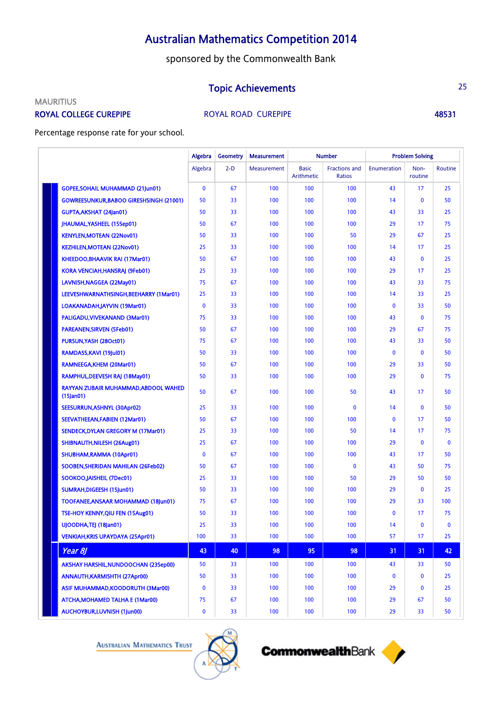sponsored by the Commonwealth Bank

## **Topic Achievements** 25

## **MAURITIUS**

ROYAL COLLEGE CUREPIPE **ROYAL ROAD CUREPIPE** 48531

Percentage response rate for your school.

|                                                      | Algebra      | <b>Geometry</b> | <b>Measurement</b> |                            | <b>Number</b>                  |              | <b>Problem Solving</b> |             |
|------------------------------------------------------|--------------|-----------------|--------------------|----------------------------|--------------------------------|--------------|------------------------|-------------|
|                                                      | Algebra      | $2-D$           | <b>Measurement</b> | <b>Basic</b><br>Arithmetic | <b>Fractions and</b><br>Ratios | Enumeration  | Non-<br>routine        | Routine     |
| <b>GOPEE, SOHAIL MUHAMMAD (21Jun01)</b>              | $\mathbf{0}$ | 67              | 100                | 100                        | 100                            | 43           | 17                     | 25          |
| <b>GOWREESUNKUR.BABOO GIRESHSINGH (21001)</b>        | 50           | 33              | 100                | 100                        | 100                            | 14           | $\mathbf{0}$           | 50          |
| <b>GUPTA, AKSHAT (24Jan01)</b>                       | 50           | 33              | 100                | 100                        | 100                            | 43           | 33                     | 25          |
| JHAUMAL, YASHEEL (15Sep01)                           | 50           | 67              | 100                | 100                        | 100                            | 29           | 17                     | 75          |
| <b>KENYLEN, MOTEAN (22Nov01)</b>                     | 50           | 33              | 100                | 100                        | 50                             | 29           | 67                     | 25          |
| <b>KEZHILEN, MOTEAN (22Nov01)</b>                    | 25           | 33              | 100                | 100                        | 100                            | 14           | 17                     | 25          |
| KHEEDOO, BHAAVIK RAI (17 Mar 01)                     | 50           | 67              | 100                | 100                        | 100                            | 43           | $\mathbf{0}$           | 25          |
| KORA VENCIAH, HANSRAJ (9Feb01)                       | 25           | 33              | 100                | 100                        | 100                            | 29           | 17                     | 25          |
| LAVNISH, NAGGEA (22May01)                            | 75           | 67              | 100                | 100                        | 100                            | 43           | 33                     | 75          |
| LEEVESHWARNATHSINGH, BEEHARRY (1 Mar01)              | 25           | 33              | 100                | 100                        | 100                            | 14           | 33                     | 25          |
| LOAKANADAH, JAYVIN (19Mar01)                         | $\mathbf{0}$ | 33              | 100                | 100                        | 100                            | $\mathbf{0}$ | 33                     | 50          |
| PALIGADU, VIVEKANAND (3Mar01)                        | 75           | 33              | 100                | 100                        | 100                            | 43           | $\mathbf{0}$           | 75          |
| <b>PAREANEN, SIRVEN (5Feb01)</b>                     | 50           | 67              | 100                | 100                        | 100                            | 29           | 67                     | 75          |
| PURSUN, YASH (28Oct01)                               | 75           | 67              | 100                | 100                        | 100                            | 43           | 33                     | 50          |
| RAMDASS, KAVI (19 Jul 01)                            | 50           | 33              | 100                | 100                        | 100                            | $\mathbf{0}$ | $\mathbf{0}$           | 50          |
| RAMNEEGA, KHEM (20Mar01)                             | 50           | 67              | 100                | 100                        | 100                            | 29           | 33                     | 50          |
| RAMPHUL, DEEVESH RAJ (18May01)                       | 50           | 33              | 100                | 100                        | 100                            | 29           | $\mathbf 0$            | 75          |
| RAYYAN ZUBAIR MUHAMMAD, ABDOOL WAHED<br>$(15$ and 1) | 50           | 67              | 100                | 100                        | 50                             | 43           | 17                     | 50          |
| SEESURRUN, ASHNYL (30Apr02)                          | 25           | 33              | 100                | 100                        | $\mathbf{0}$                   | 14           | $\mathbf{0}$           | 50          |
| SEEVATHEEAN, FABIEN (12Mar01)                        | 50           | 67              | 100                | 100                        | 100                            | $\mathbf{0}$ | 17                     | 50          |
| SENDECK, DYLAN GREGORY M (17Mar01)                   | 25           | 33              | 100                | 100                        | 50                             | 14           | 17                     | 75          |
| SHIBNAUTH, NILESH (26Aug01)                          | 25           | 67              | 100                | 100                        | 100                            | 29           | $\mathbf{0}$           | $\mathbf 0$ |
| SHUBHAM, RAMMA (10Apr01)                             | $\mathbf{0}$ | 67              | 100                | 100                        | 100                            | 43           | 17                     | 50          |
| SOOBEN, SHERIDAN MAHILAN (26Feb02)                   | 50           | 67              | 100                | 100                        | $\mathbf 0$                    | 43           | 50                     | 75          |
| SOOKOO, JAISHEIL (7Dec01)                            | 25           | 33              | 100                | 100                        | 50                             | 29           | 50                     | 50          |
| SUMRAH, DIGEESH (15Jun01)                            | 50           | 33              | 100                | 100                        | 100                            | 29           | $\mathbf{0}$           | 25          |
| TOOFANEE, ANSAAR MOHAMMAD (18Jun01)                  | 75           | 67              | 100                | 100                        | 100                            | 29           | 33                     | 100         |
| TSE-HOY KENNY, QIU FEN (15Aug01)                     | 50           | 33              | 100                | 100                        | 100                            | $\mathbf{0}$ | 17                     | 75          |
| UJOODHA, TEJ (18Jan01)                               | 25           | 33              | 100                | 100                        | 100                            | 14           | $\mathbf{0}$           | $\mathbf 0$ |
| <b>VENKIAH, KRIS UPAYDAYA (25Apr01)</b>              | 100          | 33              | 100                | 100                        | 100                            | 57           | 17                     | 25          |
| Year 8J                                              | 43           | 40              | 98                 | 95                         | 98                             | 31           | 31                     | 42          |
| AKSHAY HARSHIL, NUNDOOCHAN (23Sep00)                 | 50           | 33              | 100                | 100                        | 100                            | 43           | 33                     | 50          |
| <b>ANNAUTH, KARMISHTH (27Apr00)</b>                  | 50           | 33              | 100                | 100                        | 100                            | 0            | $\mathbf 0$            | 25          |
| <b>ASIF MUHAMMAD, KOODORUTH (3Mar00)</b>             | $\bf{0}$     | 33              | 100                | 100                        | 100                            | 29           | $\bf{0}$               | 25          |
| ATCHA, MOHAMED TALHA E (1 Mar00)                     | 75           | 67              | 100                | 100                        | 100                            | 29           | 67                     | 50          |
| AUCHOYBUR, LUVNISH (1Jun00)                          | $\mathbf 0$  | 33              | 100                | 100                        | 100                            | 29           | 33                     | 50          |

**AUSTRALIAN MATHEMATICS TRUST** 



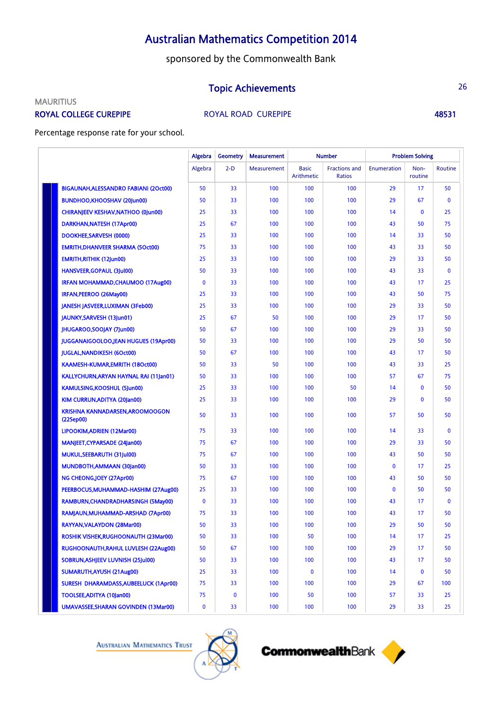sponsored by the Commonwealth Bank

## **Topic Achievements** 26

## **MAURITIUS**

ROYAL COLLEGE CUREPIPE **ROYAL ROAD CUREPIPE** 48531

Percentage response rate for your school.

|                                              | Algebra     | <b>Geometry</b> | <b>Measurement</b> |                            | <b>Number</b>                         |              | <b>Problem Solving</b> |             |
|----------------------------------------------|-------------|-----------------|--------------------|----------------------------|---------------------------------------|--------------|------------------------|-------------|
|                                              | Algebra     | $2-D$           | Measurement        | <b>Basic</b><br>Arithmetic | <b>Fractions and</b><br><b>Ratios</b> | Enumeration  | Non-<br>routine        | Routine     |
| BIGAUNAH, ALESSANDRO FABIANI (20ct00)        | 50          | 33              | 100                | 100                        | 100                                   | 29           | 17                     | 50          |
| BUNDHOO, KHOOSHAV (20Jun00)                  | 50          | 33              | 100                | 100                        | 100                                   | 29           | 67                     | $\mathbf 0$ |
| CHIRANJEEV KESHAV, NATHOO (0Jun00)           | 25          | 33              | 100                | 100                        | 100                                   | 14           | $\mathbf 0$            | 25          |
| DARKHAN, NATESH (17Apr00)                    | 25          | 67              | 100                | 100                        | 100                                   | 43           | 50                     | 75          |
| DOOKHEE, SARVESH (0000)                      | 25          | 33              | 100                | 100                        | 100                                   | 14           | 33                     | 50          |
| <b>EMRITH, DHANVEER SHARMA (5Oct00)</b>      | 75          | 33              | 100                | 100                        | 100                                   | 43           | 33                     | 50          |
| <b>EMRITH, RITHIK (12Jun00)</b>              | 25          | 33              | 100                | 100                        | 100                                   | 29           | 33                     | 50          |
| <b>HANSVEER, GOPAUL (3Jul00)</b>             | 50          | 33              | 100                | 100                        | 100                                   | 43           | 33                     | $\mathbf 0$ |
| <b>IRFAN MOHAMMAD, CHAUMOO (17Aug00)</b>     | $\mathbf 0$ | 33              | 100                | 100                        | 100                                   | 43           | 17                     | 25          |
| IRFAN, PEEROO (26May00)                      | 25          | 33              | 100                | 100                        | 100                                   | 43           | 50                     | 75          |
| JANESH JASVEER, LUXIMAN (3Feb00)             | 25          | 33              | 100                | 100                        | 100                                   | 29           | 33                     | 50          |
| JAUNKY, SARVESH (13Jun01)                    | 25          | 67              | 50                 | 100                        | 100                                   | 29           | 17                     | 50          |
| JHUGAROO, SOOJAY (7Jun00)                    | 50          | 67              | 100                | 100                        | 100                                   | 29           | 33                     | 50          |
| <b>JUGGANAIGOOLOO,JEAN HUGUES (19Apr00)</b>  | 50          | 33              | 100                | 100                        | 100                                   | 29           | 50                     | 50          |
| <b>JUGLAL, NANDIKESH (6Oct00)</b>            | 50          | 67              | 100                | 100                        | 100                                   | 43           | 17                     | 50          |
| KAAMESH-KUMAR,EMRITH (18Oct00)               | 50          | 33              | 50                 | 100                        | 100                                   | 43           | 33                     | 25          |
| KALLYCHURN, ARYAN HAYNAL RAI (11 Jan01)      | 50          | 33              | 100                | 100                        | 100                                   | 57           | 67                     | 75          |
| <b>KAMULSING,KOOSHUL (5Jun00)</b>            | 25          | 33              | 100                | 100                        | 50                                    | 14           | $\mathbf 0$            | 50          |
| KIM CURRUN, ADITYA (20Jan00)                 | 25          | 33              | 100                | 100                        | 100                                   | 29           | $\mathbf{0}$           | 50          |
| KRISHNA KANNADARSEN, AROOMOOGON<br>(22Sep00) | 50          | 33              | 100                | 100                        | 100                                   | 57           | 50                     | 50          |
| LIPOOKIM, ADRIEN (12Mar00)                   | 75          | 33              | 100                | 100                        | 100                                   | 14           | 33                     | $\mathbf 0$ |
| <b>MANJEET, CYPARSADE (24Jan00)</b>          | 75          | 67              | 100                | 100                        | 100                                   | 29           | 33                     | 50          |
| MUKUL, SEEBARUTH (31 Jul 00)                 | 75          | 67              | 100                | 100                        | 100                                   | 43           | 50                     | 50          |
| MUNDBOTH, AMMAAN (30Jan00)                   | 50          | 33              | 100                | 100                        | 100                                   | $\mathbf 0$  | 17                     | 25          |
| NG CHEONG, JOEY (27Apr00)                    | 75          | 67              | 100                | 100                        | 100                                   | 43           | 50                     | 50          |
| PEERBOCUS, MUHAMMAD-HASHIM (27Aug00)         | 25          | 33              | 100                | 100                        | 100                                   | $\mathbf{0}$ | 50                     | 50          |
| RAMBURN, CHANDRADHARSINGH (5May00)           | $\mathbf 0$ | 33              | 100                | 100                        | 100                                   | 43           | 17                     | $\mathbf 0$ |
| RAMJAUN, MUHAMMAD-ARSHAD (7Apr00)            | 75          | 33              | 100                | 100                        | 100                                   | 43           | 17                     | 50          |
| RAYYAN.VALAYDON (28Mar00)                    | 50          | 33              | 100                | 100                        | 100                                   | 29           | 50                     | 50          |
| ROSHIK VISHEK, RUGHOONAUTH (23 Mar00)        | 50          | 33              | 100                | 50                         | 100                                   | 14           | 17                     | 25          |
| RUGHOONAUTH, RAHUL LUVLESH (22Aug00)         | 50          | 67              | 100                | 100                        | 100                                   | 29           | 17                     | 50          |
| SOBRUN, ASHJEEV LUVNISH (25Jul00)            | 50          | 33              | 100                | 100                        | 100                                   | 43           | 17                     | 50          |
| SUMARUTH, AYUSH (21 Aug00)                   | 25          | 33              | 100                | $\bf{0}$                   | 100                                   | 14           | $\mathbf 0$            | 50          |
| SURESH DHARAMDASS, AUBEELUCK (1Apr00)        | 75          | 33              | 100                | 100                        | 100                                   | 29           | 67                     | 100         |
| TOOLSEE,ADITYA (10Jan00)                     | 75          | $\bf{0}$        | 100                | 50                         | 100                                   | 57           | 33                     | 25          |
| UMAVASSEE, SHARAN GOVINDEN (13Mar00)         | $\mathbf 0$ | 33              | 100                | 100                        | 100                                   | 29           | 33                     | 25          |





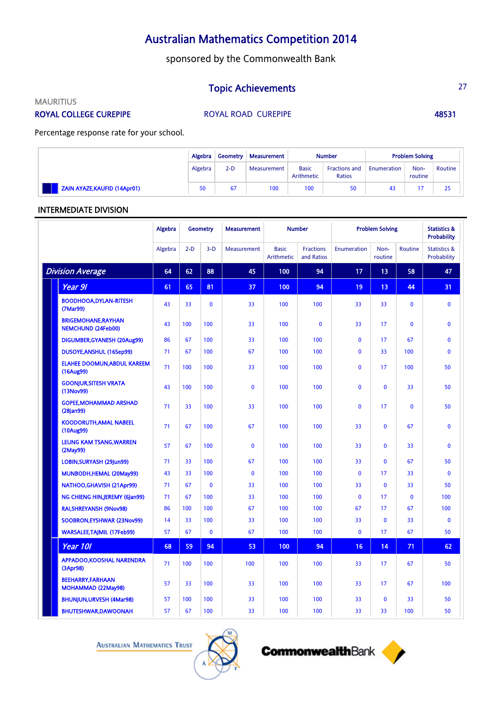sponsored by the Commonwealth Bank

## **Topic Achievements** 27

**MAURITIUS** 

ROYAL COLLEGE CUREPIPE **ROYAL ROAD CUREPIPE** 48531

Percentage response rate for your school.

|                                     | Algebra   | Geometry | <b>Measurement</b> |                            | <b>Number</b>                         |             | <b>Problem Solving</b> |         |
|-------------------------------------|-----------|----------|--------------------|----------------------------|---------------------------------------|-------------|------------------------|---------|
|                                     | Algebra   | $2-D$    | Measurement        | <b>Basic</b><br>Arithmetic | <b>Fractions and</b><br><b>Ratios</b> | Enumeration | Non-<br>routine        | Routine |
| <b>ZAIN AYAZE, KAUFID (14Apr01)</b> | <b>SO</b> | 67       | 100                | 100                        | 50                                    | 43          | 15                     | 25      |

## INTERMEDIATE DIVISION

|                         |                                                         | <b>Algebra</b> |       | <b>Geometry</b> | <b>Measurement</b> | <b>Number</b>              |                                | <b>Problem Solving</b> |                 |              | <b>Statistics &amp;</b><br><b>Probability</b> |
|-------------------------|---------------------------------------------------------|----------------|-------|-----------------|--------------------|----------------------------|--------------------------------|------------------------|-----------------|--------------|-----------------------------------------------|
|                         |                                                         | Algebra        | $2-D$ | $3-D$           | Measurement        | <b>Basic</b><br>Arithmetic | <b>Fractions</b><br>and Ratios | Enumeration            | Non-<br>routine | Routine      | <b>Statistics &amp;</b><br>Probability        |
| <b>Division Average</b> |                                                         | 64             | 62    | 88              | 45                 | 100                        | 94                             | 17                     | 13              | 58           | 47                                            |
|                         | Year 91                                                 | 61             | 65    | 81              | 37                 | 100                        | 94                             | 19                     | 13              | 44           | 31                                            |
|                         | <b>BOODHOOA,DYLAN-RITESH</b><br>(7Mar99)                | 43             | 33    | $\mathbf{0}$    | 33                 | 100                        | 100                            | 33                     | 33              | $\mathbf{0}$ | $\mathbf{0}$                                  |
|                         | <b>BRIGEMOHANE, RAYHAN</b><br><b>NEMCHUND (24Feb00)</b> | 43             | 100   | 100             | 33                 | 100                        | $\mathbf{0}$                   | 33                     | 17              | $\mathbf{0}$ | $\mathbf{0}$                                  |
|                         | DIGUMBER, GYANESH (20Aug99)                             | 86             | 67    | 100             | 33                 | 100                        | 100                            | $\mathbf{0}$           | 17              | 67           | $\mathbf{0}$                                  |
|                         | DUSOYE, ANSHUL (16Sep99)                                | 71             | 67    | 100             | 67                 | 100                        | 100                            | $\mathbf{0}$           | 33              | 100          | $\mathbf{0}$                                  |
|                         | <b>ELAHEE DOOMUN, ABDUL KAREEM</b><br>(16Aug99)         | 71             | 100   | 100             | 33                 | 100                        | 100                            | $\mathbf{0}$           | 17              | 100          | 50                                            |
|                         | <b>GOONJUR, SITESH VRATA</b><br>(13Nov99)               | 43             | 100   | 100             | $\mathbf{0}$       | 100                        | 100                            | $\mathbf{0}$           | $\mathbf{0}$    | 33           | 50                                            |
|                         | <b>GOPEE, MOHAMMAD ARSHAD</b><br>$(28)$ an $99)$        | 71             | 33    | 100             | 33                 | 100                        | 100                            | $\mathbf{0}$           | 17              | $\mathbf{0}$ | 50                                            |
|                         | <b>KOODORUTH, AMAL NABEEL</b><br>(10Aug99)              | 71             | 67    | 100             | 67                 | 100                        | 100                            | 33                     | $\mathbf{0}$    | 67           | $\mathbf{0}$                                  |
|                         | LEUNG KAM TSANG, WARREN<br>(2May99)                     | 57             | 67    | 100             | $\mathbf{0}$       | 100                        | 100                            | 33                     | $\mathbf{0}$    | 33           | $\mathbf{0}$                                  |
|                         | LOBIN, SURYASH (29Jun99)                                | 71             | 33    | 100             | 67                 | 100                        | 100                            | 33                     | $\Omega$        | 67           | 50                                            |
|                         | MUNBODH, HEMAL (20May99)                                | 43             | 33    | 100             | $\mathbf{0}$       | 100                        | 100                            | $\mathbf{0}$           | 17              | 33           | $\mathbf{0}$                                  |
|                         | NATHOO, GHAVISH (21Apr99)                               | 71             | 67    | $\mathbf{0}$    | 33                 | 100                        | 100                            | 33                     | $\mathbf{0}$    | 33           | 50                                            |
|                         | NG CHIENG HINJEREMY (6Jan99)                            | 71             | 67    | 100             | 33                 | 100                        | 100                            | $\mathbf{0}$           | 17              | $\mathbf{0}$ | 100                                           |
|                         | <b>RAI, SHREYANSH (9Nov98)</b>                          | 86             | 100   | 100             | 67                 | 100                        | 100                            | 67                     | 17              | 67           | 100                                           |
|                         | SOOBRON, EYSHWAR (23Nov99)                              | 14             | 33    | 100             | 33                 | 100                        | 100                            | 33                     | $\mathbf{0}$    | 33           | $\mathbf{0}$                                  |
|                         | <b>WARSALEE, TAJMIL (17Feb99)</b>                       | 57             | 67    | $\mathbf{0}$    | 67                 | 100                        | 100                            | $\mathbf{0}$           | 17              | 67           | 50                                            |
|                         | <b>Year 101</b>                                         | 68             | 59    | 94              | 53                 | 100                        | 94                             | 16                     | 14              | 71           | 62                                            |
|                         | <b>APPADOO.KOOSHAL NARENDRA</b><br>(3Apr98)             | 71             | 100   | 100             | 100                | 100                        | 100                            | 33                     | 17              | 67           | 50                                            |
|                         | <b>BEEHARRY,FARHAAN</b><br>MOHAMMAD (22May98)           | 57             | 33    | 100             | 33                 | 100                        | 100                            | 33                     | 17              | 67           | 100                                           |
|                         | <b>BHUNJUN, URVESH (4Mar98)</b>                         | 57             | 100   | 100             | 33                 | 100                        | 100                            | 33                     | $\mathbf{0}$    | 33           | 50                                            |
|                         | <b>BHUTESHWAR,DAWOONAH</b>                              | 57             | 67    | 100             | 33                 | 100                        | 100                            | 33                     | 33              | 100          | 50                                            |

**AUSTRALIAN MATHEMATICS TRUST** 



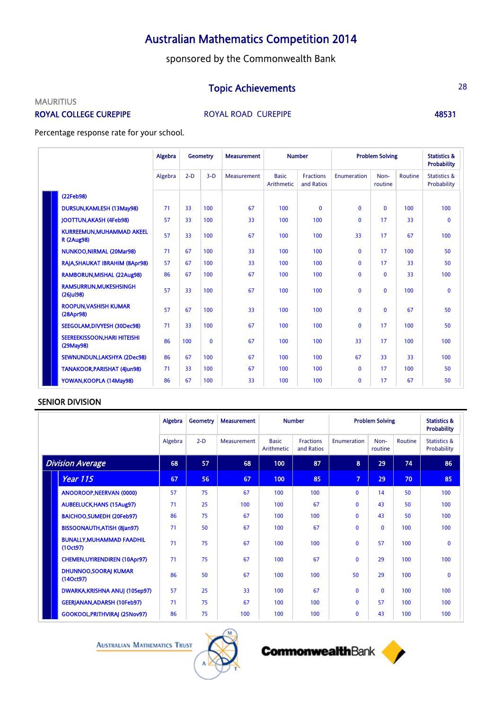sponsored by the Commonwealth Bank

## Topic Achievements 28

### **MAURITIUS**

ROYAL COLLEGE CUREPIPE **ROYAL ROAD CUREPIPE** 48531

Percentage response rate for your school.

|  |                                                      | Algebra | Geometry |              | <b>Measurement</b> | <b>Number</b>              |                                | <b>Problem Solving</b> |                 |         | <b>Statistics &amp;</b><br><b>Probability</b> |
|--|------------------------------------------------------|---------|----------|--------------|--------------------|----------------------------|--------------------------------|------------------------|-----------------|---------|-----------------------------------------------|
|  |                                                      | Algebra | $2-D$    | $3-D$        | Measurement        | <b>Basic</b><br>Arithmetic | <b>Fractions</b><br>and Ratios | Enumeration            | Non-<br>routine | Routine | <b>Statistics &amp;</b><br>Probability        |
|  | (22Feb98)                                            |         |          |              |                    |                            |                                |                        |                 |         |                                               |
|  | DURSUN, KAMLESH (13May98)                            | 71      | 33       | 100          | 67                 | 100                        | $\mathbf{0}$                   | $\mathbf{0}$           | $\mathbf{0}$    | 100     | 100                                           |
|  | <b>IOOTTUN.AKASH (4Feb98)</b>                        | 57      | 33       | 100          | 33                 | 100                        | 100                            | $\mathbf{0}$           | 17              | 33      | $\mathbf 0$                                   |
|  | <b>KURREEMUN.MUHAMMAD AKEEL</b><br><b>R</b> (2Aug98) | 57      | 33       | 100          | 67                 | 100                        | 100                            | 33                     | 17              | 67      | 100                                           |
|  | <b>NUNKOO, NIRMAL (20Mar98)</b>                      | 71      | 67       | 100          | 33                 | 100                        | 100                            | $\mathbf{0}$           | 17              | 100     | 50                                            |
|  | RAJA, SHAUKAT IBRAHIM (8Apr98)                       | 57      | 67       | 100          | 33                 | 100                        | 100                            | $\mathbf{0}$           | 17              | 33      | 50                                            |
|  | RAMBORUN, MISHAL (22Aug98)                           | 86      | 67       | 100          | 67                 | 100                        | 100                            | $\mathbf{0}$           | $\Omega$        | 33      | 100                                           |
|  | <b>RAMSURRUN, MUKESHSINGH</b><br>$(26)$ ul98)        | 57      | 33       | 100          | 67                 | 100                        | 100                            | $\mathbf{0}$           | $\mathbf{0}$    | 100     | $\mathbf{0}$                                  |
|  | <b>ROOPUN.VASHISH KUMAR</b><br>(28Apr98)             | 57      | 67       | 100          | 33                 | 100                        | 100                            | $\mathbf{0}$           | $\Omega$        | 67      | 50                                            |
|  | SEEGOLAM.DIVYESH (30Dec98)                           | 71      | 33       | 100          | 67                 | 100                        | 100                            | $\mathbf{0}$           | 17              | 100     | 50                                            |
|  | <b>SEEREEKISSOON.HARI HITEISHI</b><br>(29May98)      | 86      | 100      | $\mathbf{0}$ | 67                 | 100                        | 100                            | 33                     | 17              | 100     | 100                                           |
|  | SEWNUNDUN,LAKSHYA (2Dec98)                           | 86      | 67       | 100          | 67                 | 100                        | 100                            | 67                     | 33              | 33      | 100                                           |
|  | <b>TANAKOOR, PARISHAT (4Jun98)</b>                   | 71      | 33       | 100          | 67                 | 100                        | 100                            | $\mathbf{0}$           | 17              | 100     | 50                                            |
|  | YOWAN, KOOPLA (14May98)                              | 86      | 67       | 100          | 33                 | 100                        | 100                            | $\mathbf{0}$           | 17              | 67      | 50                                            |

## SENIOR DIVISION

|                         |                                              | Algebra | <b>Geometry</b> | <b>Measurement</b> | <b>Number</b>              |                                | <b>Problem Solving</b> |                 |         | <b>Statistics &amp;</b><br><b>Probability</b> |
|-------------------------|----------------------------------------------|---------|-----------------|--------------------|----------------------------|--------------------------------|------------------------|-----------------|---------|-----------------------------------------------|
|                         |                                              | Algebra | $2-D$           | Measurement        | <b>Basic</b><br>Arithmetic | <b>Fractions</b><br>and Ratios | Enumeration            | Non-<br>routine | Routine | <b>Statistics &amp;</b><br>Probability        |
| <b>Division Average</b> |                                              | 68      | 57              | 68                 | 100                        | 87                             | 8                      | 29              | 74      | 86                                            |
|                         | Year 115                                     | 67      | 56              | 67                 | 100                        | 85                             | $\overline{7}$         | 29              | 70      | 85                                            |
|                         | ANOOROOP, NEERVAN (0000)                     | 57      | 75              | 67                 | 100                        | 100                            | 0                      | 14              | 50      | 100                                           |
|                         | <b>AUBEELUCK, HANS (15Aug97)</b>             | 71      | 25              | 100                | 100                        | 67                             | $\mathbf{0}$           | 43              | 50      | 100                                           |
|                         | <b>BAICHOO, SUMEDH (20Feb97)</b>             | 86      | 75              | 67                 | 100                        | 100                            | 0                      | 43              | 50      | 100                                           |
|                         | <b>BISSOONAUTH, ATISH (8Jan97)</b>           | 71      | 50              | 67                 | 100                        | 67                             | $\mathbf 0$            | $\mathbf{0}$    | 100     | 100                                           |
|                         | <b>BUNALLY, MUHAMMAD FAADHIL</b><br>(10ct97) | 71      | 75              | 67                 | 100                        | 100                            | 0                      | 57              | 100     | $\mathbf{0}$                                  |
|                         | <b>CHEMEN, UYIRENDIREN (10Apr97)</b>         | 71      | 75              | 67                 | 100                        | 67                             | $\mathbf{0}$           | 29              | 100     | 100                                           |
|                         | <b>DHUNNOO, SOORAJ KUMAR</b><br>(140ct97)    | 86      | 50              | 67                 | 100                        | 100                            | 50                     | 29              | 100     | $\mathbf{0}$                                  |
|                         | DWARKA, KRISHNA ANUJ (10Sep97)               | 57      | 25              | 33                 | 100                        | 67                             | $\mathbf{0}$           | $\mathbf{0}$    | 100     | 100                                           |
|                         | <b>GEERJANAN, ADARSH (10Feb97)</b>           | 71      | 75              | 67                 | 100                        | 100                            | $\mathbf{0}$           | 57              | 100     | 100                                           |
|                         | <b>GOOKOOL, PRITHVIRAJ (25Nov97)</b>         | 86      | 75              | 100                | 100                        | 100                            | 0                      | 43              | 100     | 100                                           |